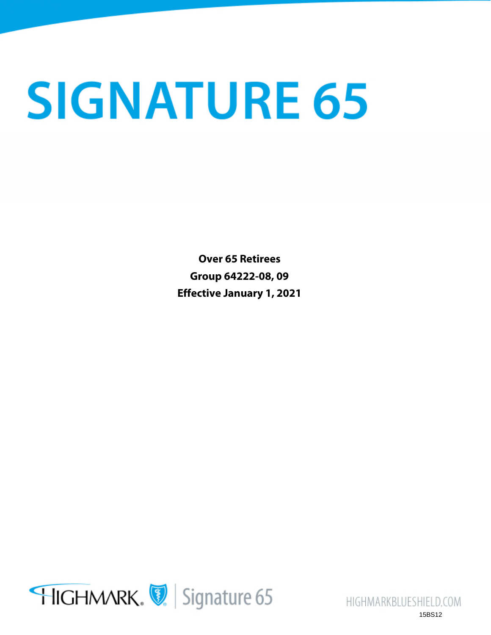# **SIGNATURE 65**

**Over 65 Retirees Group 64222-08, 09 Effective January 1, 2021**



HIGHMARKBLUESHIELD.COM 15BS12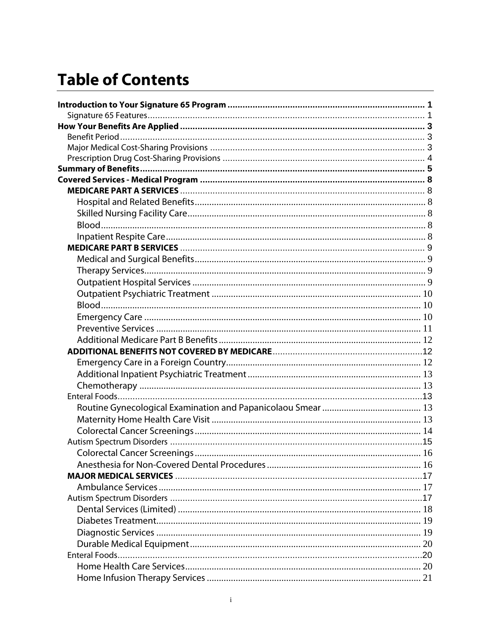# **Table of Contents**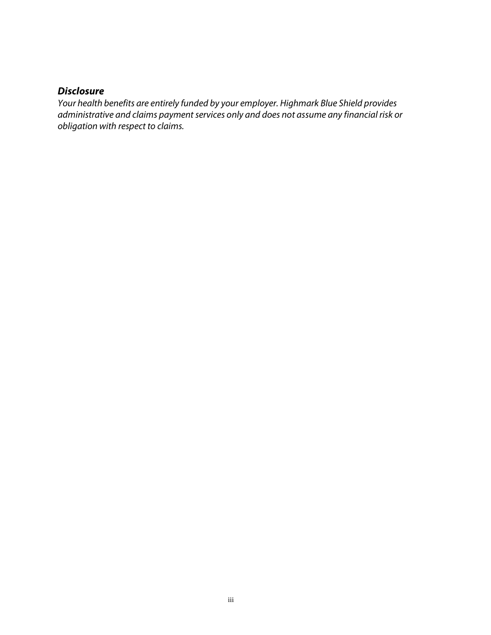## *Disclosure*

*Your health benefits are entirely funded by your employer. Highmark Blue Shield provides administrative and claims payment services only and does not assume any financial risk or obligation with respect to claims.*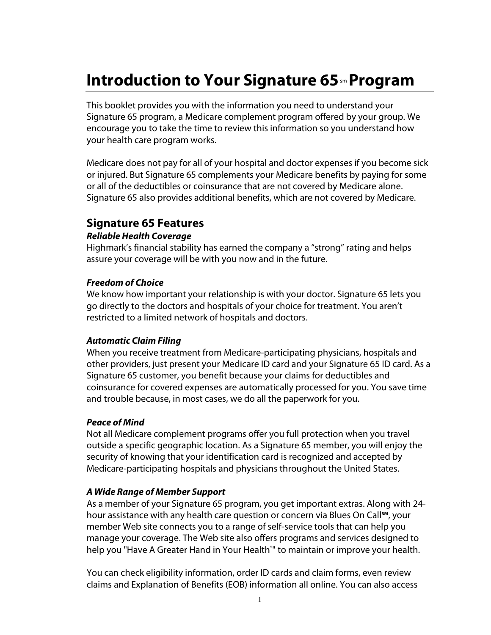# **Introduction to Your Signature 65**sm **Program**

This booklet provides you with the information you need to understand your Signature 65 program, a Medicare complement program offered by your group. We encourage you to take the time to review this information so you understand how your health care program works.

Medicare does not pay for all of your hospital and doctor expenses if you become sick or injured. But Signature 65 complements your Medicare benefits by paying for some or all of the deductibles or coinsurance that are not covered by Medicare alone. Signature 65 also provides additional benefits, which are not covered by Medicare.

## **Signature 65 Features**

#### *Reliable Health Coverage*

Highmark's financial stability has earned the company a "strong" rating and helps assure your coverage will be with you now and in the future.

#### *Freedom of Choice*

We know how important your relationship is with your doctor. Signature 65 lets you go directly to the doctors and hospitals of your choice for treatment. You aren't restricted to a limited network of hospitals and doctors.

#### *Automatic Claim Filing*

When you receive treatment from Medicare-participating physicians, hospitals and other providers, just present your Medicare ID card and your Signature 65 ID card. As a Signature 65 customer, you benefit because your claims for deductibles and coinsurance for covered expenses are automatically processed for you. You save time and trouble because, in most cases, we do all the paperwork for you.

#### *Peace of Mind*

Not all Medicare complement programs offer you full protection when you travel outside a specific geographic location. As a Signature 65 member, you will enjoy the security of knowing that your identification card is recognized and accepted by Medicare-participating hospitals and physicians throughout the United States.

#### *A Wide Range of Member Support*

As a member of your Signature 65 program, you get important extras. Along with 24 hour assistance with any health care question or concern via Blues On Call**SM**, your member Web site connects you to a range of self-service tools that can help you manage your coverage. The Web site also offers programs and services designed to help you "Have A Greater Hand in Your Health°" to maintain or improve your health.

You can check eligibility information, order ID cards and claim forms, even review claims and Explanation of Benefits (EOB) information all online. You can also access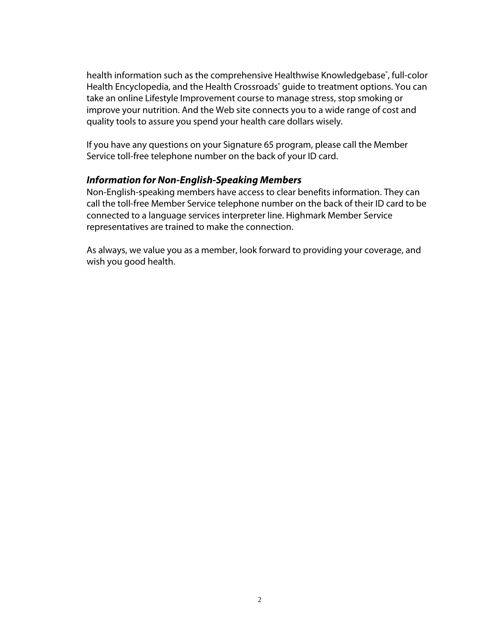health information such as the comprehensive Healthwise Knowledgebase®, full-color Health Encyclopedia, and the Health Crossroads<sup>®</sup> guide to treatment options. You can take an online Lifestyle Improvement course to manage stress, stop smoking or improve your nutrition. And the Web site connects you to a wide range of cost and quality tools to assure you spend your health care dollars wisely.

If you have any questions on your Signature 65 program, please call the Member Service toll-free telephone number on the back of your ID card.

#### *Information for Non-English-Speaking Members*

Non-English-speaking members have access to clear benefits information. They can call the toll-free Member Service telephone number on the back of their ID card to be connected to a language services interpreter line. Highmark Member Service representatives are trained to make the connection.

As always, we value you as a member, look forward to providing your coverage, and wish you good health.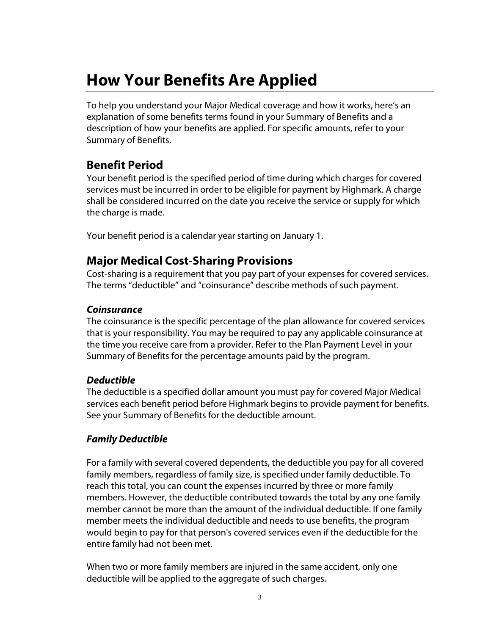# **How Your Benefits Are Applied**

To help you understand your Major Medical coverage and how it works, here's an explanation of some benefits terms found in your Summary of Benefits and a description of how your benefits are applied. For specific amounts, refer to your Summary of Benefits.

## **Benefit Period**

Your benefit period is the specified period of time during which charges for covered services must be incurred in order to be eligible for payment by Highmark. A charge shall be considered incurred on the date you receive the service or supply for which the charge is made.

Your benefit period is a calendar year starting on January 1.

## **Major Medical Cost-Sharing Provisions**

Cost-sharing is a requirement that you pay part of your expenses for covered services. The terms "deductible" and "coinsurance" describe methods of such payment.

## *Coinsurance*

The coinsurance is the specific percentage of the plan allowance for covered services that is your responsibility. You may be required to pay any applicable coinsurance at the time you receive care from a provider. Refer to the Plan Payment Level in your Summary of Benefits for the percentage amounts paid by the program.

## *Deductible*

The deductible is a specified dollar amount you must pay for covered Major Medical services each benefit period before Highmark begins to provide payment for benefits. See your Summary of Benefits for the deductible amount.

## *Family Deductible*

For a family with several covered dependents, the deductible you pay for all covered family members, regardless of family size, is specified under family deductible. To reach this total, you can count the expenses incurred by three or more family members. However, the deductible contributed towards the total by any one family member cannot be more than the amount of the individual deductible. If one family member meets the individual deductible and needs to use benefits, the program would begin to pay for that person's covered services even if the deductible for the entire family had not been met.

When two or more family members are injured in the same accident, only one deductible will be applied to the aggregate of such charges.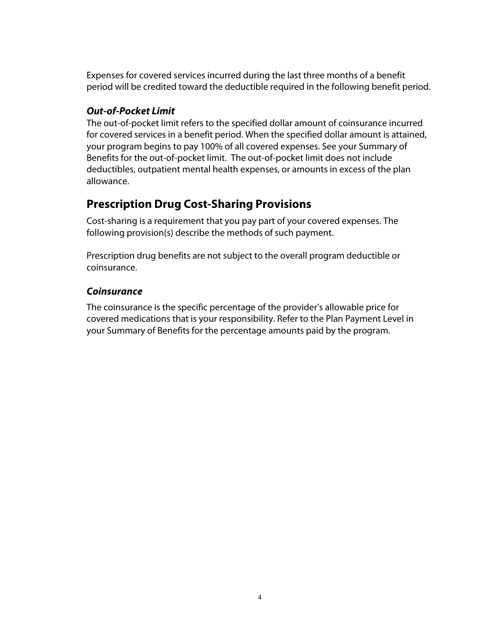Expenses for covered services incurred during the last three months of a benefit period will be credited toward the deductible required in the following benefit period.

#### *Out-of-Pocket Limit*

The out-of-pocket limit refers to the specified dollar amount of coinsurance incurred for covered services in a benefit period. When the specified dollar amount is attained, your program begins to pay 100% of all covered expenses. See your Summary of Benefits for the out-of-pocket limit. The out-of-pocket limit does not include deductibles, outpatient mental health expenses, or amounts in excess of the plan allowance.

## **Prescription Drug Cost-Sharing Provisions**

Cost-sharing is a requirement that you pay part of your covered expenses. The following provision(s) describe the methods of such payment.

Prescription drug benefits are not subject to the overall program deductible or coinsurance.

## *Coinsurance*

The coinsurance is the specific percentage of the provider's allowable price for covered medications that is your responsibility. Refer to the Plan Payment Level in your Summary of Benefits for the percentage amounts paid by the program.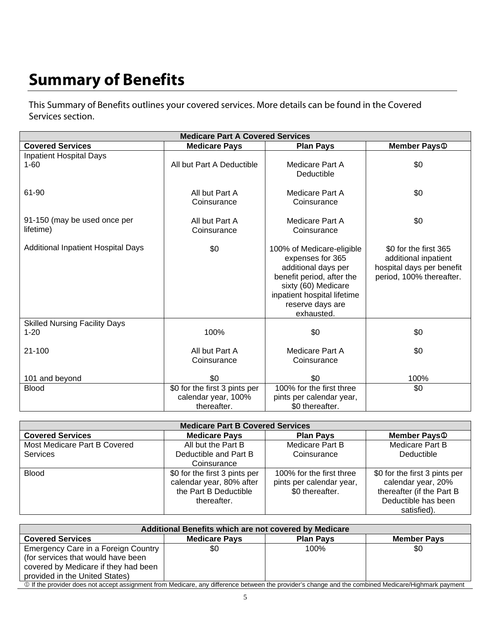# **Summary of Benefits**

This Summary of Benefits outlines your covered services. More details can be found in the Covered Services section.

| <b>Medicare Part A Covered Services</b>          |                                                                     |                                                                                                                                                                                           |                                                                                                        |
|--------------------------------------------------|---------------------------------------------------------------------|-------------------------------------------------------------------------------------------------------------------------------------------------------------------------------------------|--------------------------------------------------------------------------------------------------------|
| <b>Covered Services</b>                          | <b>Medicare Pays</b>                                                | <b>Plan Pays</b>                                                                                                                                                                          | <b>Member Pays</b> <sup>®</sup>                                                                        |
| <b>Inpatient Hospital Days</b><br>$1 - 60$       | All but Part A Deductible                                           | Medicare Part A<br>Deductible                                                                                                                                                             | \$0                                                                                                    |
| 61-90                                            | All but Part A<br>Coinsurance                                       | Medicare Part A<br>Coinsurance                                                                                                                                                            | \$0                                                                                                    |
| 91-150 (may be used once per<br>lifetime)        | All but Part A<br>Coinsurance                                       | Medicare Part A<br>Coinsurance                                                                                                                                                            | \$0                                                                                                    |
| <b>Additional Inpatient Hospital Days</b>        | \$0                                                                 | 100% of Medicare-eligible<br>expenses for 365<br>additional days per<br>benefit period, after the<br>sixty (60) Medicare<br>inpatient hospital lifetime<br>reserve days are<br>exhausted. | \$0 for the first 365<br>additional inpatient<br>hospital days per benefit<br>period, 100% thereafter. |
| <b>Skilled Nursing Facility Days</b><br>$1 - 20$ | 100%                                                                | \$0                                                                                                                                                                                       | \$0                                                                                                    |
| $21 - 100$                                       | All but Part A<br>Coinsurance                                       | Medicare Part A<br>Coinsurance                                                                                                                                                            | \$0                                                                                                    |
| 101 and beyond                                   | \$0                                                                 | \$0                                                                                                                                                                                       | 100%                                                                                                   |
| <b>Blood</b>                                     | \$0 for the first 3 pints per<br>calendar year, 100%<br>thereafter. | 100% for the first three<br>pints per calendar year,<br>\$0 thereafter.                                                                                                                   | \$0                                                                                                    |

| <b>Medicare Part B Covered Services</b> |                               |                          |                                 |
|-----------------------------------------|-------------------------------|--------------------------|---------------------------------|
| <b>Covered Services</b>                 | <b>Medicare Pays</b>          | <b>Plan Pays</b>         | <b>Member Pays</b> <sup>®</sup> |
| Most Medicare Part B Covered            | All but the Part B            | Medicare Part B          | Medicare Part B                 |
| <b>Services</b>                         | Deductible and Part B         | Coinsurance              | Deductible                      |
|                                         | Coinsurance                   |                          |                                 |
| <b>Blood</b>                            | \$0 for the first 3 pints per | 100% for the first three | \$0 for the first 3 pints per   |
|                                         | calendar year, 80% after      | pints per calendar year, | calendar year, 20%              |
|                                         | the Part B Deductible         | \$0 thereafter.          | thereafter (if the Part B       |
|                                         | thereafter.                   |                          | Deductible has been             |
|                                         |                               |                          | satisfied).                     |

| Additional Benefits which are not covered by Medicare |                                                                                                                                                         |                    |
|-------------------------------------------------------|---------------------------------------------------------------------------------------------------------------------------------------------------------|--------------------|
| <b>Medicare Pays</b>                                  | <b>Plan Pavs</b>                                                                                                                                        | <b>Member Pays</b> |
| \$0                                                   | 100%                                                                                                                                                    | \$0                |
|                                                       |                                                                                                                                                         |                    |
|                                                       |                                                                                                                                                         |                    |
|                                                       |                                                                                                                                                         |                    |
|                                                       | <u> 1 if the nesides deep ast controllow ment from Medicare any difference between the nesideste change and the combined Medicare Ujahmeric noument</u> |                    |

<sup>1</sup> If the provider does not accept assignment from Medicare, any difference between the provider's change and the combined Medicare/Highmark payment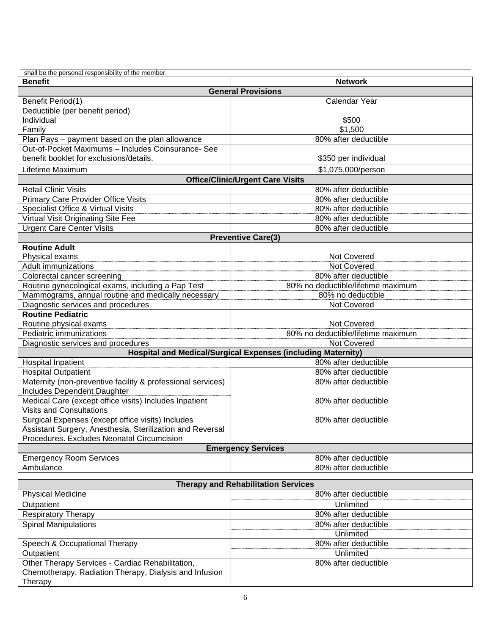| shall be the personal responsibility of the member.                 |                                            |  |  |
|---------------------------------------------------------------------|--------------------------------------------|--|--|
| <b>Benefit</b>                                                      | <b>Network</b>                             |  |  |
|                                                                     | <b>General Provisions</b>                  |  |  |
| Benefit Period(1)                                                   | Calendar Year                              |  |  |
| Deductible (per benefit period)                                     |                                            |  |  |
| Individual                                                          | \$500                                      |  |  |
| Family                                                              | \$1,500                                    |  |  |
| Plan Pays - payment based on the plan allowance                     | 80% after deductible                       |  |  |
| Out-of-Pocket Maximums - Includes Coinsurance- See                  |                                            |  |  |
| benefit booklet for exclusions/details.                             | \$350 per individual                       |  |  |
| Lifetime Maximum                                                    | \$1,075,000/person                         |  |  |
|                                                                     | <b>Office/Clinic/Urgent Care Visits</b>    |  |  |
| <b>Retail Clinic Visits</b>                                         | 80% after deductible                       |  |  |
| Primary Care Provider Office Visits                                 | 80% after deductible                       |  |  |
| Specialist Office & Virtual Visits                                  | 80% after deductible                       |  |  |
| Virtual Visit Originating Site Fee                                  | 80% after deductible                       |  |  |
| <b>Urgent Care Center Visits</b>                                    | 80% after deductible                       |  |  |
|                                                                     | <b>Preventive Care(3)</b>                  |  |  |
| <b>Routine Adult</b>                                                |                                            |  |  |
| Physical exams                                                      | <b>Not Covered</b>                         |  |  |
| <b>Adult immunizations</b>                                          | Not Covered                                |  |  |
| Colorectal cancer screening                                         | 80% after deductible                       |  |  |
| Routine gynecological exams, including a Pap Test                   | 80% no deductible/lifetime maximum         |  |  |
| Mammograms, annual routine and medically necessary                  | 80% no deductible                          |  |  |
| Diagnostic services and procedures                                  | Not Covered                                |  |  |
| <b>Routine Pediatric</b>                                            |                                            |  |  |
| Routine physical exams                                              | <b>Not Covered</b>                         |  |  |
| Pediatric immunizations                                             | 80% no deductible/lifetime maximum         |  |  |
| Diagnostic services and procedures                                  | <b>Not Covered</b>                         |  |  |
| <b>Hospital and Medical/Surgical Expenses (including Maternity)</b> |                                            |  |  |
| <b>Hospital Inpatient</b>                                           | 80% after deductible                       |  |  |
| <b>Hospital Outpatient</b>                                          | 80% after deductible                       |  |  |
| Maternity (non-preventive facility & professional services)         | 80% after deductible                       |  |  |
| Includes Dependent Daughter                                         |                                            |  |  |
| Medical Care (except office visits) Includes Inpatient              | 80% after deductible                       |  |  |
| <b>Visits and Consultations</b>                                     |                                            |  |  |
| Surgical Expenses (except office visits) Includes                   | 80% after deductible                       |  |  |
| Assistant Surgery, Anesthesia, Sterilization and Reversal           |                                            |  |  |
| Procedures. Excludes Neonatal Circumcision                          |                                            |  |  |
| <b>Emergency Services</b>                                           |                                            |  |  |
| <b>Emergency Room Services</b>                                      | 80% after deductible                       |  |  |
| Ambulance                                                           | 80% after deductible                       |  |  |
|                                                                     | <b>Therapy and Rehabilitation Services</b> |  |  |
| <b>Physical Medicine</b>                                            | 80% after deductible                       |  |  |
| Outpatient                                                          | Unlimited                                  |  |  |
| <b>Respiratory Therapy</b>                                          | 80% after deductible                       |  |  |
| <b>Spinal Manipulations</b>                                         | 80% after deductible                       |  |  |

|                                                        | Unlimited            |
|--------------------------------------------------------|----------------------|
| Speech & Occupational Therapy                          | 80% after deductible |
| Outpatient                                             | Unlimited            |
| Other Therapy Services - Cardiac Rehabilitation,       | 80% after deductible |
| Chemotherapy, Radiation Therapy, Dialysis and Infusion |                      |
| Therapy                                                |                      |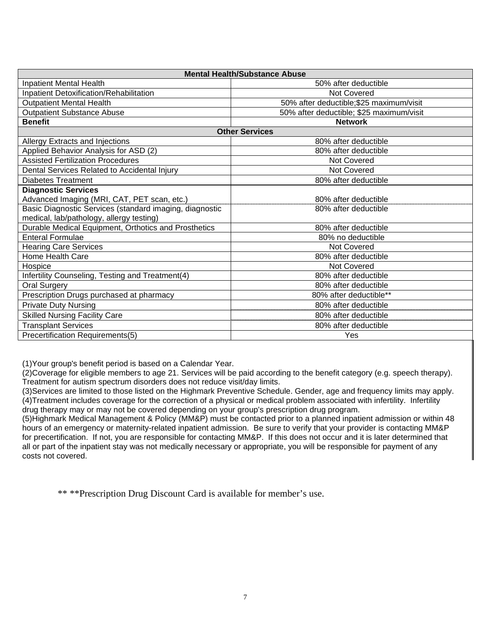| <b>Mental Health/Substance Abuse</b>                    |                                          |  |
|---------------------------------------------------------|------------------------------------------|--|
| Inpatient Mental Health                                 | 50% after deductible                     |  |
| Inpatient Detoxification/Rehabilitation                 | Not Covered                              |  |
| <b>Outpatient Mental Health</b>                         | 50% after deductible; \$25 maximum/visit |  |
| <b>Outpatient Substance Abuse</b>                       | 50% after deductible; \$25 maximum/visit |  |
| <b>Benefit</b>                                          | <b>Network</b>                           |  |
|                                                         | <b>Other Services</b>                    |  |
| Allergy Extracts and Injections                         | 80% after deductible                     |  |
| Applied Behavior Analysis for ASD (2)                   | 80% after deductible                     |  |
| <b>Assisted Fertilization Procedures</b>                | Not Covered                              |  |
| Dental Services Related to Accidental Injury            | <b>Not Covered</b>                       |  |
| <b>Diabetes Treatment</b>                               | 80% after deductible                     |  |
| <b>Diagnostic Services</b>                              |                                          |  |
| Advanced Imaging (MRI, CAT, PET scan, etc.)             | 80% after deductible                     |  |
| Basic Diagnostic Services (standard imaging, diagnostic | 80% after deductible                     |  |
| medical, lab/pathology, allergy testing)                |                                          |  |
| Durable Medical Equipment, Orthotics and Prosthetics    | 80% after deductible                     |  |
| <b>Enteral Formulae</b>                                 | 80% no deductible                        |  |
| <b>Hearing Care Services</b>                            | Not Covered                              |  |
| Home Health Care                                        | 80% after deductible                     |  |
| Hospice                                                 | Not Covered                              |  |
| Infertility Counseling, Testing and Treatment(4)        | 80% after deductible                     |  |
| <b>Oral Surgery</b>                                     | 80% after deductible                     |  |
| Prescription Drugs purchased at pharmacy                | 80% after deductible**                   |  |
| <b>Private Duty Nursing</b>                             | 80% after deductible                     |  |
| <b>Skilled Nursing Facility Care</b>                    | 80% after deductible                     |  |
| <b>Transplant Services</b>                              | 80% after deductible                     |  |
| Precertification Requirements(5)                        | Yes                                      |  |

(1)Your group's benefit period is based on a Calendar Year.

(2)Coverage for eligible members to age 21. Services will be paid according to the benefit category (e.g. speech therapy). Treatment for autism spectrum disorders does not reduce visit/day limits.

(3)Services are limited to those listed on the Highmark Preventive Schedule. Gender, age and frequency limits may apply. (4)Treatment includes coverage for the correction of a physical or medical problem associated with infertility. Infertility drug therapy may or may not be covered depending on your group's prescription drug program.

(5)Highmark Medical Management & Policy (MM&P) must be contacted prior to a planned inpatient admission or within 48 hours of an emergency or maternity-related inpatient admission. Be sure to verify that your provider is contacting MM&P for precertification. If not, you are responsible for contacting MM&P. If this does not occur and it is later determined that all or part of the inpatient stay was not medically necessary or appropriate, you will be responsible for payment of any costs not covered.

\*\* \*\*Prescription Drug Discount Card is available for member's use.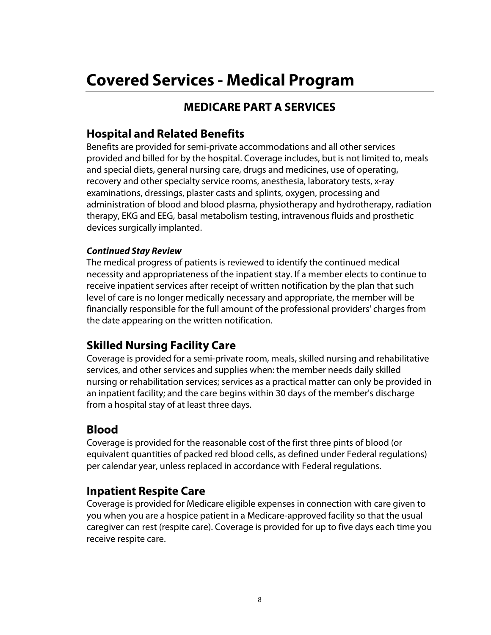## **MEDICARE PART A SERVICES**

## **Hospital and Related Benefits**

Benefits are provided for semi-private accommodations and all other services provided and billed for by the hospital. Coverage includes, but is not limited to, meals and special diets, general nursing care, drugs and medicines, use of operating, recovery and other specialty service rooms, anesthesia, laboratory tests, x-ray examinations, dressings, plaster casts and splints, oxygen, processing and administration of blood and blood plasma, physiotherapy and hydrotherapy, radiation therapy, EKG and EEG, basal metabolism testing, intravenous fluids and prosthetic devices surgically implanted.

#### *Continued Stay Review*

The medical progress of patients is reviewed to identify the continued medical necessity and appropriateness of the inpatient stay. If a member elects to continue to receive inpatient services after receipt of written notification by the plan that such level of care is no longer medically necessary and appropriate, the member will be financially responsible for the full amount of the professional providers' charges from the date appearing on the written notification.

## **Skilled Nursing Facility Care**

Coverage is provided for a semi-private room, meals, skilled nursing and rehabilitative services, and other services and supplies when: the member needs daily skilled nursing or rehabilitation services; services as a practical matter can only be provided in an inpatient facility; and the care begins within 30 days of the member's discharge from a hospital stay of at least three days.

## **Blood**

Coverage is provided for the reasonable cost of the first three pints of blood (or equivalent quantities of packed red blood cells, as defined under Federal regulations) per calendar year, unless replaced in accordance with Federal regulations.

## **Inpatient Respite Care**

Coverage is provided for Medicare eligible expenses in connection with care given to you when you are a hospice patient in a Medicare-approved facility so that the usual caregiver can rest (respite care). Coverage is provided for up to five days each time you receive respite care.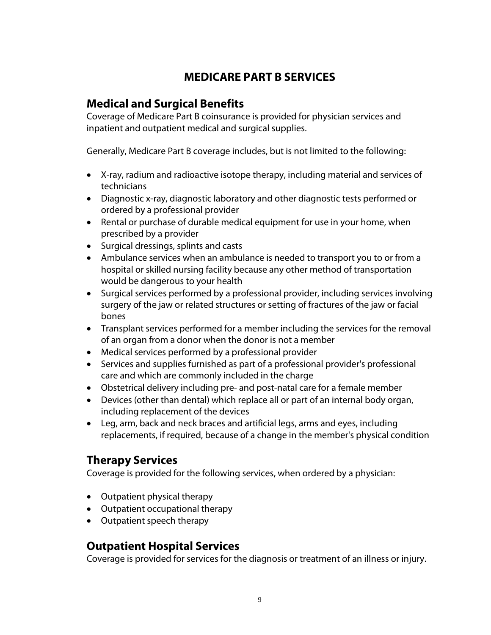## **MEDICARE PART B SERVICES**

## **Medical and Surgical Benefits**

Coverage of Medicare Part B coinsurance is provided for physician services and inpatient and outpatient medical and surgical supplies.

Generally, Medicare Part B coverage includes, but is not limited to the following:

- X-ray, radium and radioactive isotope therapy, including material and services of technicians
- Diagnostic x-ray, diagnostic laboratory and other diagnostic tests performed or ordered by a professional provider
- Rental or purchase of durable medical equipment for use in your home, when prescribed by a provider
- Surgical dressings, splints and casts
- Ambulance services when an ambulance is needed to transport you to or from a hospital or skilled nursing facility because any other method of transportation would be dangerous to your health
- Surgical services performed by a professional provider, including services involving surgery of the jaw or related structures or setting of fractures of the jaw or facial bones
- Transplant services performed for a member including the services for the removal of an organ from a donor when the donor is not a member
- Medical services performed by a professional provider
- Services and supplies furnished as part of a professional provider's professional care and which are commonly included in the charge
- Obstetrical delivery including pre- and post-natal care for a female member
- Devices (other than dental) which replace all or part of an internal body organ, including replacement of the devices
- Leg, arm, back and neck braces and artificial legs, arms and eyes, including replacements, if required, because of a change in the member's physical condition

## **Therapy Services**

Coverage is provided for the following services, when ordered by a physician:

- Outpatient physical therapy
- Outpatient occupational therapy
- Outpatient speech therapy

## **Outpatient Hospital Services**

Coverage is provided for services for the diagnosis or treatment of an illness or injury.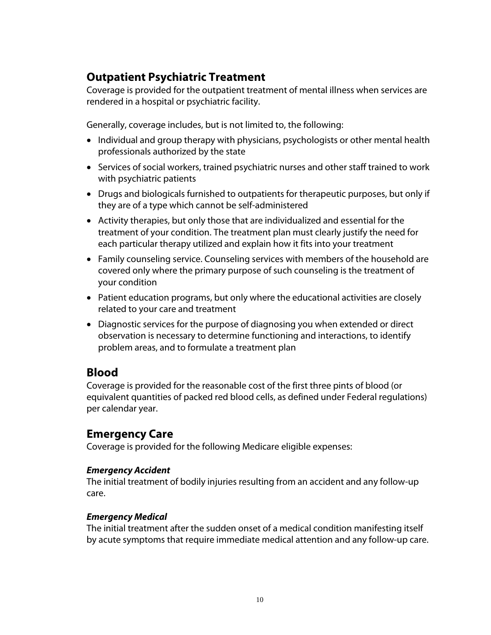## **Outpatient Psychiatric Treatment**

Coverage is provided for the outpatient treatment of mental illness when services are rendered in a hospital or psychiatric facility.

Generally, coverage includes, but is not limited to, the following:

- Individual and group therapy with physicians, psychologists or other mental health professionals authorized by the state
- Services of social workers, trained psychiatric nurses and other staff trained to work with psychiatric patients
- Drugs and biologicals furnished to outpatients for therapeutic purposes, but only if they are of a type which cannot be self-administered
- Activity therapies, but only those that are individualized and essential for the treatment of your condition. The treatment plan must clearly justify the need for each particular therapy utilized and explain how it fits into your treatment
- Family counseling service. Counseling services with members of the household are covered only where the primary purpose of such counseling is the treatment of your condition
- Patient education programs, but only where the educational activities are closely related to your care and treatment
- Diagnostic services for the purpose of diagnosing you when extended or direct observation is necessary to determine functioning and interactions, to identify problem areas, and to formulate a treatment plan

## **Blood**

Coverage is provided for the reasonable cost of the first three pints of blood (or equivalent quantities of packed red blood cells, as defined under Federal regulations) per calendar year.

## **Emergency Care**

Coverage is provided for the following Medicare eligible expenses:

#### *Emergency Accident*

The initial treatment of bodily injuries resulting from an accident and any follow-up care.

#### *Emergency Medical*

The initial treatment after the sudden onset of a medical condition manifesting itself by acute symptoms that require immediate medical attention and any follow-up care.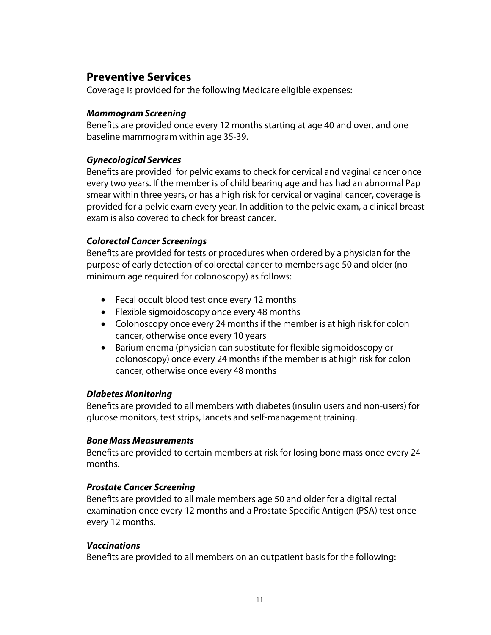## **Preventive Services**

Coverage is provided for the following Medicare eligible expenses:

#### *Mammogram Screening*

Benefits are provided once every 12 months starting at age 40 and over, and one baseline mammogram within age 35-39.

#### *Gynecological Services*

Benefits are provided for pelvic exams to check for cervical and vaginal cancer once every two years. If the member is of child bearing age and has had an abnormal Pap smear within three years, or has a high risk for cervical or vaginal cancer, coverage is provided for a pelvic exam every year. In addition to the pelvic exam, a clinical breast exam is also covered to check for breast cancer.

#### *Colorectal Cancer Screenings*

Benefits are provided for tests or procedures when ordered by a physician for the purpose of early detection of colorectal cancer to members age 50 and older (no minimum age required for colonoscopy) as follows:

- Fecal occult blood test once every 12 months
- Flexible sigmoidoscopy once every 48 months
- Colonoscopy once every 24 months if the member is at high risk for colon cancer, otherwise once every 10 years
- Barium enema (physician can substitute for flexible sigmoidoscopy or colonoscopy) once every 24 months if the member is at high risk for colon cancer, otherwise once every 48 months

#### *Diabetes Monitoring*

Benefits are provided to all members with diabetes (insulin users and non-users) for glucose monitors, test strips, lancets and self-management training.

#### *Bone Mass Measurements*

Benefits are provided to certain members at risk for losing bone mass once every 24 months.

#### *Prostate Cancer Screening*

Benefits are provided to all male members age 50 and older for a digital rectal examination once every 12 months and a Prostate Specific Antigen (PSA) test once every 12 months.

#### *Vaccinations*

Benefits are provided to all members on an outpatient basis for the following: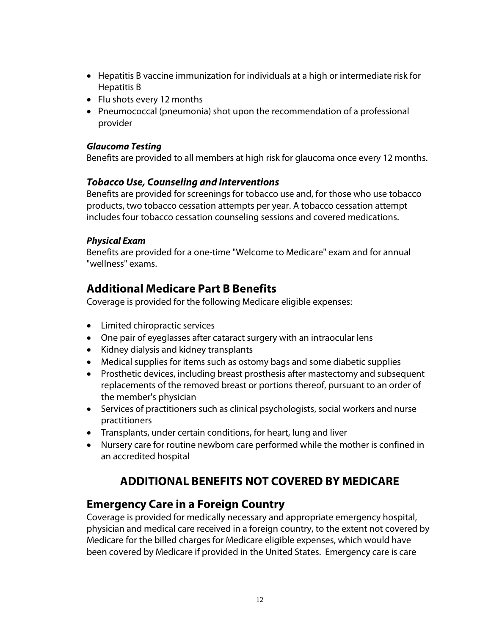- Hepatitis B vaccine immunization for individuals at a high or intermediate risk for Hepatitis B
- Flu shots every 12 months
- Pneumococcal (pneumonia) shot upon the recommendation of a professional provider

#### *Glaucoma Testing*

Benefits are provided to all members at high risk for glaucoma once every 12 months.

#### *Tobacco Use, Counseling and Interventions*

Benefits are provided for screenings for tobacco use and, for those who use tobacco products, two tobacco cessation attempts per year. A tobacco cessation attempt includes four tobacco cessation counseling sessions and covered medications.

#### *Physical Exam*

Benefits are provided for a one-time "Welcome to Medicare" exam and for annual "wellness" exams.

## **Additional Medicare Part B Benefits**

Coverage is provided for the following Medicare eligible expenses:

- Limited chiropractic services
- One pair of eyeglasses after cataract surgery with an intraocular lens
- Kidney dialysis and kidney transplants
- Medical supplies for items such as ostomy bags and some diabetic supplies
- Prosthetic devices, including breast prosthesis after mastectomy and subsequent replacements of the removed breast or portions thereof, pursuant to an order of the member's physician
- Services of practitioners such as clinical psychologists, social workers and nurse practitioners
- Transplants, under certain conditions, for heart, lung and liver
- Nursery care for routine newborn care performed while the mother is confined in an accredited hospital

## **ADDITIONAL BENEFITS NOT COVERED BY MEDICARE**

## **Emergency Care in a Foreign Country**

Coverage is provided for medically necessary and appropriate emergency hospital, physician and medical care received in a foreign country, to the extent not covered by Medicare for the billed charges for Medicare eligible expenses, which would have been covered by Medicare if provided in the United States. Emergency care is care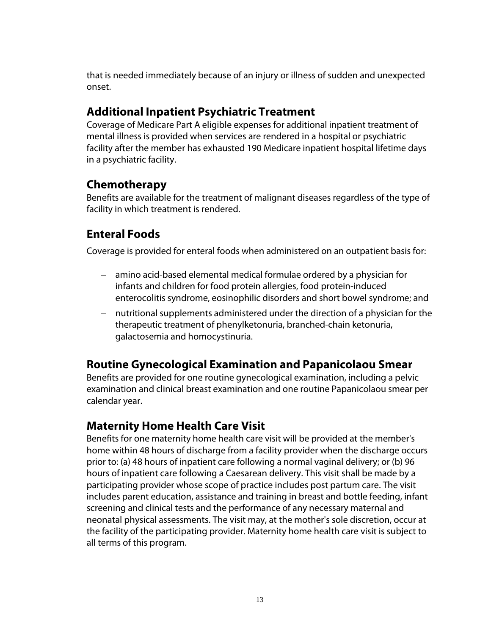that is needed immediately because of an injury or illness of sudden and unexpected onset.

## **Additional Inpatient Psychiatric Treatment**

Coverage of Medicare Part A eligible expenses for additional inpatient treatment of mental illness is provided when services are rendered in a hospital or psychiatric facility after the member has exhausted 190 Medicare inpatient hospital lifetime days in a psychiatric facility.

## **Chemotherapy**

Benefits are available for the treatment of malignant diseases regardless of the type of facility in which treatment is rendered.

## **Enteral Foods**

Coverage is provided for enteral foods when administered on an outpatient basis for:

- amino acid-based elemental medical formulae ordered by a physician for infants and children for food protein allergies, food protein-induced enterocolitis syndrome, eosinophilic disorders and short bowel syndrome; and
- nutritional supplements administered under the direction of a physician for the therapeutic treatment of phenylketonuria, branched-chain ketonuria, galactosemia and homocystinuria.

## **Routine Gynecological Examination and Papanicolaou Smear**

Benefits are provided for one routine gynecological examination, including a pelvic examination and clinical breast examination and one routine Papanicolaou smear per calendar year.

## **Maternity Home Health Care Visit**

Benefits for one maternity home health care visit will be provided at the member's home within 48 hours of discharge from a facility provider when the discharge occurs prior to: (a) 48 hours of inpatient care following a normal vaginal delivery; or (b) 96 hours of inpatient care following a Caesarean delivery. This visit shall be made by a participating provider whose scope of practice includes post partum care. The visit includes parent education, assistance and training in breast and bottle feeding, infant screening and clinical tests and the performance of any necessary maternal and neonatal physical assessments. The visit may, at the mother's sole discretion, occur at the facility of the participating provider. Maternity home health care visit is subject to all terms of this program.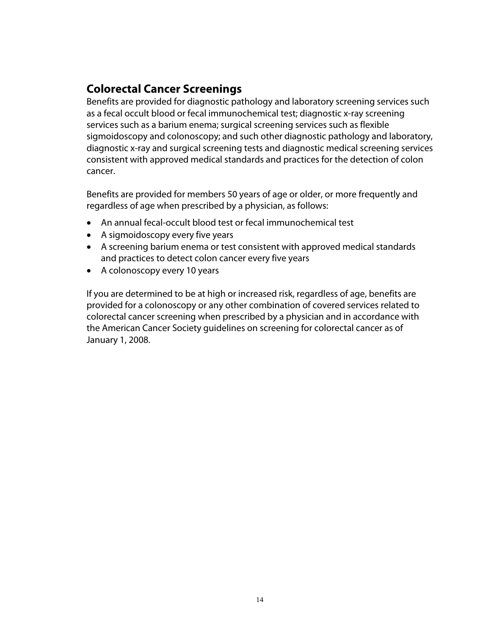## **Colorectal Cancer Screenings**

Benefits are provided for diagnostic pathology and laboratory screening services such as a fecal occult blood or fecal immunochemical test; diagnostic x-ray screening services such as a barium enema; surgical screening services such as flexible sigmoidoscopy and colonoscopy; and such other diagnostic pathology and laboratory, diagnostic x-ray and surgical screening tests and diagnostic medical screening services consistent with approved medical standards and practices for the detection of colon cancer.

Benefits are provided for members 50 years of age or older, or more frequently and regardless of age when prescribed by a physician, as follows:

- An annual fecal-occult blood test or fecal immunochemical test
- A sigmoidoscopy every five years
- A screening barium enema or test consistent with approved medical standards and practices to detect colon cancer every five years
- A colonoscopy every 10 years

If you are determined to be at high or increased risk, regardless of age, benefits are provided for a colonoscopy or any other combination of covered services related to colorectal cancer screening when prescribed by a physician and in accordance with the American Cancer Society guidelines on screening for colorectal cancer as of January 1, 2008.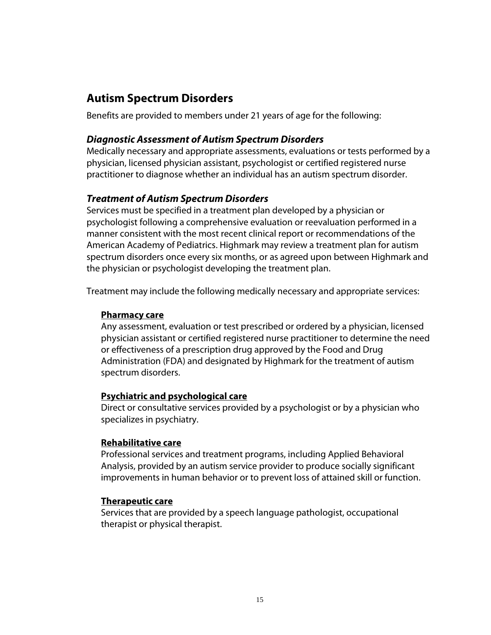## **Autism Spectrum Disorders**

Benefits are provided to members under 21 years of age for the following:

#### *Diagnostic Assessment of Autism Spectrum Disorders*

Medically necessary and appropriate assessments, evaluations or tests performed by a physician, licensed physician assistant, psychologist or certified registered nurse practitioner to diagnose whether an individual has an autism spectrum disorder.

#### *Treatment of Autism Spectrum Disorders*

Services must be specified in a treatment plan developed by a physician or psychologist following a comprehensive evaluation or reevaluation performed in a manner consistent with the most recent clinical report or recommendations of the American Academy of Pediatrics. Highmark may review a treatment plan for autism spectrum disorders once every six months, or as agreed upon between Highmark and the physician or psychologist developing the treatment plan.

Treatment may include the following medically necessary and appropriate services:

#### **Pharmacy care**

Any assessment, evaluation or test prescribed or ordered by a physician, licensed physician assistant or certified registered nurse practitioner to determine the need or effectiveness of a prescription drug approved by the Food and Drug Administration (FDA) and designated by Highmark for the treatment of autism spectrum disorders.

#### **Psychiatric and psychological care**

Direct or consultative services provided by a psychologist or by a physician who specializes in psychiatry.

#### **Rehabilitative care**

Professional services and treatment programs, including Applied Behavioral Analysis, provided by an autism service provider to produce socially significant improvements in human behavior or to prevent loss of attained skill or function.

#### **Therapeutic care**

Services that are provided by a speech language pathologist, occupational therapist or physical therapist.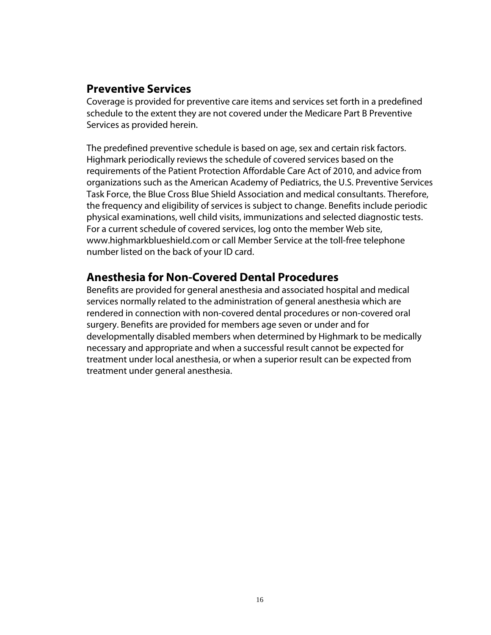## **Preventive Services**

Coverage is provided for preventive care items and services set forth in a predefined schedule to the extent they are not covered under the Medicare Part B Preventive Services as provided herein.

The predefined preventive schedule is based on age, sex and certain risk factors. Highmark periodically reviews the schedule of covered services based on the requirements of the Patient Protection Affordable Care Act of 2010, and advice from organizations such as the American Academy of Pediatrics, the U.S. Preventive Services Task Force, the Blue Cross Blue Shield Association and medical consultants. Therefore, the frequency and eligibility of services is subject to change. Benefits include periodic physical examinations, well child visits, immunizations and selected diagnostic tests. For a current schedule of covered services, log onto the member Web site, www.highmarkblueshield.com or call Member Service at the toll-free telephone number listed on the back of your ID card.

## **Anesthesia for Non-Covered Dental Procedures**

Benefits are provided for general anesthesia and associated hospital and medical services normally related to the administration of general anesthesia which are rendered in connection with non-covered dental procedures or non-covered oral surgery. Benefits are provided for members age seven or under and for developmentally disabled members when determined by Highmark to be medically necessary and appropriate and when a successful result cannot be expected for treatment under local anesthesia, or when a superior result can be expected from treatment under general anesthesia.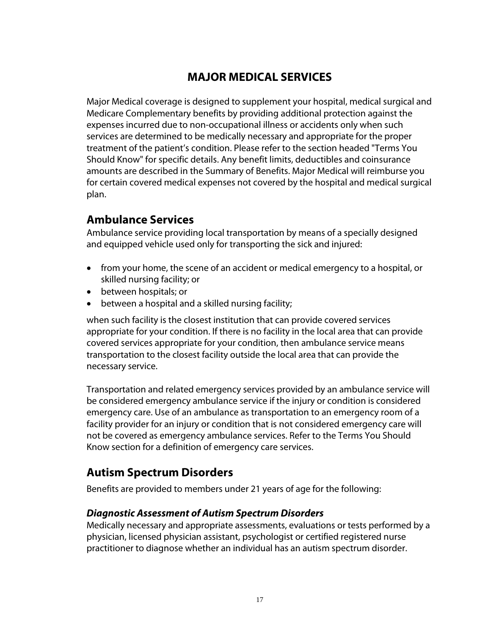## **MAJOR MEDICAL SERVICES**

Major Medical coverage is designed to supplement your hospital, medical surgical and Medicare Complementary benefits by providing additional protection against the expenses incurred due to non-occupational illness or accidents only when such services are determined to be medically necessary and appropriate for the proper treatment of the patient's condition. Please refer to the section headed "Terms You Should Know" for specific details. Any benefit limits, deductibles and coinsurance amounts are described in the Summary of Benefits. Major Medical will reimburse you for certain covered medical expenses not covered by the hospital and medical surgical plan.

## **Ambulance Services**

Ambulance service providing local transportation by means of a specially designed and equipped vehicle used only for transporting the sick and injured:

- from your home, the scene of an accident or medical emergency to a hospital, or skilled nursing facility; or
- between hospitals; or
- between a hospital and a skilled nursing facility;

when such facility is the closest institution that can provide covered services appropriate for your condition. If there is no facility in the local area that can provide covered services appropriate for your condition, then ambulance service means transportation to the closest facility outside the local area that can provide the necessary service.

Transportation and related emergency services provided by an ambulance service will be considered emergency ambulance service if the injury or condition is considered emergency care. Use of an ambulance as transportation to an emergency room of a facility provider for an injury or condition that is not considered emergency care will not be covered as emergency ambulance services. Refer to the Terms You Should Know section for a definition of emergency care services.

## **Autism Spectrum Disorders**

Benefits are provided to members under 21 years of age for the following:

#### *Diagnostic Assessment of Autism Spectrum Disorders*

Medically necessary and appropriate assessments, evaluations or tests performed by a physician, licensed physician assistant, psychologist or certified registered nurse practitioner to diagnose whether an individual has an autism spectrum disorder.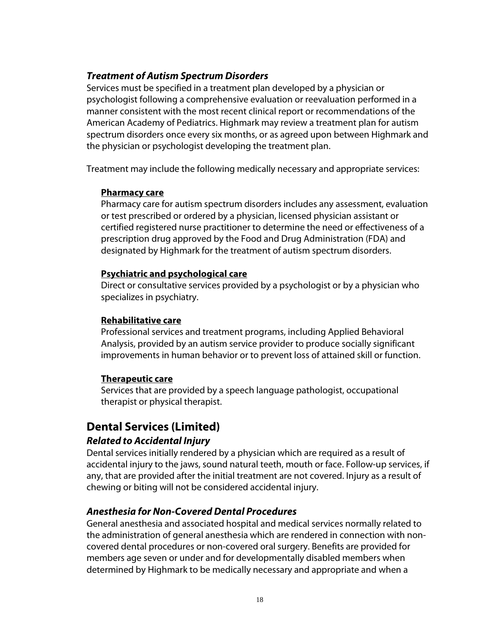#### *Treatment of Autism Spectrum Disorders*

Services must be specified in a treatment plan developed by a physician or psychologist following a comprehensive evaluation or reevaluation performed in a manner consistent with the most recent clinical report or recommendations of the American Academy of Pediatrics. Highmark may review a treatment plan for autism spectrum disorders once every six months, or as agreed upon between Highmark and the physician or psychologist developing the treatment plan.

Treatment may include the following medically necessary and appropriate services:

#### **Pharmacy care**

Pharmacy care for autism spectrum disorders includes any assessment, evaluation or test prescribed or ordered by a physician, licensed physician assistant or certified registered nurse practitioner to determine the need or effectiveness of a prescription drug approved by the Food and Drug Administration (FDA) and designated by Highmark for the treatment of autism spectrum disorders.

#### **Psychiatric and psychological care**

Direct or consultative services provided by a psychologist or by a physician who specializes in psychiatry.

#### **Rehabilitative care**

Professional services and treatment programs, including Applied Behavioral Analysis, provided by an autism service provider to produce socially significant improvements in human behavior or to prevent loss of attained skill or function.

#### **Therapeutic care**

Services that are provided by a speech language pathologist, occupational therapist or physical therapist.

## **Dental Services (Limited)**

#### *Related to Accidental Injury*

Dental services initially rendered by a physician which are required as a result of accidental injury to the jaws, sound natural teeth, mouth or face. Follow-up services, if any, that are provided after the initial treatment are not covered. Injury as a result of chewing or biting will not be considered accidental injury.

#### *Anesthesia for Non-Covered Dental Procedures*

General anesthesia and associated hospital and medical services normally related to the administration of general anesthesia which are rendered in connection with noncovered dental procedures or non-covered oral surgery. Benefits are provided for members age seven or under and for developmentally disabled members when determined by Highmark to be medically necessary and appropriate and when a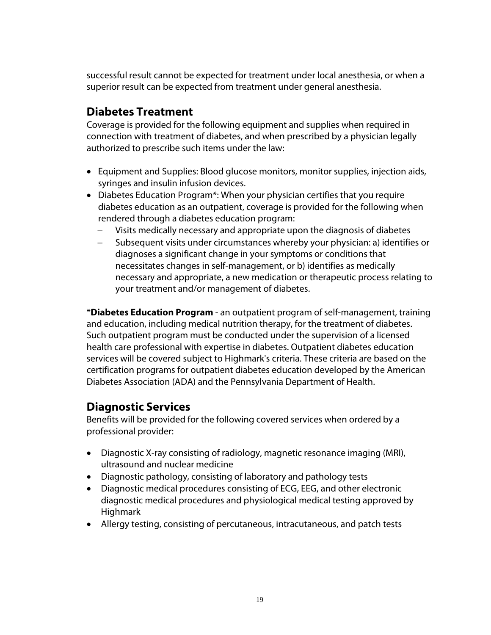successful result cannot be expected for treatment under local anesthesia, or when a superior result can be expected from treatment under general anesthesia.

## **Diabetes Treatment**

Coverage is provided for the following equipment and supplies when required in connection with treatment of diabetes, and when prescribed by a physician legally authorized to prescribe such items under the law:

- Equipment and Supplies: Blood glucose monitors, monitor supplies, injection aids, syringes and insulin infusion devices.
- Diabetes Education Program\*: When your physician certifies that you require diabetes education as an outpatient, coverage is provided for the following when rendered through a diabetes education program:
	- Visits medically necessary and appropriate upon the diagnosis of diabetes
	- Subsequent visits under circumstances whereby your physician: a) identifies or diagnoses a significant change in your symptoms or conditions that necessitates changes in self-management, or b) identifies as medically necessary and appropriate, a new medication or therapeutic process relating to your treatment and/or management of diabetes.

\***Diabetes Education Program** - an outpatient program of self-management, training and education, including medical nutrition therapy, for the treatment of diabetes. Such outpatient program must be conducted under the supervision of a licensed health care professional with expertise in diabetes. Outpatient diabetes education services will be covered subject to Highmark's criteria. These criteria are based on the certification programs for outpatient diabetes education developed by the American Diabetes Association (ADA) and the Pennsylvania Department of Health.

## **Diagnostic Services**

Benefits will be provided for the following covered services when ordered by a professional provider:

- Diagnostic X-ray consisting of radiology, magnetic resonance imaging (MRI), ultrasound and nuclear medicine
- Diagnostic pathology, consisting of laboratory and pathology tests
- Diagnostic medical procedures consisting of ECG, EEG, and other electronic diagnostic medical procedures and physiological medical testing approved by Highmark
- Allergy testing, consisting of percutaneous, intracutaneous, and patch tests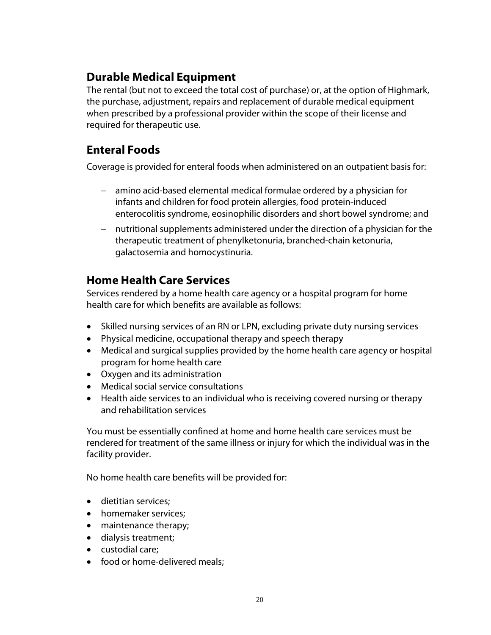## **Durable Medical Equipment**

The rental (but not to exceed the total cost of purchase) or, at the option of Highmark, the purchase, adjustment, repairs and replacement of durable medical equipment when prescribed by a professional provider within the scope of their license and required for therapeutic use.

## **Enteral Foods**

Coverage is provided for enteral foods when administered on an outpatient basis for:

- amino acid-based elemental medical formulae ordered by a physician for infants and children for food protein allergies, food protein-induced enterocolitis syndrome, eosinophilic disorders and short bowel syndrome; and
- nutritional supplements administered under the direction of a physician for the therapeutic treatment of phenylketonuria, branched-chain ketonuria, galactosemia and homocystinuria.

## **Home Health Care Services**

Services rendered by a home health care agency or a hospital program for home health care for which benefits are available as follows:

- Skilled nursing services of an RN or LPN, excluding private duty nursing services
- Physical medicine, occupational therapy and speech therapy
- Medical and surgical supplies provided by the home health care agency or hospital program for home health care
- Oxygen and its administration
- Medical social service consultations
- Health aide services to an individual who is receiving covered nursing or therapy and rehabilitation services

You must be essentially confined at home and home health care services must be rendered for treatment of the same illness or injury for which the individual was in the facility provider.

No home health care benefits will be provided for:

- dietitian services;
- homemaker services:
- maintenance therapy;
- dialysis treatment;
- custodial care;
- food or home-delivered meals;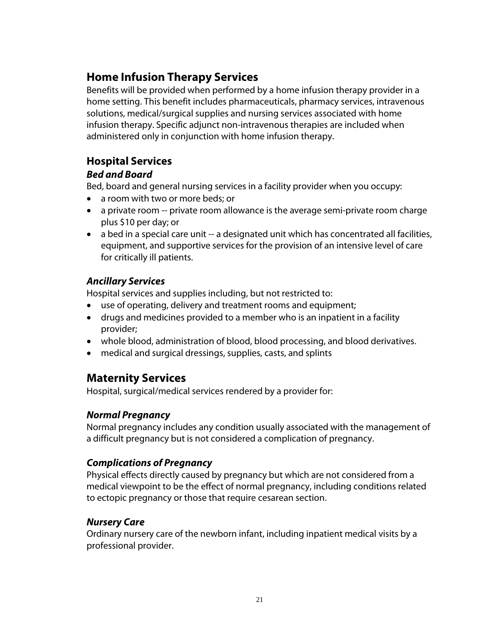## **Home Infusion Therapy Services**

Benefits will be provided when performed by a home infusion therapy provider in a home setting. This benefit includes pharmaceuticals, pharmacy services, intravenous solutions, medical/surgical supplies and nursing services associated with home infusion therapy. Specific adjunct non-intravenous therapies are included when administered only in conjunction with home infusion therapy.

## **Hospital Services**

#### *Bed and Board*

Bed, board and general nursing services in a facility provider when you occupy:

- a room with two or more beds; or
- a private room -- private room allowance is the average semi-private room charge plus \$10 per day; or
- a bed in a special care unit -- a designated unit which has concentrated all facilities, equipment, and supportive services for the provision of an intensive level of care for critically ill patients.

## *Ancillary Services*

Hospital services and supplies including, but not restricted to:

- use of operating, delivery and treatment rooms and equipment;
- drugs and medicines provided to a member who is an inpatient in a facility provider;
- whole blood, administration of blood, blood processing, and blood derivatives.
- medical and surgical dressings, supplies, casts, and splints

## **Maternity Services**

Hospital, surgical/medical services rendered by a provider for:

#### *Normal Pregnancy*

Normal pregnancy includes any condition usually associated with the management of a difficult pregnancy but is not considered a complication of pregnancy.

## *Complications of Pregnancy*

Physical effects directly caused by pregnancy but which are not considered from a medical viewpoint to be the effect of normal pregnancy, including conditions related to ectopic pregnancy or those that require cesarean section.

#### *Nursery Care*

Ordinary nursery care of the newborn infant, including inpatient medical visits by a professional provider.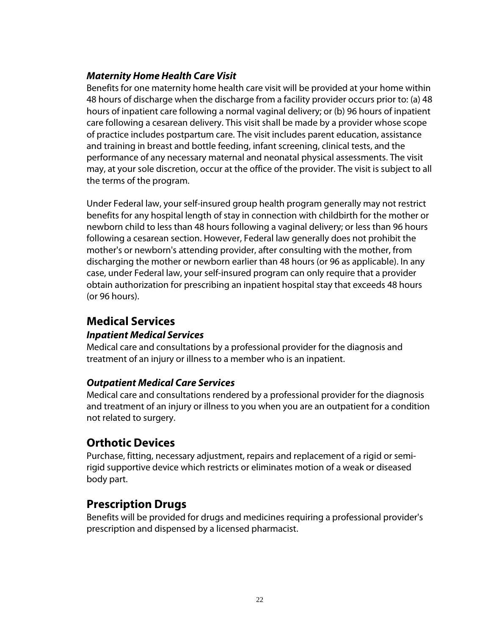## *Maternity Home Health Care Visit*

Benefits for one maternity home health care visit will be provided at your home within 48 hours of discharge when the discharge from a facility provider occurs prior to: (a) 48 hours of inpatient care following a normal vaginal delivery; or (b) 96 hours of inpatient care following a cesarean delivery. This visit shall be made by a provider whose scope of practice includes postpartum care. The visit includes parent education, assistance and training in breast and bottle feeding, infant screening, clinical tests, and the performance of any necessary maternal and neonatal physical assessments. The visit may, at your sole discretion, occur at the office of the provider. The visit is subject to all the terms of the program.

Under Federal law, your self-insured group health program generally may not restrict benefits for any hospital length of stay in connection with childbirth for the mother or newborn child to less than 48 hours following a vaginal delivery; or less than 96 hours following a cesarean section. However, Federal law generally does not prohibit the mother's or newborn's attending provider, after consulting with the mother, from discharging the mother or newborn earlier than 48 hours (or 96 as applicable). In any case, under Federal law, your self-insured program can only require that a provider obtain authorization for prescribing an inpatient hospital stay that exceeds 48 hours (or 96 hours).

## **Medical Services**

## *Inpatient Medical Services*

Medical care and consultations by a professional provider for the diagnosis and treatment of an injury or illness to a member who is an inpatient.

#### *Outpatient Medical Care Services*

Medical care and consultations rendered by a professional provider for the diagnosis and treatment of an injury or illness to you when you are an outpatient for a condition not related to surgery.

## **Orthotic Devices**

Purchase, fitting, necessary adjustment, repairs and replacement of a rigid or semirigid supportive device which restricts or eliminates motion of a weak or diseased body part.

## **Prescription Drugs**

Benefits will be provided for drugs and medicines requiring a professional provider's prescription and dispensed by a licensed pharmacist.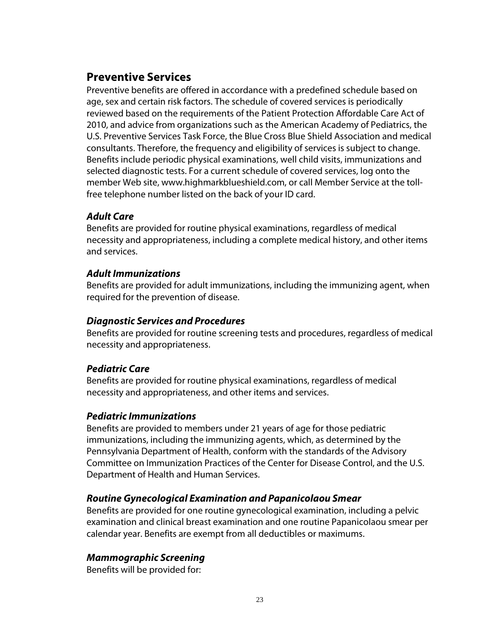## **Preventive Services**

Preventive benefits are offered in accordance with a predefined schedule based on age, sex and certain risk factors. The schedule of covered services is periodically reviewed based on the requirements of the Patient Protection Affordable Care Act of 2010, and advice from organizations such as the American Academy of Pediatrics, the U.S. Preventive Services Task Force, the Blue Cross Blue Shield Association and medical consultants. Therefore, the frequency and eligibility of services is subject to change. Benefits include periodic physical examinations, well child visits, immunizations and selected diagnostic tests. For a current schedule of covered services, log onto the member Web site, www.highmarkblueshield.com, or call Member Service at the tollfree telephone number listed on the back of your ID card.

## *Adult Care*

Benefits are provided for routine physical examinations, regardless of medical necessity and appropriateness, including a complete medical history, and other items and services.

#### *Adult Immunizations*

Benefits are provided for adult immunizations, including the immunizing agent, when required for the prevention of disease.

#### *Diagnostic Services and Procedures*

Benefits are provided for routine screening tests and procedures, regardless of medical necessity and appropriateness.

## *Pediatric Care*

Benefits are provided for routine physical examinations, regardless of medical necessity and appropriateness, and other items and services.

#### *Pediatric Immunizations*

Benefits are provided to members under 21 years of age for those pediatric immunizations, including the immunizing agents, which, as determined by the Pennsylvania Department of Health, conform with the standards of the Advisory Committee on Immunization Practices of the Center for Disease Control, and the U.S. Department of Health and Human Services.

## *Routine Gynecological Examination and Papanicolaou Smear*

Benefits are provided for one routine gynecological examination, including a pelvic examination and clinical breast examination and one routine Papanicolaou smear per calendar year. Benefits are exempt from all deductibles or maximums.

## *Mammographic Screening*

Benefits will be provided for: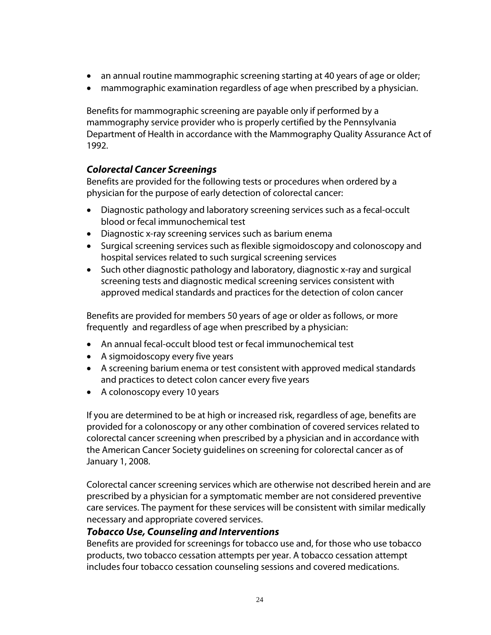- an annual routine mammographic screening starting at 40 years of age or older;
- mammographic examination regardless of age when prescribed by a physician.

Benefits for mammographic screening are payable only if performed by a mammography service provider who is properly certified by the Pennsylvania Department of Health in accordance with the Mammography Quality Assurance Act of 1992.

## *Colorectal Cancer Screenings*

Benefits are provided for the following tests or procedures when ordered by a physician for the purpose of early detection of colorectal cancer:

- Diagnostic pathology and laboratory screening services such as a fecal-occult blood or fecal immunochemical test
- Diagnostic x-ray screening services such as barium enema
- Surgical screening services such as flexible sigmoidoscopy and colonoscopy and hospital services related to such surgical screening services
- Such other diagnostic pathology and laboratory, diagnostic x-ray and surgical screening tests and diagnostic medical screening services consistent with approved medical standards and practices for the detection of colon cancer

Benefits are provided for members 50 years of age or older as follows, or more frequently and regardless of age when prescribed by a physician:

- An annual fecal-occult blood test or fecal immunochemical test
- A sigmoidoscopy every five years
- A screening barium enema or test consistent with approved medical standards and practices to detect colon cancer every five years
- A colonoscopy every 10 years

If you are determined to be at high or increased risk, regardless of age, benefits are provided for a colonoscopy or any other combination of covered services related to colorectal cancer screening when prescribed by a physician and in accordance with the American Cancer Society guidelines on screening for colorectal cancer as of January 1, 2008.

Colorectal cancer screening services which are otherwise not described herein and are prescribed by a physician for a symptomatic member are not considered preventive care services. The payment for these services will be consistent with similar medically necessary and appropriate covered services.

#### *Tobacco Use, Counseling and Interventions*

Benefits are provided for screenings for tobacco use and, for those who use tobacco products, two tobacco cessation attempts per year. A tobacco cessation attempt includes four tobacco cessation counseling sessions and covered medications.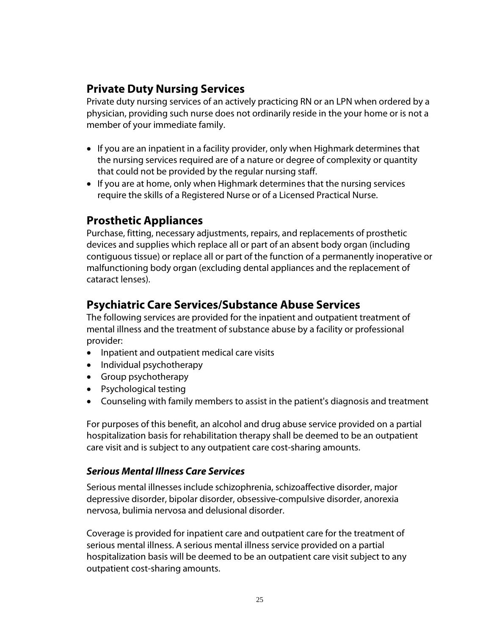## **Private Duty Nursing Services**

Private duty nursing services of an actively practicing RN or an LPN when ordered by a physician, providing such nurse does not ordinarily reside in the your home or is not a member of your immediate family.

- If you are an inpatient in a facility provider, only when Highmark determines that the nursing services required are of a nature or degree of complexity or quantity that could not be provided by the regular nursing staff.
- If you are at home, only when Highmark determines that the nursing services require the skills of a Registered Nurse or of a Licensed Practical Nurse.

## **Prosthetic Appliances**

Purchase, fitting, necessary adjustments, repairs, and replacements of prosthetic devices and supplies which replace all or part of an absent body organ (including contiguous tissue) or replace all or part of the function of a permanently inoperative or malfunctioning body organ (excluding dental appliances and the replacement of cataract lenses).

## **Psychiatric Care Services/Substance Abuse Services**

The following services are provided for the inpatient and outpatient treatment of mental illness and the treatment of substance abuse by a facility or professional provider:

- Inpatient and outpatient medical care visits
- Individual psychotherapy
- Group psychotherapy
- Psychological testing
- Counseling with family members to assist in the patient's diagnosis and treatment

For purposes of this benefit, an alcohol and drug abuse service provided on a partial hospitalization basis for rehabilitation therapy shall be deemed to be an outpatient care visit and is subject to any outpatient care cost-sharing amounts.

#### *Serious Mental Illness Care Services*

Serious mental illnesses include schizophrenia, schizoaffective disorder, major depressive disorder, bipolar disorder, obsessive-compulsive disorder, anorexia nervosa, bulimia nervosa and delusional disorder.

Coverage is provided for inpatient care and outpatient care for the treatment of serious mental illness. A serious mental illness service provided on a partial hospitalization basis will be deemed to be an outpatient care visit subject to any outpatient cost-sharing amounts.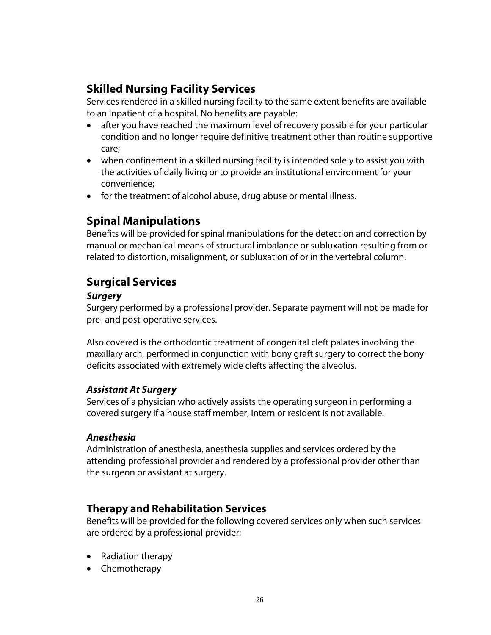## **Skilled Nursing Facility Services**

Services rendered in a skilled nursing facility to the same extent benefits are available to an inpatient of a hospital. No benefits are payable:

- after you have reached the maximum level of recovery possible for your particular condition and no longer require definitive treatment other than routine supportive care;
- when confinement in a skilled nursing facility is intended solely to assist you with the activities of daily living or to provide an institutional environment for your convenience;
- for the treatment of alcohol abuse, drug abuse or mental illness.

## **Spinal Manipulations**

Benefits will be provided for spinal manipulations for the detection and correction by manual or mechanical means of structural imbalance or subluxation resulting from or related to distortion, misalignment, or subluxation of or in the vertebral column.

## **Surgical Services**

#### *Surgery*

Surgery performed by a professional provider. Separate payment will not be made for pre- and post-operative services.

Also covered is the orthodontic treatment of congenital cleft palates involving the maxillary arch, performed in conjunction with bony graft surgery to correct the bony deficits associated with extremely wide clefts affecting the alveolus.

#### *Assistant At Surgery*

Services of a physician who actively assists the operating surgeon in performing a covered surgery if a house staff member, intern or resident is not available.

#### *Anesthesia*

Administration of anesthesia, anesthesia supplies and services ordered by the attending professional provider and rendered by a professional provider other than the surgeon or assistant at surgery.

## **Therapy and Rehabilitation Services**

Benefits will be provided for the following covered services only when such services are ordered by a professional provider:

- Radiation therapy
- Chemotherapy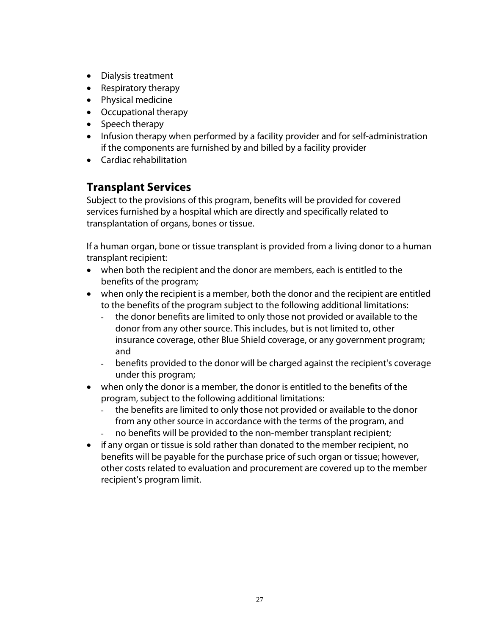- Dialysis treatment
- Respiratory therapy
- Physical medicine
- Occupational therapy
- Speech therapy
- Infusion therapy when performed by a facility provider and for self-administration if the components are furnished by and billed by a facility provider
- Cardiac rehabilitation

## **Transplant Services**

Subject to the provisions of this program, benefits will be provided for covered services furnished by a hospital which are directly and specifically related to transplantation of organs, bones or tissue.

If a human organ, bone or tissue transplant is provided from a living donor to a human transplant recipient:

- when both the recipient and the donor are members, each is entitled to the benefits of the program;
- when only the recipient is a member, both the donor and the recipient are entitled to the benefits of the program subject to the following additional limitations:
	- the donor benefits are limited to only those not provided or available to the donor from any other source. This includes, but is not limited to, other insurance coverage, other Blue Shield coverage, or any government program; and
	- benefits provided to the donor will be charged against the recipient's coverage under this program;
- when only the donor is a member, the donor is entitled to the benefits of the program, subject to the following additional limitations:
	- the benefits are limited to only those not provided or available to the donor from any other source in accordance with the terms of the program, and
	- no benefits will be provided to the non-member transplant recipient;
- if any organ or tissue is sold rather than donated to the member recipient, no benefits will be payable for the purchase price of such organ or tissue; however, other costs related to evaluation and procurement are covered up to the member recipient's program limit.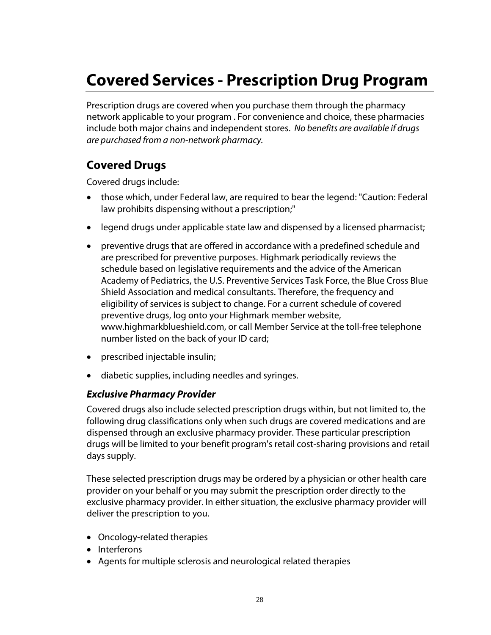# **Covered Services - Prescription Drug Program**

Prescription drugs are covered when you purchase them through the pharmacy network applicable to your program . For convenience and choice, these pharmacies include both major chains and independent stores. *No benefits are available if drugs are purchased from a non-network pharmacy.*

## **Covered Drugs**

Covered drugs include:

- those which, under Federal law, are required to bear the legend: "Caution: Federal law prohibits dispensing without a prescription;"
- legend drugs under applicable state law and dispensed by a licensed pharmacist;
- preventive drugs that are offered in accordance with a predefined schedule and are prescribed for preventive purposes. Highmark periodically reviews the schedule based on legislative requirements and the advice of the American Academy of Pediatrics, the U.S. Preventive Services Task Force, the Blue Cross Blue Shield Association and medical consultants. Therefore, the frequency and eligibility of services is subject to change. For a current schedule of covered preventive drugs, log onto your Highmark member website, www.highmarkblueshield.com, or call Member Service at the toll-free telephone number listed on the back of your ID card;
- prescribed injectable insulin;
- diabetic supplies, including needles and syringes.

#### *Exclusive Pharmacy Provider*

Covered drugs also include selected prescription drugs within, but not limited to, the following drug classifications only when such drugs are covered medications and are dispensed through an exclusive pharmacy provider. These particular prescription drugs will be limited to your benefit program's retail cost-sharing provisions and retail days supply.

These selected prescription drugs may be ordered by a physician or other health care provider on your behalf or you may submit the prescription order directly to the exclusive pharmacy provider. In either situation, the exclusive pharmacy provider will deliver the prescription to you.

- Oncology-related therapies
- Interferons
- Agents for multiple sclerosis and neurological related therapies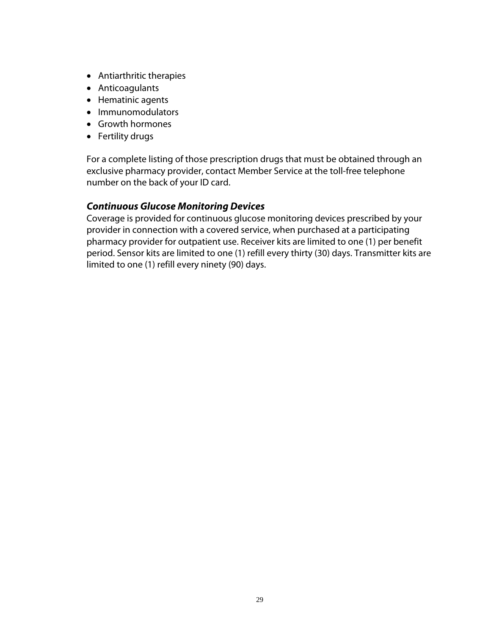- Antiarthritic therapies
- Anticoagulants
- Hematinic agents
- Immunomodulators
- Growth hormones
- Fertility drugs

For a complete listing of those prescription drugs that must be obtained through an exclusive pharmacy provider, contact Member Service at the toll-free telephone number on the back of your ID card.

#### *Continuous Glucose Monitoring Devices*

Coverage is provided for continuous glucose monitoring devices prescribed by your provider in connection with a covered service, when purchased at a participating pharmacy provider for outpatient use. Receiver kits are limited to one (1) per benefit period. Sensor kits are limited to one (1) refill every thirty (30) days. Transmitter kits are limited to one (1) refill every ninety (90) days.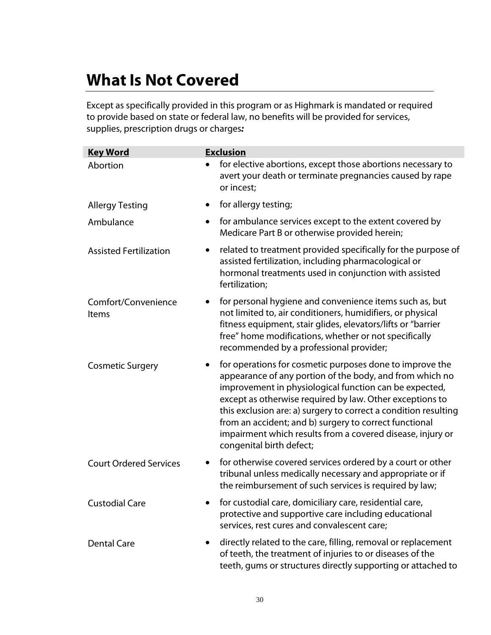# **What Is Not Covered**

Except as specifically provided in this program or as Highmark is mandated or required to provide based on state or federal law, no benefits will be provided for services, supplies, prescription drugs or charges*:*

| <b>Key Word</b>                     | <b>Exclusion</b>                                                                                                                                                                                                                                                                                                                                                                                                                                                  |
|-------------------------------------|-------------------------------------------------------------------------------------------------------------------------------------------------------------------------------------------------------------------------------------------------------------------------------------------------------------------------------------------------------------------------------------------------------------------------------------------------------------------|
| Abortion                            | for elective abortions, except those abortions necessary to<br>avert your death or terminate pregnancies caused by rape<br>or incest;                                                                                                                                                                                                                                                                                                                             |
| <b>Allergy Testing</b>              | for allergy testing;                                                                                                                                                                                                                                                                                                                                                                                                                                              |
| Ambulance                           | for ambulance services except to the extent covered by<br>Medicare Part B or otherwise provided herein;                                                                                                                                                                                                                                                                                                                                                           |
| <b>Assisted Fertilization</b>       | related to treatment provided specifically for the purpose of<br>$\bullet$<br>assisted fertilization, including pharmacological or<br>hormonal treatments used in conjunction with assisted<br>fertilization;                                                                                                                                                                                                                                                     |
| Comfort/Convenience<br><b>Items</b> | for personal hygiene and convenience items such as, but<br>$\bullet$<br>not limited to, air conditioners, humidifiers, or physical<br>fitness equipment, stair glides, elevators/lifts or "barrier<br>free" home modifications, whether or not specifically<br>recommended by a professional provider;                                                                                                                                                            |
| <b>Cosmetic Surgery</b>             | for operations for cosmetic purposes done to improve the<br>appearance of any portion of the body, and from which no<br>improvement in physiological function can be expected,<br>except as otherwise required by law. Other exceptions to<br>this exclusion are: a) surgery to correct a condition resulting<br>from an accident; and b) surgery to correct functional<br>impairment which results from a covered disease, injury or<br>congenital birth defect; |
| <b>Court Ordered Services</b>       | for otherwise covered services ordered by a court or other<br>$\bullet$<br>tribunal unless medically necessary and appropriate or if<br>the reimbursement of such services is required by law;                                                                                                                                                                                                                                                                    |
| <b>Custodial Care</b>               | for custodial care, domiciliary care, residential care,<br>protective and supportive care including educational<br>services, rest cures and convalescent care;                                                                                                                                                                                                                                                                                                    |
| <b>Dental Care</b>                  | directly related to the care, filling, removal or replacement<br>of teeth, the treatment of injuries to or diseases of the<br>teeth, gums or structures directly supporting or attached to                                                                                                                                                                                                                                                                        |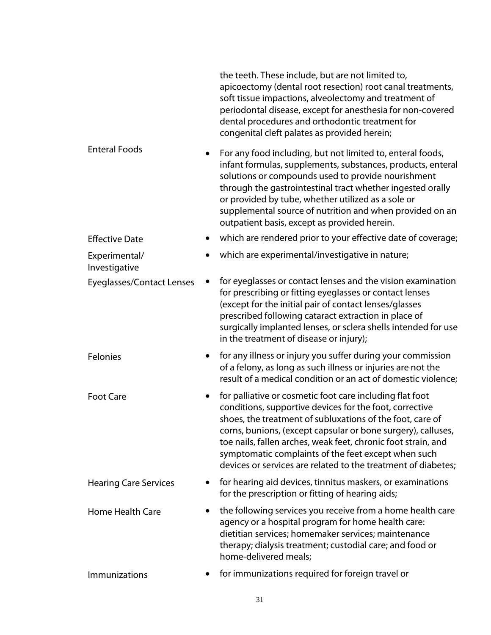|                                  |           | the teeth. These include, but are not limited to,<br>apicoectomy (dental root resection) root canal treatments,<br>soft tissue impactions, alveolectomy and treatment of<br>periodontal disease, except for anesthesia for non-covered<br>dental procedures and orthodontic treatment for<br>congenital cleft palates as provided herein;                                                                                                 |
|----------------------------------|-----------|-------------------------------------------------------------------------------------------------------------------------------------------------------------------------------------------------------------------------------------------------------------------------------------------------------------------------------------------------------------------------------------------------------------------------------------------|
| <b>Enteral Foods</b>             | $\bullet$ | For any food including, but not limited to, enteral foods,<br>infant formulas, supplements, substances, products, enteral<br>solutions or compounds used to provide nourishment<br>through the gastrointestinal tract whether ingested orally<br>or provided by tube, whether utilized as a sole or<br>supplemental source of nutrition and when provided on an<br>outpatient basis, except as provided herein.                           |
| <b>Effective Date</b>            |           | which are rendered prior to your effective date of coverage;                                                                                                                                                                                                                                                                                                                                                                              |
| Experimental/<br>Investigative   | $\bullet$ | which are experimental/investigative in nature;                                                                                                                                                                                                                                                                                                                                                                                           |
| <b>Eyeglasses/Contact Lenses</b> |           | for eyeglasses or contact lenses and the vision examination<br>for prescribing or fitting eyeglasses or contact lenses<br>(except for the initial pair of contact lenses/glasses<br>prescribed following cataract extraction in place of<br>surgically implanted lenses, or sclera shells intended for use<br>in the treatment of disease or injury);                                                                                     |
| Felonies                         | $\bullet$ | for any illness or injury you suffer during your commission<br>of a felony, as long as such illness or injuries are not the<br>result of a medical condition or an act of domestic violence;                                                                                                                                                                                                                                              |
| <b>Foot Care</b>                 | $\bullet$ | for palliative or cosmetic foot care including flat foot<br>conditions, supportive devices for the foot, corrective<br>shoes, the treatment of subluxations of the foot, care of<br>corns, bunions, (except capsular or bone surgery), calluses,<br>toe nails, fallen arches, weak feet, chronic foot strain, and<br>symptomatic complaints of the feet except when such<br>devices or services are related to the treatment of diabetes; |
| <b>Hearing Care Services</b>     | $\bullet$ | for hearing aid devices, tinnitus maskers, or examinations<br>for the prescription or fitting of hearing aids;                                                                                                                                                                                                                                                                                                                            |
| <b>Home Health Care</b>          | $\bullet$ | the following services you receive from a home health care<br>agency or a hospital program for home health care:<br>dietitian services; homemaker services; maintenance<br>therapy; dialysis treatment; custodial care; and food or<br>home-delivered meals;                                                                                                                                                                              |
| <b>Immunizations</b>             |           | for immunizations required for foreign travel or                                                                                                                                                                                                                                                                                                                                                                                          |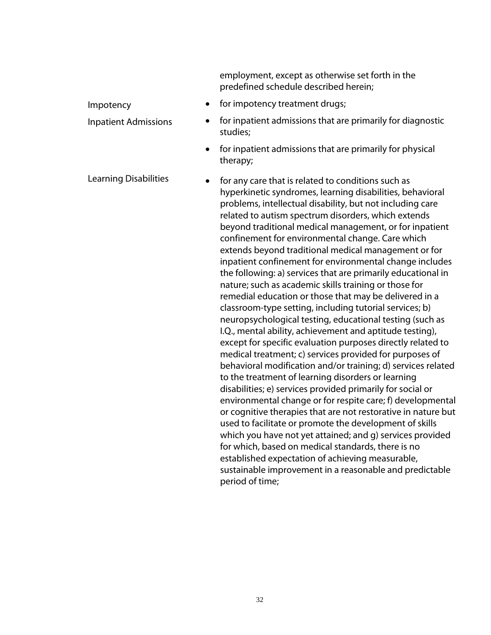employment, except as otherwise set forth in the predefined schedule described herein;

- Impotency **contains the set of the for impotency treatment drugs;**
- Inpatient Admissions for inpatient admissions that are primarily for diagnostic studies;
	- for inpatient admissions that are primarily for physical therapy;

Learning Disabilities • for any care that is related to conditions such as hyperkinetic syndromes, learning disabilities, behavioral problems, intellectual disability, but not including care related to autism spectrum disorders, which extends beyond traditional medical management, or for inpatient confinement for environmental change. Care which extends beyond traditional medical management or for inpatient confinement for environmental change includes the following: a) services that are primarily educational in nature; such as academic skills training or those for remedial education or those that may be delivered in a classroom-type setting, including tutorial services; b) neuropsychological testing, educational testing (such as I.Q., mental ability, achievement and aptitude testing), except for specific evaluation purposes directly related to medical treatment; c) services provided for purposes of behavioral modification and/or training; d) services related to the treatment of learning disorders or learning disabilities; e) services provided primarily for social or environmental change or for respite care; f) developmental or cognitive therapies that are not restorative in nature but used to facilitate or promote the development of skills which you have not yet attained; and g) services provided for which, based on medical standards, there is no established expectation of achieving measurable, sustainable improvement in a reasonable and predictable period of time;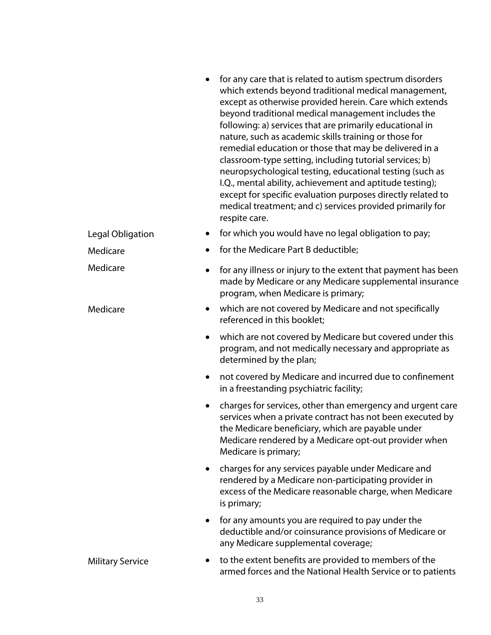|                         |           | for any care that is related to autism spectrum disorders<br>which extends beyond traditional medical management,<br>except as otherwise provided herein. Care which extends<br>beyond traditional medical management includes the<br>following: a) services that are primarily educational in<br>nature, such as academic skills training or those for<br>remedial education or those that may be delivered in a<br>classroom-type setting, including tutorial services; b)<br>neuropsychological testing, educational testing (such as<br>I.Q., mental ability, achievement and aptitude testing);<br>except for specific evaluation purposes directly related to<br>medical treatment; and c) services provided primarily for |
|-------------------------|-----------|----------------------------------------------------------------------------------------------------------------------------------------------------------------------------------------------------------------------------------------------------------------------------------------------------------------------------------------------------------------------------------------------------------------------------------------------------------------------------------------------------------------------------------------------------------------------------------------------------------------------------------------------------------------------------------------------------------------------------------|
| Legal Obligation        | $\bullet$ | respite care.<br>for which you would have no legal obligation to pay;                                                                                                                                                                                                                                                                                                                                                                                                                                                                                                                                                                                                                                                            |
| Medicare                | $\bullet$ | for the Medicare Part B deductible;                                                                                                                                                                                                                                                                                                                                                                                                                                                                                                                                                                                                                                                                                              |
| Medicare                | $\bullet$ | for any illness or injury to the extent that payment has been<br>made by Medicare or any Medicare supplemental insurance<br>program, when Medicare is primary;                                                                                                                                                                                                                                                                                                                                                                                                                                                                                                                                                                   |
| Medicare                | $\bullet$ | which are not covered by Medicare and not specifically<br>referenced in this booklet;                                                                                                                                                                                                                                                                                                                                                                                                                                                                                                                                                                                                                                            |
|                         | $\bullet$ | which are not covered by Medicare but covered under this<br>program, and not medically necessary and appropriate as<br>determined by the plan;                                                                                                                                                                                                                                                                                                                                                                                                                                                                                                                                                                                   |
|                         | $\bullet$ | not covered by Medicare and incurred due to confinement<br>in a freestanding psychiatric facility;                                                                                                                                                                                                                                                                                                                                                                                                                                                                                                                                                                                                                               |
|                         | $\bullet$ | charges for services, other than emergency and urgent care<br>services when a private contract has not been executed by<br>the Medicare beneficiary, which are payable under<br>Medicare rendered by a Medicare opt-out provider when<br>Medicare is primary;                                                                                                                                                                                                                                                                                                                                                                                                                                                                    |
|                         | $\bullet$ | charges for any services payable under Medicare and<br>rendered by a Medicare non-participating provider in<br>excess of the Medicare reasonable charge, when Medicare<br>is primary;                                                                                                                                                                                                                                                                                                                                                                                                                                                                                                                                            |
|                         | $\bullet$ | for any amounts you are required to pay under the<br>deductible and/or coinsurance provisions of Medicare or<br>any Medicare supplemental coverage;                                                                                                                                                                                                                                                                                                                                                                                                                                                                                                                                                                              |
| <b>Military Service</b> |           | to the extent benefits are provided to members of the<br>armed forces and the National Health Service or to patients                                                                                                                                                                                                                                                                                                                                                                                                                                                                                                                                                                                                             |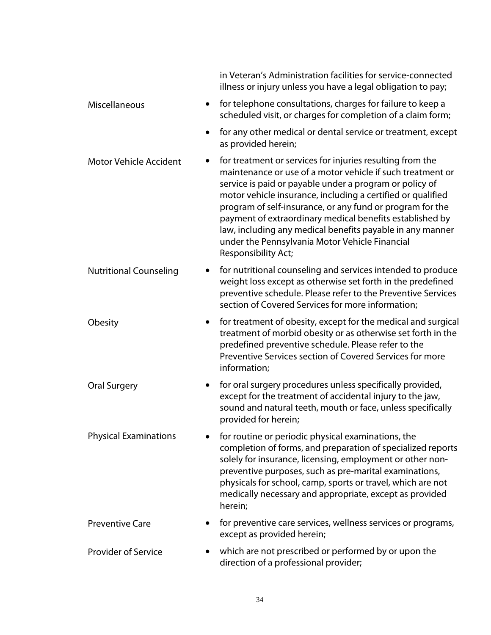|                                            | in Veteran's Administration facilities for service-connected<br>illness or injury unless you have a legal obligation to pay;                                                                                                                                                                                                                                                                                                                                                                                     |
|--------------------------------------------|------------------------------------------------------------------------------------------------------------------------------------------------------------------------------------------------------------------------------------------------------------------------------------------------------------------------------------------------------------------------------------------------------------------------------------------------------------------------------------------------------------------|
| Miscellaneous<br>$\bullet$                 | for telephone consultations, charges for failure to keep a<br>scheduled visit, or charges for completion of a claim form;                                                                                                                                                                                                                                                                                                                                                                                        |
| $\bullet$                                  | for any other medical or dental service or treatment, except<br>as provided herein;                                                                                                                                                                                                                                                                                                                                                                                                                              |
| <b>Motor Vehicle Accident</b>              | for treatment or services for injuries resulting from the<br>maintenance or use of a motor vehicle if such treatment or<br>service is paid or payable under a program or policy of<br>motor vehicle insurance, including a certified or qualified<br>program of self-insurance, or any fund or program for the<br>payment of extraordinary medical benefits established by<br>law, including any medical benefits payable in any manner<br>under the Pennsylvania Motor Vehicle Financial<br>Responsibility Act; |
| <b>Nutritional Counseling</b><br>$\bullet$ | for nutritional counseling and services intended to produce<br>weight loss except as otherwise set forth in the predefined<br>preventive schedule. Please refer to the Preventive Services<br>section of Covered Services for more information;                                                                                                                                                                                                                                                                  |
| Obesity<br>$\bullet$                       | for treatment of obesity, except for the medical and surgical<br>treatment of morbid obesity or as otherwise set forth in the<br>predefined preventive schedule. Please refer to the<br>Preventive Services section of Covered Services for more<br>information;                                                                                                                                                                                                                                                 |
| <b>Oral Surgery</b><br>$\bullet$           | for oral surgery procedures unless specifically provided,<br>except for the treatment of accidental injury to the jaw,<br>sound and natural teeth, mouth or face, unless specifically<br>provided for herein;                                                                                                                                                                                                                                                                                                    |
| <b>Physical Examinations</b>               | for routine or periodic physical examinations, the<br>completion of forms, and preparation of specialized reports<br>solely for insurance, licensing, employment or other non-<br>preventive purposes, such as pre-marital examinations,<br>physicals for school, camp, sports or travel, which are not<br>medically necessary and appropriate, except as provided<br>herein;                                                                                                                                    |
| <b>Preventive Care</b>                     | for preventive care services, wellness services or programs,<br>except as provided herein;                                                                                                                                                                                                                                                                                                                                                                                                                       |
| <b>Provider of Service</b>                 | which are not prescribed or performed by or upon the<br>direction of a professional provider;                                                                                                                                                                                                                                                                                                                                                                                                                    |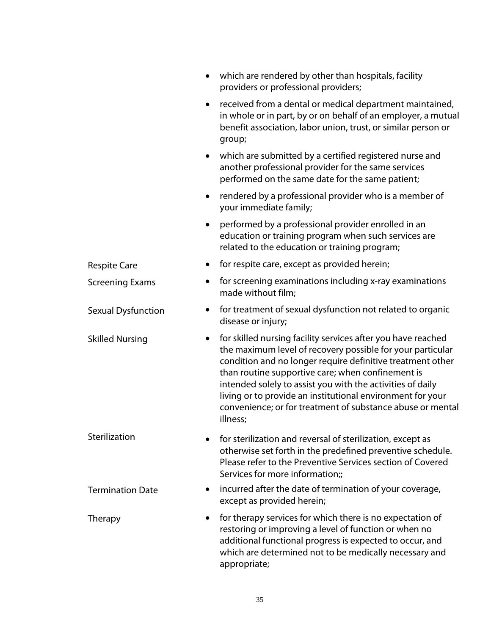|                         | which are rendered by other than hospitals, facility<br>$\bullet$<br>providers or professional providers;                                                                                                                                                                                                                                                                                                                                                        |
|-------------------------|------------------------------------------------------------------------------------------------------------------------------------------------------------------------------------------------------------------------------------------------------------------------------------------------------------------------------------------------------------------------------------------------------------------------------------------------------------------|
|                         | received from a dental or medical department maintained,<br>$\bullet$<br>in whole or in part, by or on behalf of an employer, a mutual<br>benefit association, labor union, trust, or similar person or<br>group;                                                                                                                                                                                                                                                |
|                         | which are submitted by a certified registered nurse and<br>$\bullet$<br>another professional provider for the same services<br>performed on the same date for the same patient;                                                                                                                                                                                                                                                                                  |
|                         | rendered by a professional provider who is a member of<br>$\bullet$<br>your immediate family;                                                                                                                                                                                                                                                                                                                                                                    |
|                         | performed by a professional provider enrolled in an<br>$\bullet$<br>education or training program when such services are<br>related to the education or training program;                                                                                                                                                                                                                                                                                        |
| <b>Respite Care</b>     | for respite care, except as provided herein;<br>$\bullet$                                                                                                                                                                                                                                                                                                                                                                                                        |
| <b>Screening Exams</b>  | for screening examinations including x-ray examinations<br>$\bullet$<br>made without film;                                                                                                                                                                                                                                                                                                                                                                       |
| Sexual Dysfunction      | for treatment of sexual dysfunction not related to organic<br>$\bullet$<br>disease or injury;                                                                                                                                                                                                                                                                                                                                                                    |
| <b>Skilled Nursing</b>  | for skilled nursing facility services after you have reached<br>$\bullet$<br>the maximum level of recovery possible for your particular<br>condition and no longer require definitive treatment other<br>than routine supportive care; when confinement is<br>intended solely to assist you with the activities of daily<br>living or to provide an institutional environment for your<br>convenience; or for treatment of substance abuse or mental<br>illness; |
| Sterilization           | for sterilization and reversal of sterilization, except as<br>otherwise set forth in the predefined preventive schedule.<br>Please refer to the Preventive Services section of Covered<br>Services for more information;;                                                                                                                                                                                                                                        |
| <b>Termination Date</b> | incurred after the date of termination of your coverage,<br>except as provided herein;                                                                                                                                                                                                                                                                                                                                                                           |
| Therapy                 | for therapy services for which there is no expectation of<br>$\bullet$<br>restoring or improving a level of function or when no<br>additional functional progress is expected to occur, and<br>which are determined not to be medically necessary and<br>appropriate;                                                                                                                                                                                            |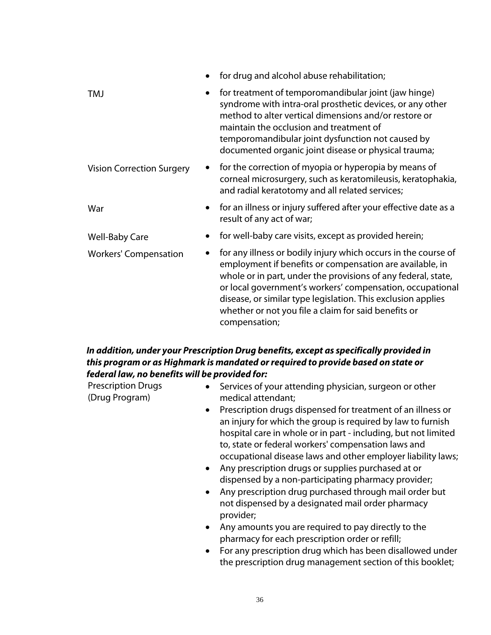|                                  | $\bullet$ | for drug and alcohol abuse rehabilitation;                                                                                                                                                                                                                                                                                                                                                        |
|----------------------------------|-----------|---------------------------------------------------------------------------------------------------------------------------------------------------------------------------------------------------------------------------------------------------------------------------------------------------------------------------------------------------------------------------------------------------|
| TMJ                              | $\bullet$ | for treatment of temporomandibular joint (jaw hinge)<br>syndrome with intra-oral prosthetic devices, or any other<br>method to alter vertical dimensions and/or restore or<br>maintain the occlusion and treatment of<br>temporomandibular joint dysfunction not caused by<br>documented organic joint disease or physical trauma;                                                                |
| <b>Vision Correction Surgery</b> |           | for the correction of myopia or hyperopia by means of<br>corneal microsurgery, such as keratomileusis, keratophakia,<br>and radial keratotomy and all related services;                                                                                                                                                                                                                           |
| War                              | $\bullet$ | for an illness or injury suffered after your effective date as a<br>result of any act of war;                                                                                                                                                                                                                                                                                                     |
| <b>Well-Baby Care</b>            |           | for well-baby care visits, except as provided herein;                                                                                                                                                                                                                                                                                                                                             |
| <b>Workers' Compensation</b>     |           | for any illness or bodily injury which occurs in the course of<br>employment if benefits or compensation are available, in<br>whole or in part, under the provisions of any federal, state,<br>or local government's workers' compensation, occupational<br>disease, or similar type legislation. This exclusion applies<br>whether or not you file a claim for said benefits or<br>compensation; |

### *In addition, under your Prescription Drug benefits, except as specifically provided in this program or as Highmark is mandated or required to provide based on state or federal law, no benefits will be provided for:*

| <b>Prescription Drugs</b><br>(Drug Program) | Services of your attending physician, surgeon or other<br>medical attendant;                                                                                                                                                                                                                                                                                                                                                                                                                                                                                                                        |
|---------------------------------------------|-----------------------------------------------------------------------------------------------------------------------------------------------------------------------------------------------------------------------------------------------------------------------------------------------------------------------------------------------------------------------------------------------------------------------------------------------------------------------------------------------------------------------------------------------------------------------------------------------------|
|                                             | Prescription drugs dispensed for treatment of an illness or<br>$\bullet$<br>an injury for which the group is required by law to furnish<br>hospital care in whole or in part - including, but not limited<br>to, state or federal workers' compensation laws and<br>occupational disease laws and other employer liability laws;<br>Any prescription drugs or supplies purchased at or<br>$\bullet$<br>dispensed by a non-participating pharmacy provider;<br>Any prescription drug purchased through mail order but<br>$\bullet$<br>not dispensed by a designated mail order pharmacy<br>provider; |
|                                             | Any amounts you are required to pay directly to the<br>$\bullet$<br>pharmacy for each prescription order or refill;<br>For any prescription drug which has been disallowed under<br>$\bullet$<br>the prescription drug management section of this booklet;                                                                                                                                                                                                                                                                                                                                          |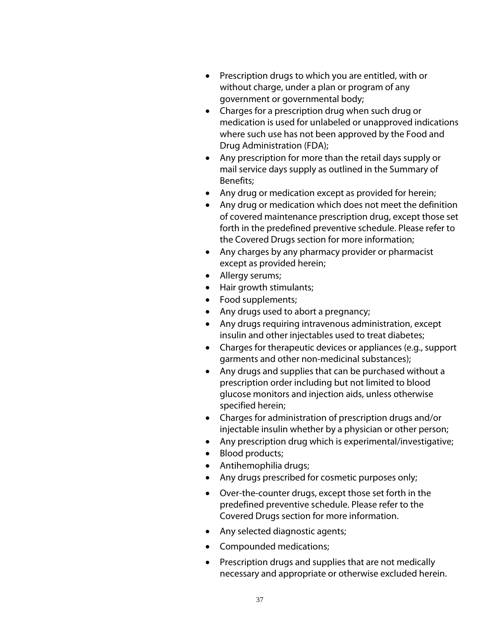- Prescription drugs to which you are entitled, with or without charge, under a plan or program of any government or governmental body;
- Charges for a prescription drug when such drug or medication is used for unlabeled or unapproved indications where such use has not been approved by the Food and Drug Administration (FDA);
- Any prescription for more than the retail days supply or mail service days supply as outlined in the Summary of Benefits;
- Any drug or medication except as provided for herein;
- Any drug or medication which does not meet the definition of covered maintenance prescription drug, except those set forth in the predefined preventive schedule. Please refer to the Covered Drugs section for more information;
- Any charges by any pharmacy provider or pharmacist except as provided herein;
- Allergy serums;
- Hair growth stimulants;
- Food supplements;
- Any drugs used to abort a pregnancy;
- Any drugs requiring intravenous administration, except insulin and other injectables used to treat diabetes;
- Charges for therapeutic devices or appliances (e.g., support garments and other non-medicinal substances);
- Any drugs and supplies that can be purchased without a prescription order including but not limited to blood glucose monitors and injection aids, unless otherwise specified herein;
- Charges for administration of prescription drugs and/or injectable insulin whether by a physician or other person;
- Any prescription drug which is experimental/investigative;
- Blood products;
- Antihemophilia drugs;
- Any drugs prescribed for cosmetic purposes only;
- Over-the-counter drugs, except those set forth in the predefined preventive schedule. Please refer to the Covered Drugs section for more information.
- Any selected diagnostic agents;
- Compounded medications;
- Prescription drugs and supplies that are not medically necessary and appropriate or otherwise excluded herein.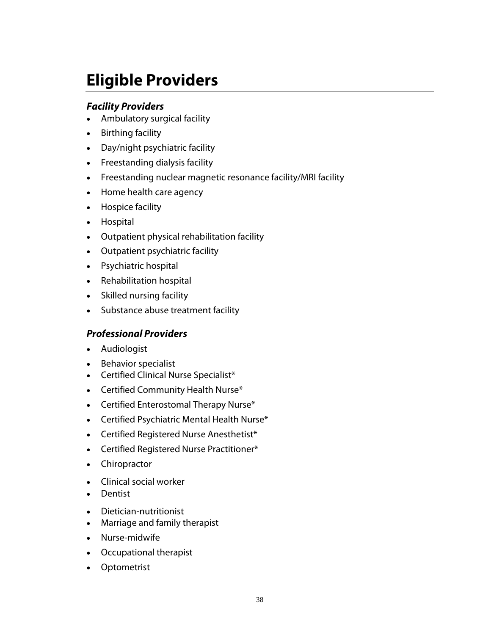# **Eligible Providers**

### *Facility Providers*

- Ambulatory surgical facility
- Birthing facility
- Day/night psychiatric facility
- Freestanding dialysis facility
- Freestanding nuclear magnetic resonance facility/MRI facility
- Home health care agency
- Hospice facility
- Hospital
- Outpatient physical rehabilitation facility
- Outpatient psychiatric facility
- Psychiatric hospital
- Rehabilitation hospital
- Skilled nursing facility
- Substance abuse treatment facility

### *Professional Providers*

- Audiologist
- Behavior specialist
- Certified Clinical Nurse Specialist\*
- Certified Community Health Nurse\*
- Certified Enterostomal Therapy Nurse\*
- Certified Psychiatric Mental Health Nurse\*
- Certified Registered Nurse Anesthetist\*
- Certified Registered Nurse Practitioner\*
- Chiropractor
- Clinical social worker
- **•** Dentist
- Dietician-nutritionist
- Marriage and family therapist
- Nurse-midwife
- Occupational therapist
- Optometrist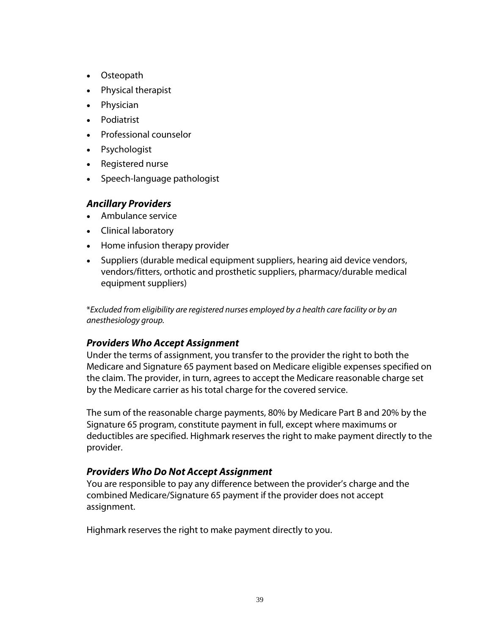- Osteopath
- Physical therapist
- Physician
- Podiatrist
- Professional counselor
- Psychologist
- Registered nurse
- Speech-language pathologist

#### *Ancillary Providers*

- Ambulance service
- Clinical laboratory
- Home infusion therapy provider
- Suppliers (durable medical equipment suppliers, hearing aid device vendors, vendors/fitters, orthotic and prosthetic suppliers, pharmacy/durable medical equipment suppliers)

\**Excluded from eligibility are registered nurses employed by a health care facility or by an anesthesiology group.*

### *Providers Who Accept Assignment*

Under the terms of assignment, you transfer to the provider the right to both the Medicare and Signature 65 payment based on Medicare eligible expenses specified on the claim. The provider, in turn, agrees to accept the Medicare reasonable charge set by the Medicare carrier as his total charge for the covered service.

The sum of the reasonable charge payments, 80% by Medicare Part B and 20% by the Signature 65 program, constitute payment in full, except where maximums or deductibles are specified. Highmark reserves the right to make payment directly to the provider.

### *Providers Who Do Not Accept Assignment*

You are responsible to pay any difference between the provider's charge and the combined Medicare/Signature 65 payment if the provider does not accept assignment.

Highmark reserves the right to make payment directly to you.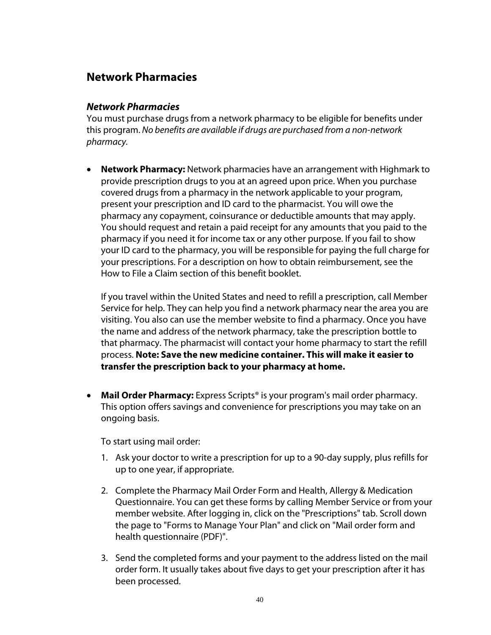### **Network Pharmacies**

### *Network Pharmacies*

You must purchase drugs from a network pharmacy to be eligible for benefits under this program. *No benefits are available if drugs are purchased from a non-network pharmacy.*

 **Network Pharmacy:** Network pharmacies have an arrangement with Highmark to provide prescription drugs to you at an agreed upon price. When you purchase covered drugs from a pharmacy in the network applicable to your program, present your prescription and ID card to the pharmacist. You will owe the pharmacy any copayment, coinsurance or deductible amounts that may apply. You should request and retain a paid receipt for any amounts that you paid to the pharmacy if you need it for income tax or any other purpose. If you fail to show your ID card to the pharmacy, you will be responsible for paying the full charge for your prescriptions. For a description on how to obtain reimbursement, see the How to File a Claim section of this benefit booklet.

If you travel within the United States and need to refill a prescription, call Member Service for help. They can help you find a network pharmacy near the area you are visiting. You also can use the member website to find a pharmacy. Once you have the name and address of the network pharmacy, take the prescription bottle to that pharmacy. The pharmacist will contact your home pharmacy to start the refill process. **Note: Save the new medicine container. This will make it easier to transfer the prescription back to your pharmacy at home.**

 **Mail Order Pharmacy:** Express Scripts® is your program's mail order pharmacy. This option offers savings and convenience for prescriptions you may take on an ongoing basis.

To start using mail order:

- 1. Ask your doctor to write a prescription for up to a 90-day supply, plus refills for up to one year, if appropriate.
- 2. Complete the Pharmacy Mail Order Form and Health, Allergy & Medication Questionnaire. You can get these forms by calling Member Service or from your member website. After logging in, click on the "Prescriptions" tab. Scroll down the page to "Forms to Manage Your Plan" and click on "Mail order form and health questionnaire (PDF)".
- 3. Send the completed forms and your payment to the address listed on the mail order form. It usually takes about five days to get your prescription after it has been processed.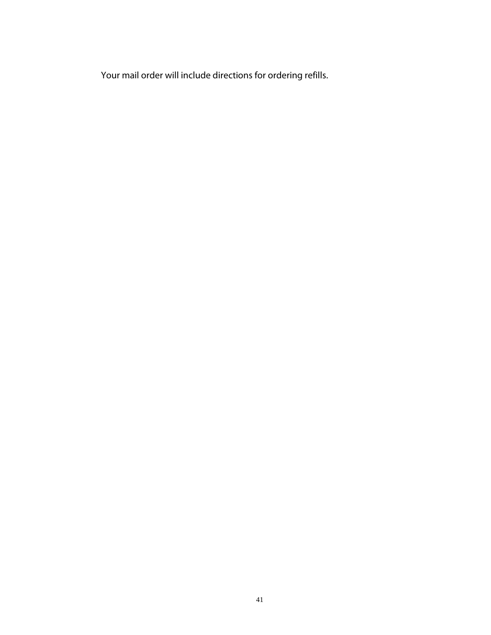Your mail order will include directions for ordering refills.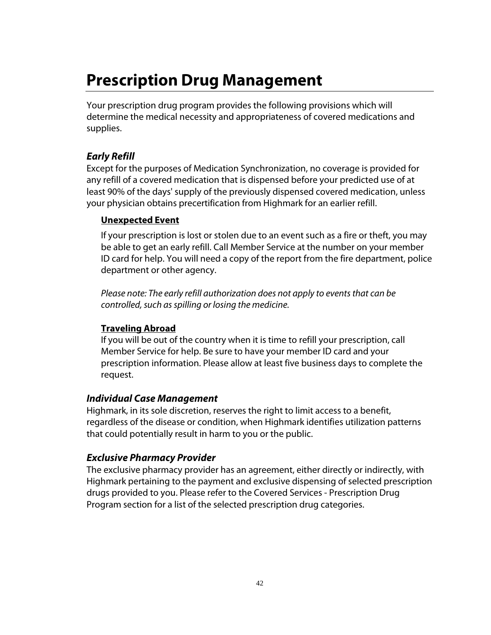# **Prescription Drug Management**

Your prescription drug program provides the following provisions which will determine the medical necessity and appropriateness of covered medications and supplies.

### *Early Refill*

Except for the purposes of Medication Synchronization, no coverage is provided for any refill of a covered medication that is dispensed before your predicted use of at least 90% of the days' supply of the previously dispensed covered medication, unless your physician obtains precertification from Highmark for an earlier refill.

### **Unexpected Event**

If your prescription is lost or stolen due to an event such as a fire or theft, you may be able to get an early refill. Call Member Service at the number on your member ID card for help. You will need a copy of the report from the fire department, police department or other agency.

*Please note: The early refill authorization does not apply to events that can be controlled, such as spilling or losing the medicine.*

### **Traveling Abroad**

If you will be out of the country when it is time to refill your prescription, call Member Service for help. Be sure to have your member ID card and your prescription information. Please allow at least five business days to complete the request.

### *Individual Case Management*

Highmark, in its sole discretion, reserves the right to limit access to a benefit, regardless of the disease or condition, when Highmark identifies utilization patterns that could potentially result in harm to you or the public.

### *Exclusive Pharmacy Provider*

The exclusive pharmacy provider has an agreement, either directly or indirectly, with Highmark pertaining to the payment and exclusive dispensing of selected prescription drugs provided to you. Please refer to the Covered Services - Prescription Drug Program section for a list of the selected prescription drug categories.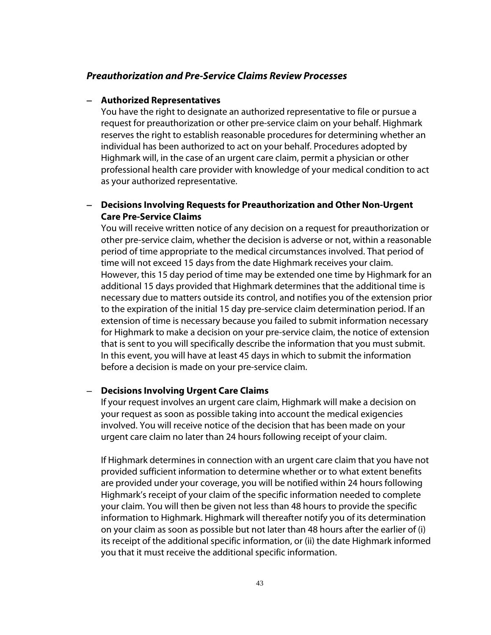#### *Preauthorization and Pre-Service Claims Review Processes*

#### **Authorized Representatives**

You have the right to designate an authorized representative to file or pursue a request for preauthorization or other pre-service claim on your behalf. Highmark reserves the right to establish reasonable procedures for determining whether an individual has been authorized to act on your behalf. Procedures adopted by Highmark will, in the case of an urgent care claim, permit a physician or other professional health care provider with knowledge of your medical condition to act as your authorized representative.

#### **Decisions Involving Requests for Preauthorization and Other Non-Urgent Care Pre-Service Claims**

You will receive written notice of any decision on a request for preauthorization or other pre-service claim, whether the decision is adverse or not, within a reasonable period of time appropriate to the medical circumstances involved. That period of time will not exceed 15 days from the date Highmark receives your claim. However, this 15 day period of time may be extended one time by Highmark for an additional 15 days provided that Highmark determines that the additional time is necessary due to matters outside its control, and notifies you of the extension prior to the expiration of the initial 15 day pre-service claim determination period. If an extension of time is necessary because you failed to submit information necessary for Highmark to make a decision on your pre-service claim, the notice of extension that is sent to you will specifically describe the information that you must submit. In this event, you will have at least 45 days in which to submit the information before a decision is made on your pre-service claim.

#### **Decisions Involving Urgent Care Claims**

If your request involves an urgent care claim, Highmark will make a decision on your request as soon as possible taking into account the medical exigencies involved. You will receive notice of the decision that has been made on your urgent care claim no later than 24 hours following receipt of your claim.

If Highmark determines in connection with an urgent care claim that you have not provided sufficient information to determine whether or to what extent benefits are provided under your coverage, you will be notified within 24 hours following Highmark's receipt of your claim of the specific information needed to complete your claim. You will then be given not less than 48 hours to provide the specific information to Highmark. Highmark will thereafter notify you of its determination on your claim as soon as possible but not later than 48 hours after the earlier of (i) its receipt of the additional specific information, or (ii) the date Highmark informed you that it must receive the additional specific information.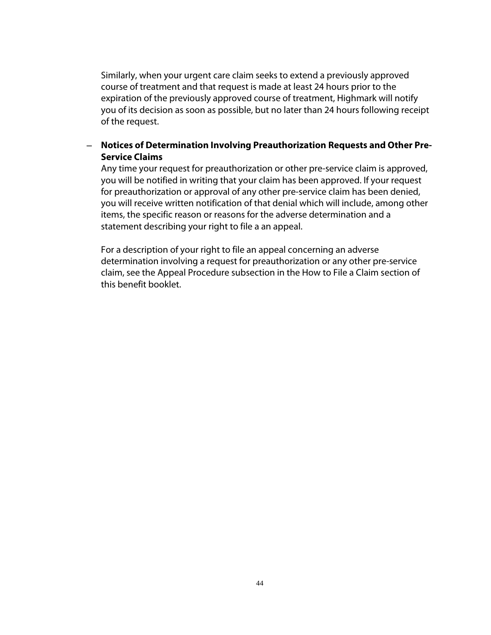Similarly, when your urgent care claim seeks to extend a previously approved course of treatment and that request is made at least 24 hours prior to the expiration of the previously approved course of treatment, Highmark will notify you of its decision as soon as possible, but no later than 24 hours following receipt of the request.

### **Notices of Determination Involving Preauthorization Requests and Other Pre-Service Claims**

Any time your request for preauthorization or other pre-service claim is approved, you will be notified in writing that your claim has been approved. If your request for preauthorization or approval of any other pre-service claim has been denied, you will receive written notification of that denial which will include, among other items, the specific reason or reasons for the adverse determination and a statement describing your right to file a an appeal.

For a description of your right to file an appeal concerning an adverse determination involving a request for preauthorization or any other pre-service claim, see the Appeal Procedure subsection in the How to File a Claim section of this benefit booklet.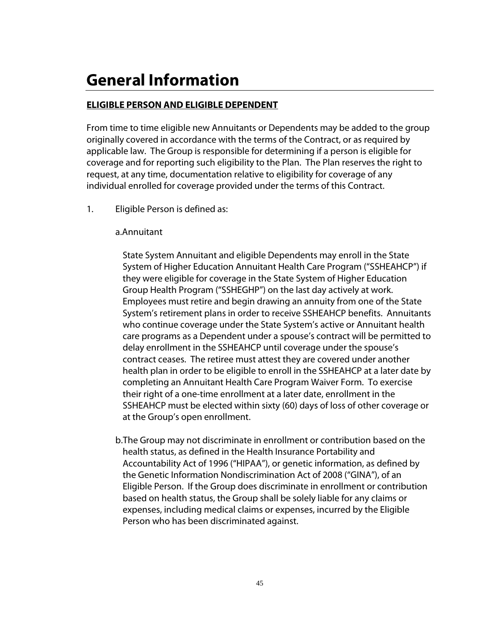# **General Information**

### **ELIGIBLE PERSON AND ELIGIBLE DEPENDENT**

From time to time eligible new Annuitants or Dependents may be added to the group originally covered in accordance with the terms of the Contract, or as required by applicable law. The Group is responsible for determining if a person is eligible for coverage and for reporting such eligibility to the Plan. The Plan reserves the right to request, at any time, documentation relative to eligibility for coverage of any individual enrolled for coverage provided under the terms of this Contract.

1. Eligible Person is defined as:

#### a.Annuitant

State System Annuitant and eligible Dependents may enroll in the State System of Higher Education Annuitant Health Care Program ("SSHEAHCP") if they were eligible for coverage in the State System of Higher Education Group Health Program ("SSHEGHP") on the last day actively at work. Employees must retire and begin drawing an annuity from one of the State System's retirement plans in order to receive SSHEAHCP benefits. Annuitants who continue coverage under the State System's active or Annuitant health care programs as a Dependent under a spouse's contract will be permitted to delay enrollment in the SSHEAHCP until coverage under the spouse's contract ceases. The retiree must attest they are covered under another health plan in order to be eligible to enroll in the SSHEAHCP at a later date by completing an Annuitant Health Care Program Waiver Form. To exercise their right of a one-time enrollment at a later date, enrollment in the SSHEAHCP must be elected within sixty (60) days of loss of other coverage or at the Group's open enrollment.

b.The Group may not discriminate in enrollment or contribution based on the health status, as defined in the Health Insurance Portability and Accountability Act of 1996 ("HIPAA"), or genetic information, as defined by the Genetic Information Nondiscrimination Act of 2008 ("GINA"), of an Eligible Person. If the Group does discriminate in enrollment or contribution based on health status, the Group shall be solely liable for any claims or expenses, including medical claims or expenses, incurred by the Eligible Person who has been discriminated against.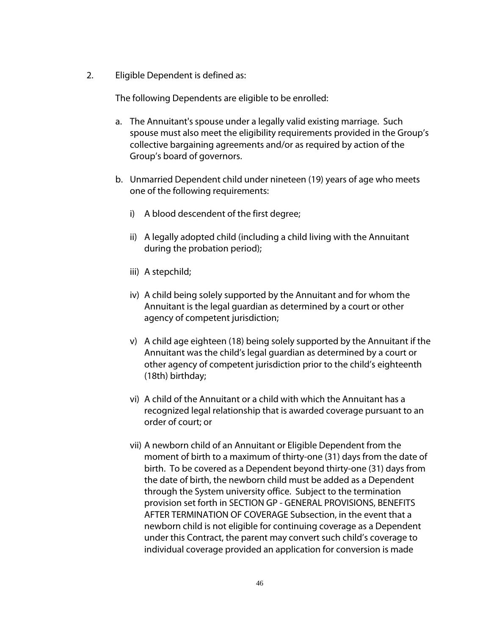2. Eligible Dependent is defined as:

The following Dependents are eligible to be enrolled:

- a. The Annuitant's spouse under a legally valid existing marriage. Such spouse must also meet the eligibility requirements provided in the Group's collective bargaining agreements and/or as required by action of the Group's board of governors.
- b. Unmarried Dependent child under nineteen (19) years of age who meets one of the following requirements:
	- i) A blood descendent of the first degree;
	- ii) A legally adopted child (including a child living with the Annuitant during the probation period);
	- iii) A stepchild;
	- iv) A child being solely supported by the Annuitant and for whom the Annuitant is the legal guardian as determined by a court or other agency of competent jurisdiction;
	- v) A child age eighteen (18) being solely supported by the Annuitant if the Annuitant was the child's legal guardian as determined by a court or other agency of competent jurisdiction prior to the child's eighteenth (18th) birthday;
	- vi) A child of the Annuitant or a child with which the Annuitant has a recognized legal relationship that is awarded coverage pursuant to an order of court; or
	- vii) A newborn child of an Annuitant or Eligible Dependent from the moment of birth to a maximum of thirty-one (31) days from the date of birth. To be covered as a Dependent beyond thirty-one (31) days from the date of birth, the newborn child must be added as a Dependent through the System university office. Subject to the termination provision set forth in SECTION GP - GENERAL PROVISIONS, BENEFITS AFTER TERMINATION OF COVERAGE Subsection, in the event that a newborn child is not eligible for continuing coverage as a Dependent under this Contract, the parent may convert such child's coverage to individual coverage provided an application for conversion is made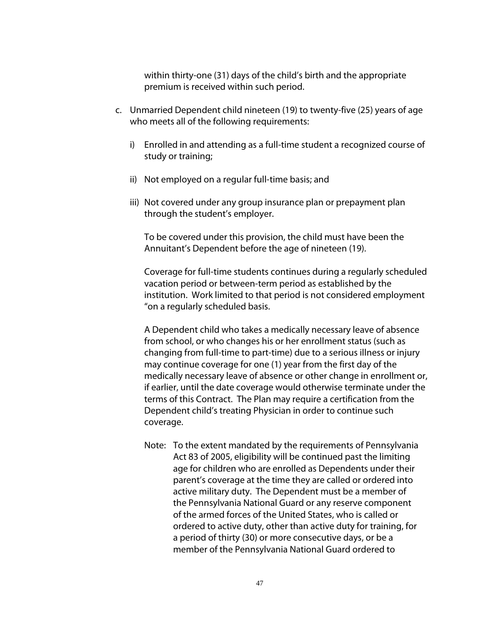within thirty-one (31) days of the child's birth and the appropriate premium is received within such period.

- c. Unmarried Dependent child nineteen (19) to twenty-five (25) years of age who meets all of the following requirements:
	- i) Enrolled in and attending as a full-time student a recognized course of study or training;
	- ii) Not employed on a regular full-time basis; and
	- iii) Not covered under any group insurance plan or prepayment plan through the student's employer.

To be covered under this provision, the child must have been the Annuitant's Dependent before the age of nineteen (19).

Coverage for full-time students continues during a regularly scheduled vacation period or between-term period as established by the institution. Work limited to that period is not considered employment "on a regularly scheduled basis.

A Dependent child who takes a medically necessary leave of absence from school, or who changes his or her enrollment status (such as changing from full-time to part-time) due to a serious illness or injury may continue coverage for one (1) year from the first day of the medically necessary leave of absence or other change in enrollment or, if earlier, until the date coverage would otherwise terminate under the terms of this Contract. The Plan may require a certification from the Dependent child's treating Physician in order to continue such coverage.

Note: To the extent mandated by the requirements of Pennsylvania Act 83 of 2005, eligibility will be continued past the limiting age for children who are enrolled as Dependents under their parent's coverage at the time they are called or ordered into active military duty. The Dependent must be a member of the Pennsylvania National Guard or any reserve component of the armed forces of the United States, who is called or ordered to active duty, other than active duty for training, for a period of thirty (30) or more consecutive days, or be a member of the Pennsylvania National Guard ordered to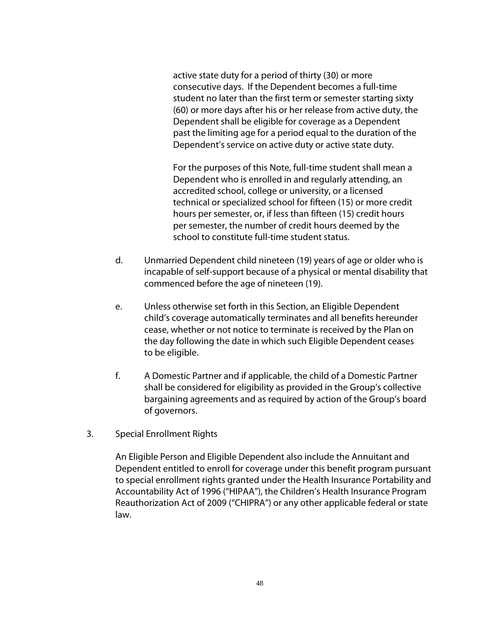active state duty for a period of thirty (30) or more consecutive days. If the Dependent becomes a full-time student no later than the first term or semester starting sixty (60) or more days after his or her release from active duty, the Dependent shall be eligible for coverage as a Dependent past the limiting age for a period equal to the duration of the Dependent's service on active duty or active state duty.

For the purposes of this Note, full-time student shall mean a Dependent who is enrolled in and regularly attending, an accredited school, college or university, or a licensed technical or specialized school for fifteen (15) or more credit hours per semester, or, if less than fifteen (15) credit hours per semester, the number of credit hours deemed by the school to constitute full-time student status.

- d. Unmarried Dependent child nineteen (19) years of age or older who is incapable of self-support because of a physical or mental disability that commenced before the age of nineteen (19).
- e. Unless otherwise set forth in this Section, an Eligible Dependent child's coverage automatically terminates and all benefits hereunder cease, whether or not notice to terminate is received by the Plan on the day following the date in which such Eligible Dependent ceases to be eligible.
- f. A Domestic Partner and if applicable, the child of a Domestic Partner shall be considered for eligibility as provided in the Group's collective bargaining agreements and as required by action of the Group's board of governors.
- 3. Special Enrollment Rights

An Eligible Person and Eligible Dependent also include the Annuitant and Dependent entitled to enroll for coverage under this benefit program pursuant to special enrollment rights granted under the Health Insurance Portability and Accountability Act of 1996 ("HIPAA"), the Children's Health Insurance Program Reauthorization Act of 2009 ("CHIPRA") or any other applicable federal or state law.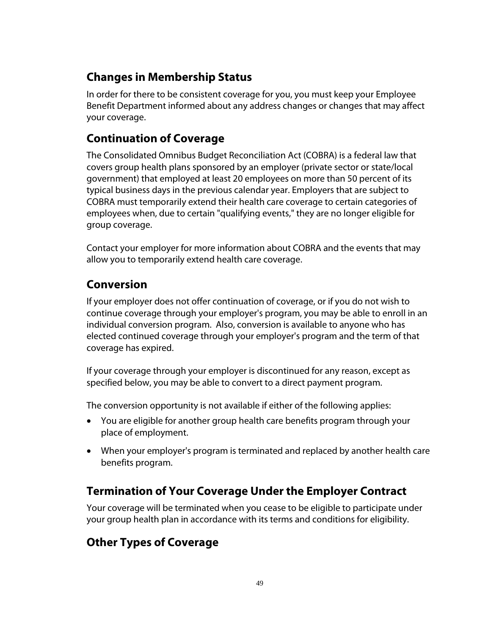# **Changes in Membership Status**

In order for there to be consistent coverage for you, you must keep your Employee Benefit Department informed about any address changes or changes that may affect your coverage.

# **Continuation of Coverage**

The Consolidated Omnibus Budget Reconciliation Act (COBRA) is a federal law that covers group health plans sponsored by an employer (private sector or state/local government) that employed at least 20 employees on more than 50 percent of its typical business days in the previous calendar year. Employers that are subject to COBRA must temporarily extend their health care coverage to certain categories of employees when, due to certain "qualifying events," they are no longer eligible for group coverage.

Contact your employer for more information about COBRA and the events that may allow you to temporarily extend health care coverage.

# **Conversion**

If your employer does not offer continuation of coverage, or if you do not wish to continue coverage through your employer's program, you may be able to enroll in an individual conversion program. Also, conversion is available to anyone who has elected continued coverage through your employer's program and the term of that coverage has expired.

If your coverage through your employer is discontinued for any reason, except as specified below, you may be able to convert to a direct payment program.

The conversion opportunity is not available if either of the following applies:

- You are eligible for another group health care benefits program through your place of employment.
- When your employer's program is terminated and replaced by another health care benefits program.

# **Termination of Your Coverage Under the Employer Contract**

Your coverage will be terminated when you cease to be eligible to participate under your group health plan in accordance with its terms and conditions for eligibility.

# **Other Types of Coverage**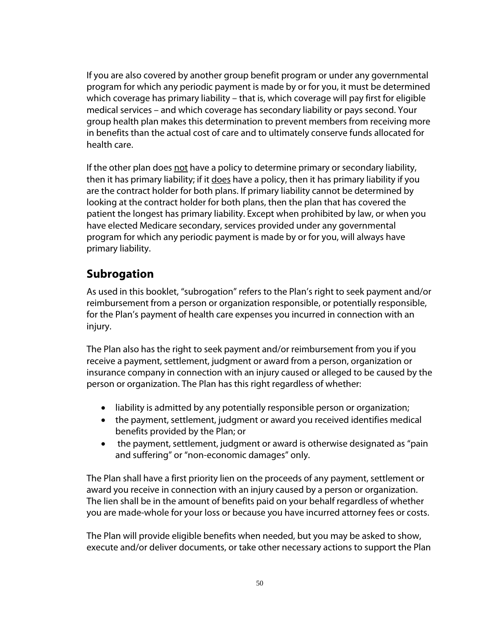If you are also covered by another group benefit program or under any governmental program for which any periodic payment is made by or for you, it must be determined which coverage has primary liability – that is, which coverage will pay first for eligible medical services – and which coverage has secondary liability or pays second. Your group health plan makes this determination to prevent members from receiving more in benefits than the actual cost of care and to ultimately conserve funds allocated for health care.

If the other plan does not have a policy to determine primary or secondary liability, then it has primary liability; if it does have a policy, then it has primary liability if you are the contract holder for both plans. If primary liability cannot be determined by looking at the contract holder for both plans, then the plan that has covered the patient the longest has primary liability. Except when prohibited by law, or when you have elected Medicare secondary, services provided under any governmental program for which any periodic payment is made by or for you, will always have primary liability.

## **Subrogation**

As used in this booklet, "subrogation" refers to the Plan's right to seek payment and/or reimbursement from a person or organization responsible, or potentially responsible, for the Plan's payment of health care expenses you incurred in connection with an injury.

The Plan also has the right to seek payment and/or reimbursement from you if you receive a payment, settlement, judgment or award from a person, organization or insurance company in connection with an injury caused or alleged to be caused by the person or organization. The Plan has this right regardless of whether:

- liability is admitted by any potentially responsible person or organization;
- the payment, settlement, judgment or award you received identifies medical benefits provided by the Plan; or
- the payment, settlement, judgment or award is otherwise designated as "pain and suffering" or "non-economic damages" only.

The Plan shall have a first priority lien on the proceeds of any payment, settlement or award you receive in connection with an injury caused by a person or organization. The lien shall be in the amount of benefits paid on your behalf regardless of whether you are made-whole for your loss or because you have incurred attorney fees or costs.

The Plan will provide eligible benefits when needed, but you may be asked to show, execute and/or deliver documents, or take other necessary actions to support the Plan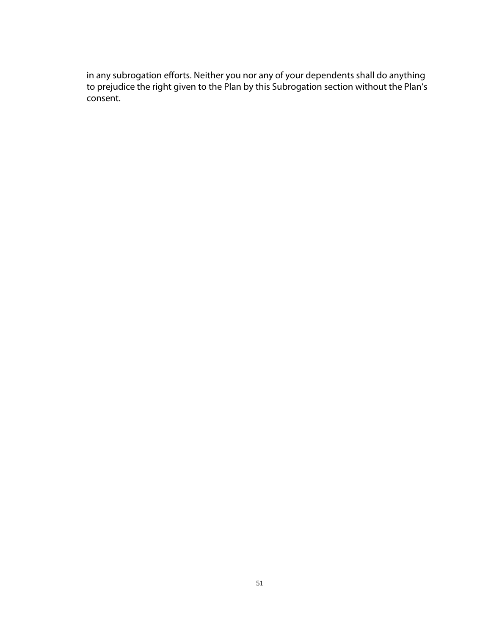in any subrogation efforts. Neither you nor any of your dependents shall do anything to prejudice the right given to the Plan by this Subrogation section without the Plan's consent.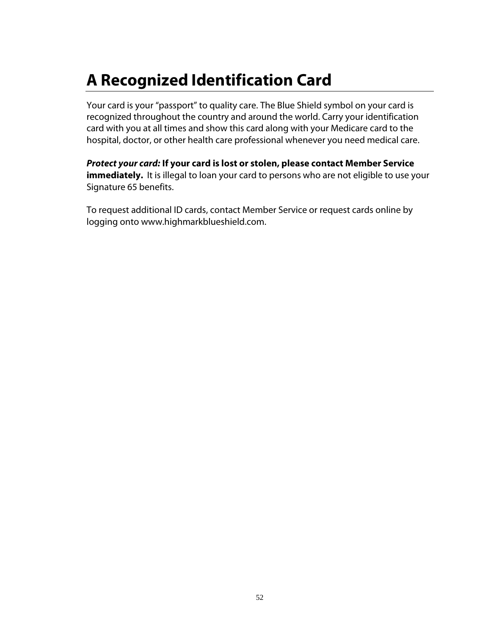# **A Recognized Identification Card**

Your card is your "passport" to quality care. The Blue Shield symbol on your card is recognized throughout the country and around the world. Carry your identification card with you at all times and show this card along with your Medicare card to the hospital, doctor, or other health care professional whenever you need medical care.

*Protect your card:* **If your card is lost or stolen, please contact Member Service immediately.** It is illegal to loan your card to persons who are not eligible to use your Signature 65 benefits.

To request additional ID cards, contact Member Service or request cards online by logging onto www.highmarkblueshield.com.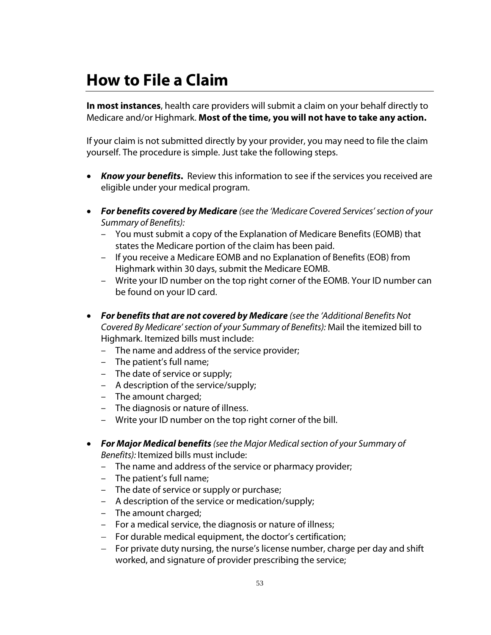# **How to File a Claim**

**In most instances**, health care providers will submit a claim on your behalf directly to Medicare and/or Highmark. **Most of the time, you will not have to take any action.**

If your claim is not submitted directly by your provider, you may need to file the claim yourself. The procedure is simple. Just take the following steps.

- *Know your benefits***.** Review this information to see if the services you received are eligible under your medical program.
- *For benefits covered by Medicare (see the 'Medicare Covered Services' section of your Summary of Benefits):*
	- You must submit a copy of the Explanation of Medicare Benefits (EOMB) that states the Medicare portion of the claim has been paid.
	- If you receive a Medicare EOMB and no Explanation of Benefits (EOB) from Highmark within 30 days, submit the Medicare EOMB.
	- Write your ID number on the top right corner of the EOMB. Your ID number can be found on your ID card.
- *For benefits that are not covered by Medicare (see the 'Additional Benefits Not Covered By Medicare' section of your Summary of Benefits):* Mail the itemized bill to Highmark. Itemized bills must include:
	- The name and address of the service provider;
	- The patient's full name;
	- The date of service or supply;
	- A description of the service/supply;
	- The amount charged;
	- The diagnosis or nature of illness.
	- Write your ID number on the top right corner of the bill.
- *For Major Medical benefits (see the Major Medical section of your Summary of Benefits):* Itemized bills must include:
	- The name and address of the service or pharmacy provider;
	- The patient's full name;
	- The date of service or supply or purchase;
	- A description of the service or medication/supply;
	- The amount charged;
	- For a medical service, the diagnosis or nature of illness;
	- $-$  For durable medical equipment, the doctor's certification;
	- For private duty nursing, the nurse's license number, charge per day and shift worked, and signature of provider prescribing the service;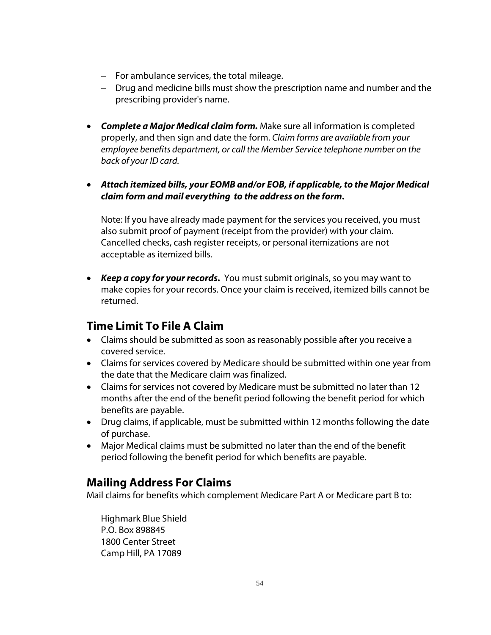- $-$  For ambulance services, the total mileage.
- Drug and medicine bills must show the prescription name and number and the prescribing provider's name.
- *Complete a Major Medical claim form.* Make sure all information is completed properly, and then sign and date the form. *Claim forms are available from your employee benefits department, or call the Member Service telephone number on the back of your ID card.*
- *Attach itemized bills, your EOMB and/or EOB, if applicable, to the Major Medical claim form and mail everything to the address on the form***.**

Note: If you have already made payment for the services you received, you must also submit proof of payment (receipt from the provider) with your claim. Cancelled checks, cash register receipts, or personal itemizations are not acceptable as itemized bills.

 *Keep a copy for your records.* You must submit originals, so you may want to make copies for your records. Once your claim is received, itemized bills cannot be returned.

# **Time Limit To File A Claim**

- Claims should be submitted as soon as reasonably possible after you receive a covered service.
- Claims for services covered by Medicare should be submitted within one year from the date that the Medicare claim was finalized.
- Claims for services not covered by Medicare must be submitted no later than 12 months after the end of the benefit period following the benefit period for which benefits are payable.
- Drug claims, if applicable, must be submitted within 12 months following the date of purchase.
- Major Medical claims must be submitted no later than the end of the benefit period following the benefit period for which benefits are payable.

## **Mailing Address For Claims**

Mail claims for benefits which complement Medicare Part A or Medicare part B to:

Highmark Blue Shield P.O. Box 898845 1800 Center Street Camp Hill, PA 17089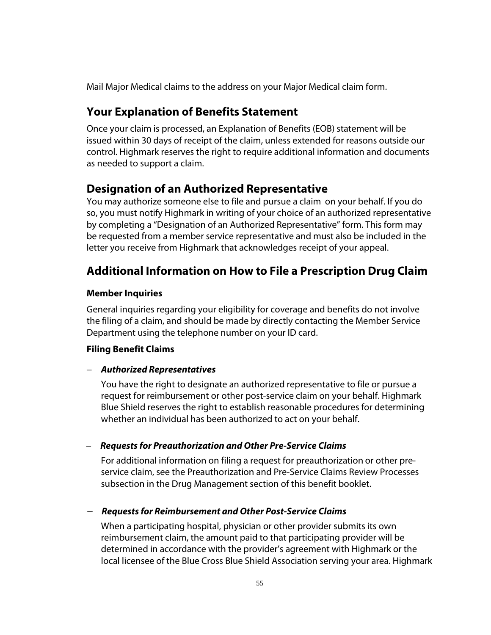Mail Major Medical claims to the address on your Major Medical claim form.

## **Your Explanation of Benefits Statement**

Once your claim is processed, an Explanation of Benefits (EOB) statement will be issued within 30 days of receipt of the claim, unless extended for reasons outside our control. Highmark reserves the right to require additional information and documents as needed to support a claim.

## **Designation of an Authorized Representative**

You may authorize someone else to file and pursue a claim on your behalf. If you do so, you must notify Highmark in writing of your choice of an authorized representative by completing a "Designation of an Authorized Representative" form. This form may be requested from a member service representative and must also be included in the letter you receive from Highmark that acknowledges receipt of your appeal.

## **Additional Information on How to File a Prescription Drug Claim**

### **Member Inquiries**

General inquiries regarding your eligibility for coverage and benefits do not involve the filing of a claim, and should be made by directly contacting the Member Service Department using the telephone number on your ID card.

### **Filing Benefit Claims**

### *Authorized Representatives*

You have the right to designate an authorized representative to file or pursue a request for reimbursement or other post-service claim on your behalf. Highmark Blue Shield reserves the right to establish reasonable procedures for determining whether an individual has been authorized to act on your behalf.

*Requests for Preauthorization and Other Pre-Service Claims*

For additional information on filing a request for preauthorization or other preservice claim, see the Preauthorization and Pre-Service Claims Review Processes subsection in the Drug Management section of this benefit booklet.

### *Requests for Reimbursement and Other Post-Service Claims*

When a participating hospital, physician or other provider submits its own reimbursement claim, the amount paid to that participating provider will be determined in accordance with the provider's agreement with Highmark or the local licensee of the Blue Cross Blue Shield Association serving your area. Highmark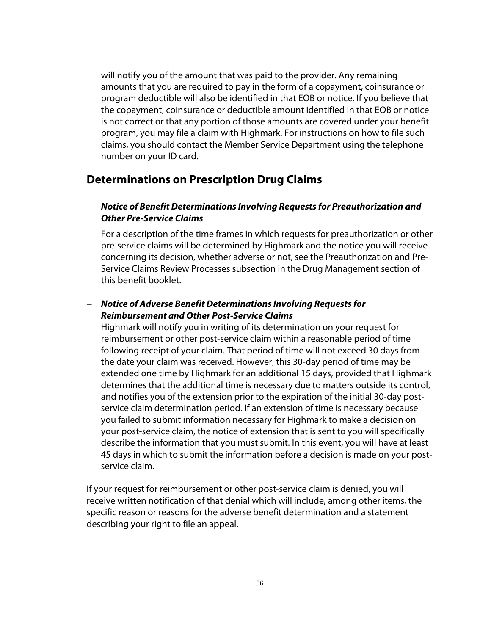will notify you of the amount that was paid to the provider. Any remaining amounts that you are required to pay in the form of a copayment, coinsurance or program deductible will also be identified in that EOB or notice. If you believe that the copayment, coinsurance or deductible amount identified in that EOB or notice is not correct or that any portion of those amounts are covered under your benefit program, you may file a claim with Highmark. For instructions on how to file such claims, you should contact the Member Service Department using the telephone number on your ID card.

### **Determinations on Prescription Drug Claims**

#### *Notice of Benefit Determinations Involving Requests for Preauthorization and Other Pre-Service Claims*

For a description of the time frames in which requests for preauthorization or other pre-service claims will be determined by Highmark and the notice you will receive concerning its decision, whether adverse or not, see the Preauthorization and Pre-Service Claims Review Processes subsection in the Drug Management section of this benefit booklet.

### *Notice of Adverse Benefit Determinations Involving Requests for Reimbursement and Other Post-Service Claims*

Highmark will notify you in writing of its determination on your request for reimbursement or other post-service claim within a reasonable period of time following receipt of your claim. That period of time will not exceed 30 days from the date your claim was received. However, this 30-day period of time may be extended one time by Highmark for an additional 15 days, provided that Highmark determines that the additional time is necessary due to matters outside its control, and notifies you of the extension prior to the expiration of the initial 30-day postservice claim determination period. If an extension of time is necessary because you failed to submit information necessary for Highmark to make a decision on your post-service claim, the notice of extension that is sent to you will specifically describe the information that you must submit. In this event, you will have at least 45 days in which to submit the information before a decision is made on your postservice claim.

If your request for reimbursement or other post-service claim is denied, you will receive written notification of that denial which will include, among other items, the specific reason or reasons for the adverse benefit determination and a statement describing your right to file an appeal.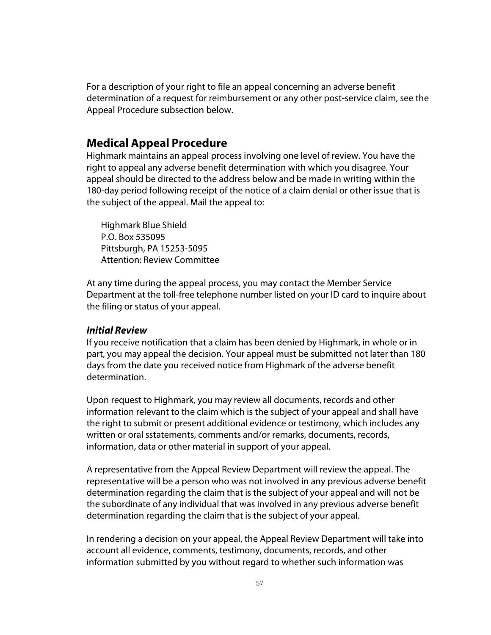For a description of your right to file an appeal concerning an adverse benefit determination of a request for reimbursement or any other post-service claim, see the Appeal Procedure subsection below.

### **Medical Appeal Procedure**

Highmark maintains an appeal process involving one level of review. You have the right to appeal any adverse benefit determination with which you disagree. Your appeal should be directed to the address below and be made in writing within the 180-day period following receipt of the notice of a claim denial or other issue that is the subject of the appeal. Mail the appeal to:

Highmark Blue Shield P.O. Box 535095 Pittsburgh, PA 15253-5095 Attention: Review Committee

At any time during the appeal process, you may contact the Member Service Department at the toll-free telephone number listed on your ID card to inquire about the filing or status of your appeal.

#### *Initial Review*

If you receive notification that a claim has been denied by Highmark, in whole or in part, you may appeal the decision. Your appeal must be submitted not later than 180 days from the date you received notice from Highmark of the adverse benefit determination.

Upon request to Highmark, you may review all documents, records and other information relevant to the claim which is the subject of your appeal and shall have the right to submit or present additional evidence or testimony, which includes any written or oral sstatements, comments and/or remarks, documents, records, information, data or other material in support of your appeal.

A representative from the Appeal Review Department will review the appeal. The representative will be a person who was not involved in any previous adverse benefit determination regarding the claim that is the subject of your appeal and will not be the subordinate of any individual that was involved in any previous adverse benefit determination regarding the claim that is the subject of your appeal.

In rendering a decision on your appeal, the Appeal Review Department will take into account all evidence, comments, testimony, documents, records, and other information submitted by you without regard to whether such information was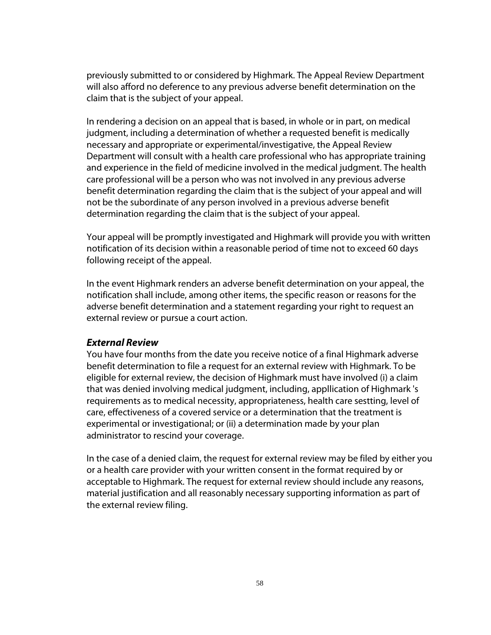previously submitted to or considered by Highmark. The Appeal Review Department will also afford no deference to any previous adverse benefit determination on the claim that is the subject of your appeal.

In rendering a decision on an appeal that is based, in whole or in part, on medical judgment, including a determination of whether a requested benefit is medically necessary and appropriate or experimental/investigative, the Appeal Review Department will consult with a health care professional who has appropriate training and experience in the field of medicine involved in the medical judgment. The health care professional will be a person who was not involved in any previous adverse benefit determination regarding the claim that is the subject of your appeal and will not be the subordinate of any person involved in a previous adverse benefit determination regarding the claim that is the subject of your appeal.

Your appeal will be promptly investigated and Highmark will provide you with written notification of its decision within a reasonable period of time not to exceed 60 days following receipt of the appeal.

In the event Highmark renders an adverse benefit determination on your appeal, the notification shall include, among other items, the specific reason or reasons for the adverse benefit determination and a statement regarding your right to request an external review or pursue a court action.

#### *External Review*

You have four months from the date you receive notice of a final Highmark adverse benefit determination to file a request for an external review with Highmark. To be eligible for external review, the decision of Highmark must have involved (i) a claim that was denied involving medical judgment, including, appllication of Highmark 's requirements as to medical necessity, appropriateness, health care sestting, level of care, effectiveness of a covered service or a determination that the treatment is experimental or investigational; or (ii) a determination made by your plan administrator to rescind your coverage.

In the case of a denied claim, the request for external review may be filed by either you or a health care provider with your written consent in the format required by or acceptable to Highmark. The request for external review should include any reasons, material justification and all reasonably necessary supporting information as part of the external review filing.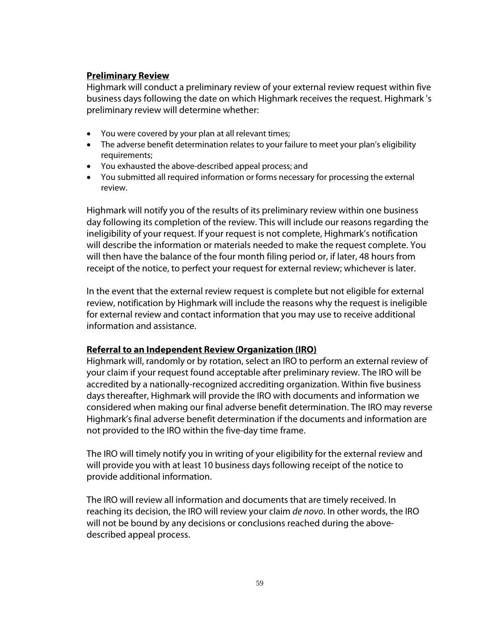#### **Preliminary Review**

Highmark will conduct a preliminary review of your external review request within five business days following the date on which Highmark receives the request. Highmark 's preliminary review will determine whether:

- You were covered by your plan at all relevant times;
- The adverse benefit determination relates to your failure to meet your plan's eligibility requirements;
- You exhausted the above-described appeal process; and
- You submitted all required information or forms necessary for processing the external review.

Highmark will notify you of the results of its preliminary review within one business day following its completion of the review. This will include our reasons regarding the ineligibility of your request. If your request is not complete, Highmark's notification will describe the information or materials needed to make the request complete. You will then have the balance of the four month filing period or, if later, 48 hours from receipt of the notice, to perfect your request for external review; whichever is later.

In the event that the external review request is complete but not eligible for external review, notification by Highmark will include the reasons why the request is ineligible for external review and contact information that you may use to receive additional information and assistance.

#### **Referral to an Independent Review Organization (IRO)**

Highmark will, randomly or by rotation, select an IRO to perform an external review of your claim if your request found acceptable after preliminary review. The IRO will be accredited by a nationally-recognized accrediting organization. Within five business days thereafter, Highmark will provide the IRO with documents and information we considered when making our final adverse benefit determination. The IRO may reverse Highmark's final adverse benefit determination if the documents and information are not provided to the IRO within the five-day time frame.

The IRO will timely notify you in writing of your eligibility for the external review and will provide you with at least 10 business days following receipt of the notice to provide additional information.

The IRO will review all information and documents that are timely received. In reaching its decision, the IRO will review your claim *de novo*. In other words, the IRO will not be bound by any decisions or conclusions reached during the abovedescribed appeal process.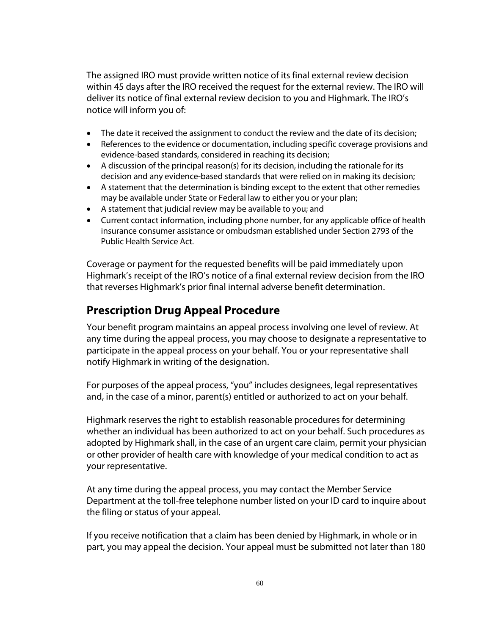The assigned IRO must provide written notice of its final external review decision within 45 days after the IRO received the request for the external review. The IRO will deliver its notice of final external review decision to you and Highmark. The IRO's notice will inform you of:

- The date it received the assignment to conduct the review and the date of its decision;
- References to the evidence or documentation, including specific coverage provisions and evidence-based standards, considered in reaching its decision;
- A discussion of the principal reason(s) for its decision, including the rationale for its decision and any evidence-based standards that were relied on in making its decision;
- A statement that the determination is binding except to the extent that other remedies may be available under State or Federal law to either you or your plan;
- A statement that judicial review may be available to you; and
- Current contact information, including phone number, for any applicable office of health insurance consumer assistance or ombudsman established under Section 2793 of the Public Health Service Act.

Coverage or payment for the requested benefits will be paid immediately upon Highmark's receipt of the IRO's notice of a final external review decision from the IRO that reverses Highmark's prior final internal adverse benefit determination.

## **Prescription Drug Appeal Procedure**

Your benefit program maintains an appeal process involving one level of review. At any time during the appeal process, you may choose to designate a representative to participate in the appeal process on your behalf. You or your representative shall notify Highmark in writing of the designation.

For purposes of the appeal process, "you" includes designees, legal representatives and, in the case of a minor, parent(s) entitled or authorized to act on your behalf.

Highmark reserves the right to establish reasonable procedures for determining whether an individual has been authorized to act on your behalf. Such procedures as adopted by Highmark shall, in the case of an urgent care claim, permit your physician or other provider of health care with knowledge of your medical condition to act as your representative.

At any time during the appeal process, you may contact the Member Service Department at the toll-free telephone number listed on your ID card to inquire about the filing or status of your appeal.

If you receive notification that a claim has been denied by Highmark, in whole or in part, you may appeal the decision. Your appeal must be submitted not later than 180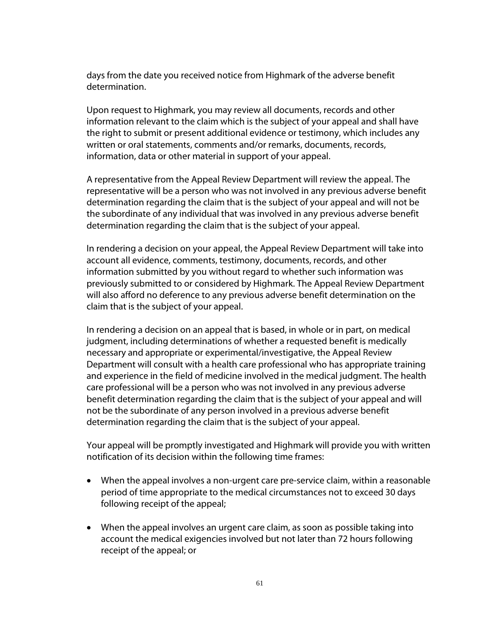days from the date you received notice from Highmark of the adverse benefit determination.

Upon request to Highmark, you may review all documents, records and other information relevant to the claim which is the subject of your appeal and shall have the right to submit or present additional evidence or testimony, which includes any written or oral statements, comments and/or remarks, documents, records, information, data or other material in support of your appeal.

A representative from the Appeal Review Department will review the appeal. The representative will be a person who was not involved in any previous adverse benefit determination regarding the claim that is the subject of your appeal and will not be the subordinate of any individual that was involved in any previous adverse benefit determination regarding the claim that is the subject of your appeal.

In rendering a decision on your appeal, the Appeal Review Department will take into account all evidence, comments, testimony, documents, records, and other information submitted by you without regard to whether such information was previously submitted to or considered by Highmark. The Appeal Review Department will also afford no deference to any previous adverse benefit determination on the claim that is the subject of your appeal.

In rendering a decision on an appeal that is based, in whole or in part, on medical judgment, including determinations of whether a requested benefit is medically necessary and appropriate or experimental/investigative, the Appeal Review Department will consult with a health care professional who has appropriate training and experience in the field of medicine involved in the medical judgment. The health care professional will be a person who was not involved in any previous adverse benefit determination regarding the claim that is the subject of your appeal and will not be the subordinate of any person involved in a previous adverse benefit determination regarding the claim that is the subject of your appeal.

Your appeal will be promptly investigated and Highmark will provide you with written notification of its decision within the following time frames:

- When the appeal involves a non-urgent care pre-service claim, within a reasonable period of time appropriate to the medical circumstances not to exceed 30 days following receipt of the appeal;
- When the appeal involves an urgent care claim, as soon as possible taking into account the medical exigencies involved but not later than 72 hours following receipt of the appeal; or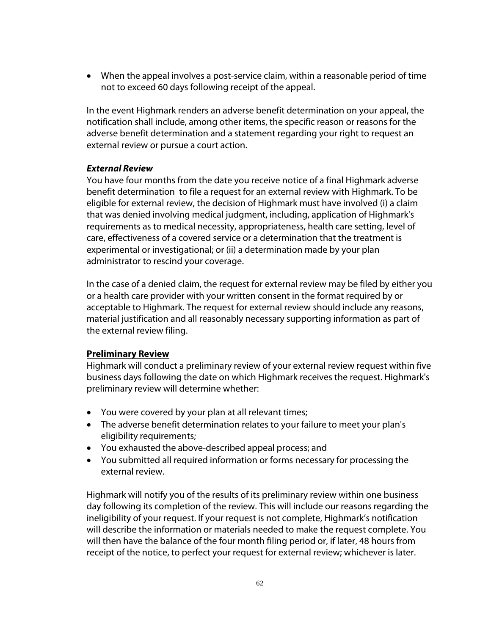When the appeal involves a post-service claim, within a reasonable period of time not to exceed 60 days following receipt of the appeal.

In the event Highmark renders an adverse benefit determination on your appeal, the notification shall include, among other items, the specific reason or reasons for the adverse benefit determination and a statement regarding your right to request an external review or pursue a court action.

#### *External Review*

You have four months from the date you receive notice of a final Highmark adverse benefit determination to file a request for an external review with Highmark. To be eligible for external review, the decision of Highmark must have involved (i) a claim that was denied involving medical judgment, including, application of Highmark's requirements as to medical necessity, appropriateness, health care setting, level of care, effectiveness of a covered service or a determination that the treatment is experimental or investigational; or (ii) a determination made by your plan administrator to rescind your coverage.

In the case of a denied claim, the request for external review may be filed by either you or a health care provider with your written consent in the format required by or acceptable to Highmark. The request for external review should include any reasons, material justification and all reasonably necessary supporting information as part of the external review filing.

### **Preliminary Review**

Highmark will conduct a preliminary review of your external review request within five business days following the date on which Highmark receives the request. Highmark's preliminary review will determine whether:

- You were covered by your plan at all relevant times;
- The adverse benefit determination relates to your failure to meet your plan's eligibility requirements;
- You exhausted the above-described appeal process; and
- You submitted all required information or forms necessary for processing the external review.

Highmark will notify you of the results of its preliminary review within one business day following its completion of the review. This will include our reasons regarding the ineligibility of your request. If your request is not complete, Highmark's notification will describe the information or materials needed to make the request complete. You will then have the balance of the four month filing period or, if later, 48 hours from receipt of the notice, to perfect your request for external review; whichever is later.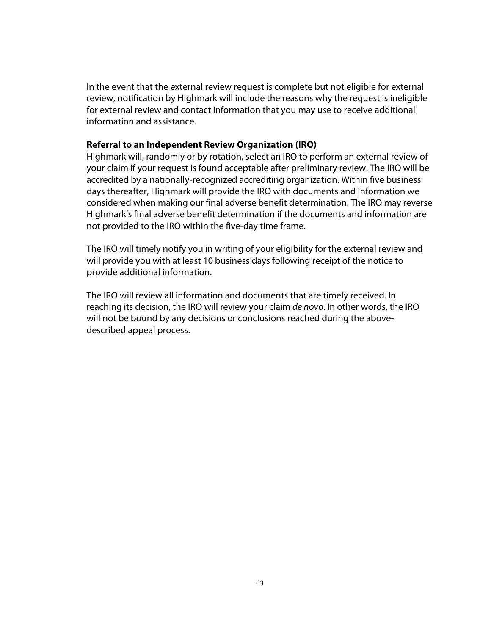In the event that the external review request is complete but not eligible for external review, notification by Highmark will include the reasons why the request is ineligible for external review and contact information that you may use to receive additional information and assistance.

#### **Referral to an Independent Review Organization (IRO)**

Highmark will, randomly or by rotation, select an IRO to perform an external review of your claim if your request is found acceptable after preliminary review. The IRO will be accredited by a nationally-recognized accrediting organization. Within five business days thereafter, Highmark will provide the IRO with documents and information we considered when making our final adverse benefit determination. The IRO may reverse Highmark's final adverse benefit determination if the documents and information are not provided to the IRO within the five-day time frame.

The IRO will timely notify you in writing of your eligibility for the external review and will provide you with at least 10 business days following receipt of the notice to provide additional information.

The IRO will review all information and documents that are timely received. In reaching its decision, the IRO will review your claim *de novo*. In other words, the IRO will not be bound by any decisions or conclusions reached during the abovedescribed appeal process.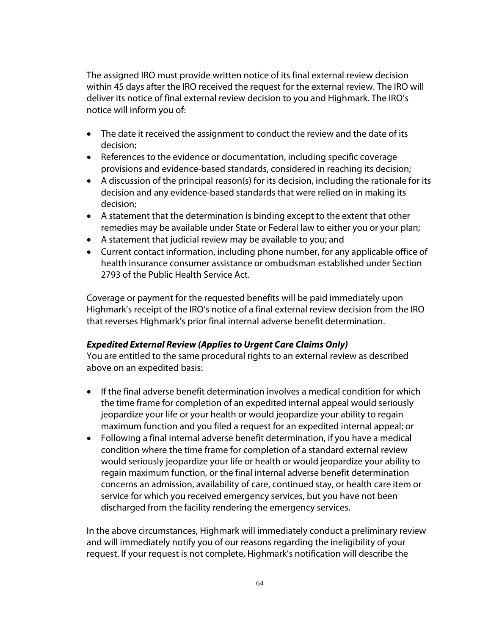The assigned IRO must provide written notice of its final external review decision within 45 days after the IRO received the request for the external review. The IRO will deliver its notice of final external review decision to you and Highmark. The IRO's notice will inform you of:

- The date it received the assignment to conduct the review and the date of its decision;
- References to the evidence or documentation, including specific coverage provisions and evidence-based standards, considered in reaching its decision;
- A discussion of the principal reason(s) for its decision, including the rationale for its decision and any evidence-based standards that were relied on in making its decision;
- A statement that the determination is binding except to the extent that other remedies may be available under State or Federal law to either you or your plan;
- A statement that judicial review may be available to you; and
- Current contact information, including phone number, for any applicable office of health insurance consumer assistance or ombudsman established under Section 2793 of the Public Health Service Act.

Coverage or payment for the requested benefits will be paid immediately upon Highmark's receipt of the IRO's notice of a final external review decision from the IRO that reverses Highmark's prior final internal adverse benefit determination.

### *Expedited External Review (Applies to Urgent Care Claims Only)*

You are entitled to the same procedural rights to an external review as described above on an expedited basis:

- If the final adverse benefit determination involves a medical condition for which the time frame for completion of an expedited internal appeal would seriously jeopardize your life or your health or would jeopardize your ability to regain maximum function and you filed a request for an expedited internal appeal; or
- Following a final internal adverse benefit determination, if you have a medical condition where the time frame for completion of a standard external review would seriously jeopardize your life or health or would jeopardize your ability to regain maximum function, or the final internal adverse benefit determination concerns an admission, availability of care, continued stay, or health care item or service for which you received emergency services, but you have not been discharged from the facility rendering the emergency services.

In the above circumstances, Highmark will immediately conduct a preliminary review and will immediately notify you of our reasons regarding the ineligibility of your request. If your request is not complete, Highmark's notification will describe the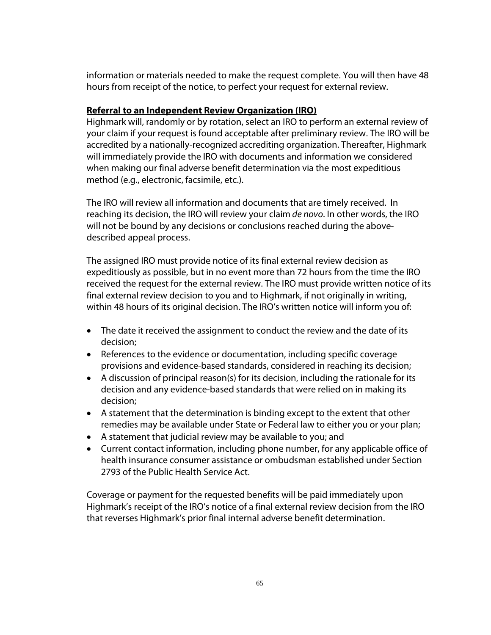information or materials needed to make the request complete. You will then have 48 hours from receipt of the notice, to perfect your request for external review.

#### **Referral to an Independent Review Organization (IRO)**

Highmark will, randomly or by rotation, select an IRO to perform an external review of your claim if your request is found acceptable after preliminary review. The IRO will be accredited by a nationally-recognized accrediting organization. Thereafter, Highmark will immediately provide the IRO with documents and information we considered when making our final adverse benefit determination via the most expeditious method (e.g., electronic, facsimile, etc.).

The IRO will review all information and documents that are timely received. In reaching its decision, the IRO will review your claim *de novo*. In other words, the IRO will not be bound by any decisions or conclusions reached during the abovedescribed appeal process.

The assigned IRO must provide notice of its final external review decision as expeditiously as possible, but in no event more than 72 hours from the time the IRO received the request for the external review. The IRO must provide written notice of its final external review decision to you and to Highmark, if not originally in writing, within 48 hours of its original decision. The IRO's written notice will inform you of:

- The date it received the assignment to conduct the review and the date of its decision;
- References to the evidence or documentation, including specific coverage provisions and evidence-based standards, considered in reaching its decision;
- A discussion of principal reason(s) for its decision, including the rationale for its decision and any evidence-based standards that were relied on in making its decision;
- A statement that the determination is binding except to the extent that other remedies may be available under State or Federal law to either you or your plan;
- A statement that judicial review may be available to you; and
- Current contact information, including phone number, for any applicable office of health insurance consumer assistance or ombudsman established under Section 2793 of the Public Health Service Act.

Coverage or payment for the requested benefits will be paid immediately upon Highmark's receipt of the IRO's notice of a final external review decision from the IRO that reverses Highmark's prior final internal adverse benefit determination.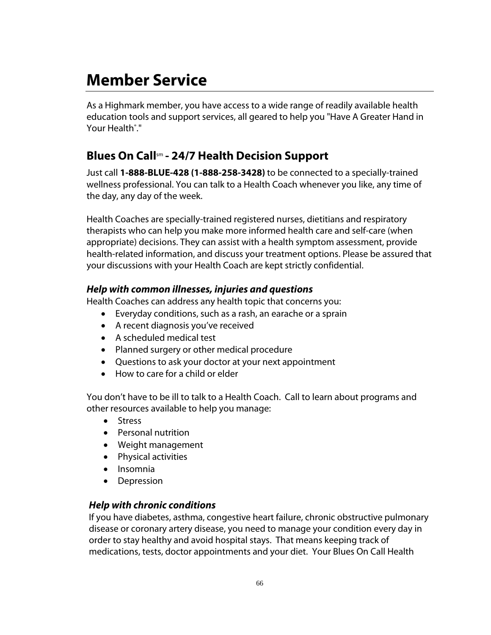# **Member Service**

As a Highmark member, you have access to a wide range of readily available health education tools and support services, all geared to help you "Have A Greater Hand in Your Health<sup>®</sup>."

# **Blues On Call**sm **- 24/7 Health Decision Support**

Just call **1-888-BLUE-428 (1-888-258-3428)** to be connected to a specially-trained wellness professional. You can talk to a Health Coach whenever you like, any time of the day, any day of the week.

Health Coaches are specially-trained registered nurses, dietitians and respiratory therapists who can help you make more informed health care and self-care (when appropriate) decisions. They can assist with a health symptom assessment, provide health-related information, and discuss your treatment options. Please be assured that your discussions with your Health Coach are kept strictly confidential.

### *Help with common illnesses, injuries and questions*

Health Coaches can address any health topic that concerns you:

- Everyday conditions, such as a rash, an earache or a sprain
- A recent diagnosis you've received
- A scheduled medical test
- Planned surgery or other medical procedure
- Questions to ask your doctor at your next appointment
- How to care for a child or elder

You don't have to be ill to talk to a Health Coach. Call to learn about programs and other resources available to help you manage:

- **•** Stress
- Personal nutrition
- Weight management
- Physical activities
- Insomnia
- Depression

### *Help with chronic conditions*

If you have diabetes, asthma, congestive heart failure, chronic obstructive pulmonary disease or coronary artery disease, you need to manage your condition every day in order to stay healthy and avoid hospital stays. That means keeping track of medications, tests, doctor appointments and your diet. Your Blues On Call Health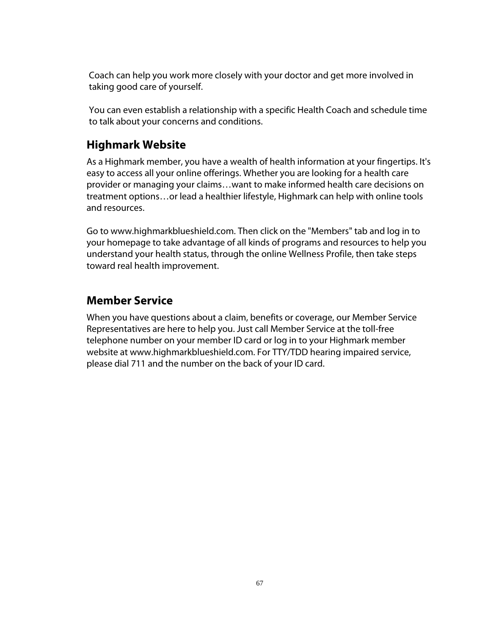Coach can help you work more closely with your doctor and get more involved in taking good care of yourself.

You can even establish a relationship with a specific Health Coach and schedule time to talk about your concerns and conditions.

# **Highmark Website**

As a Highmark member, you have a wealth of health information at your fingertips. It's easy to access all your online offerings. Whether you are looking for a health care provider or managing your claims…want to make informed health care decisions on treatment options…or lead a healthier lifestyle, Highmark can help with online tools and resources.

Go to www.highmarkblueshield.com. Then click on the "Members" tab and log in to your homepage to take advantage of all kinds of programs and resources to help you understand your health status, through the online Wellness Profile, then take steps toward real health improvement.

# **Member Service**

When you have questions about a claim, benefits or coverage, our Member Service Representatives are here to help you. Just call Member Service at the toll-free telephone number on your member ID card or log in to your Highmark member website at www.highmarkblueshield.com. For TTY/TDD hearing impaired service, please dial 711 and the number on the back of your ID card.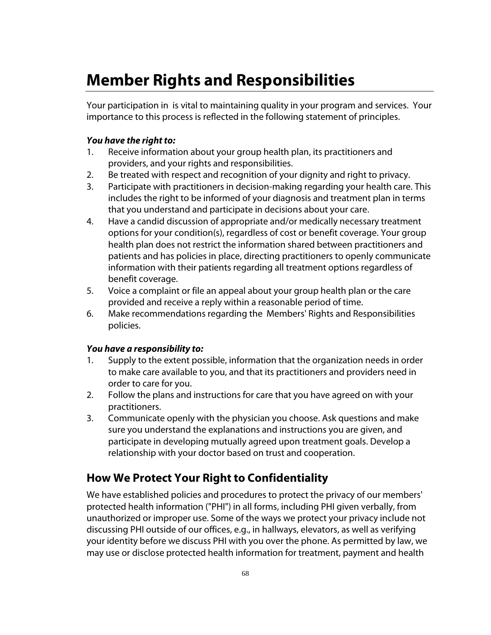# **Member Rights and Responsibilities**

Your participation in is vital to maintaining quality in your program and services. Your importance to this process is reflected in the following statement of principles.

#### *You have the right to:*

- 1. Receive information about your group health plan, its practitioners and providers, and your rights and responsibilities.
- 2. Be treated with respect and recognition of your dignity and right to privacy.
- 3. Participate with practitioners in decision-making regarding your health care. This includes the right to be informed of your diagnosis and treatment plan in terms that you understand and participate in decisions about your care.
- 4. Have a candid discussion of appropriate and/or medically necessary treatment options for your condition(s), regardless of cost or benefit coverage. Your group health plan does not restrict the information shared between practitioners and patients and has policies in place, directing practitioners to openly communicate information with their patients regarding all treatment options regardless of benefit coverage.
- 5. Voice a complaint or file an appeal about your group health plan or the care provided and receive a reply within a reasonable period of time.
- 6. Make recommendations regarding the Members' Rights and Responsibilities policies.

#### *You have a responsibility to:*

- 1. Supply to the extent possible, information that the organization needs in order to make care available to you, and that its practitioners and providers need in order to care for you.
- 2. Follow the plans and instructions for care that you have agreed on with your practitioners.
- 3. Communicate openly with the physician you choose. Ask questions and make sure you understand the explanations and instructions you are given, and participate in developing mutually agreed upon treatment goals. Develop a relationship with your doctor based on trust and cooperation.

# **How We Protect Your Right to Confidentiality**

We have established policies and procedures to protect the privacy of our members' protected health information ("PHI") in all forms, including PHI given verbally, from unauthorized or improper use. Some of the ways we protect your privacy include not discussing PHI outside of our offices, e.g., in hallways, elevators, as well as verifying your identity before we discuss PHI with you over the phone. As permitted by law, we may use or disclose protected health information for treatment, payment and health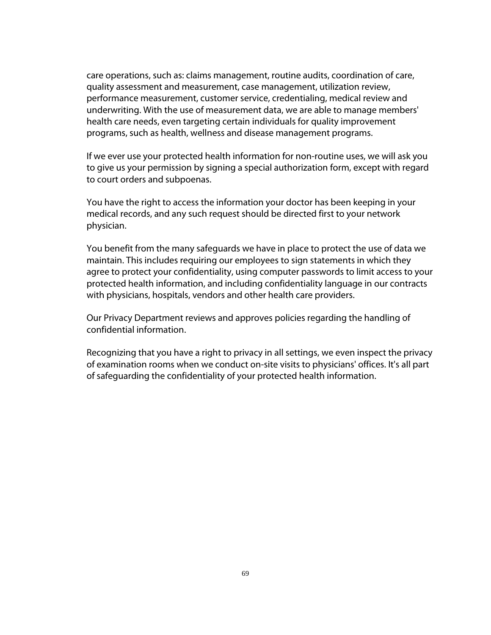care operations, such as: claims management, routine audits, coordination of care, quality assessment and measurement, case management, utilization review, performance measurement, customer service, credentialing, medical review and underwriting. With the use of measurement data, we are able to manage members' health care needs, even targeting certain individuals for quality improvement programs, such as health, wellness and disease management programs.

If we ever use your protected health information for non-routine uses, we will ask you to give us your permission by signing a special authorization form, except with regard to court orders and subpoenas.

You have the right to access the information your doctor has been keeping in your medical records, and any such request should be directed first to your network physician.

You benefit from the many safeguards we have in place to protect the use of data we maintain. This includes requiring our employees to sign statements in which they agree to protect your confidentiality, using computer passwords to limit access to your protected health information, and including confidentiality language in our contracts with physicians, hospitals, vendors and other health care providers.

Our Privacy Department reviews and approves policies regarding the handling of confidential information.

Recognizing that you have a right to privacy in all settings, we even inspect the privacy of examination rooms when we conduct on-site visits to physicians' offices. It's all part of safeguarding the confidentiality of your protected health information.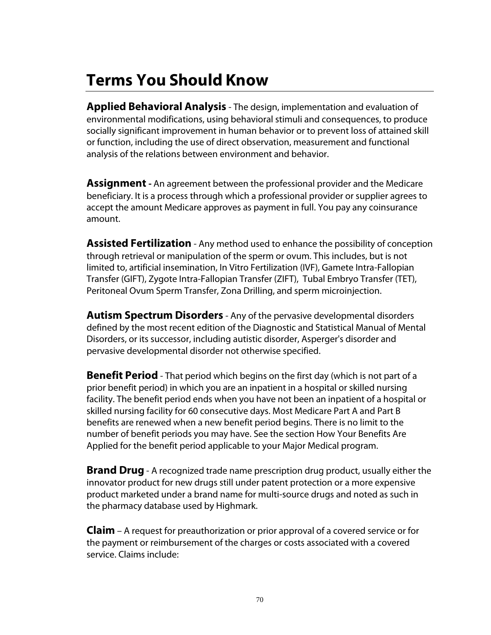# **Terms You Should Know**

**Applied Behavioral Analysis** - The design, implementation and evaluation of environmental modifications, using behavioral stimuli and consequences, to produce socially significant improvement in human behavior or to prevent loss of attained skill or function, including the use of direct observation, measurement and functional analysis of the relations between environment and behavior.

**Assignment -** An agreement between the professional provider and the Medicare beneficiary. It is a process through which a professional provider or supplier agrees to accept the amount Medicare approves as payment in full. You pay any coinsurance amount.

**Assisted Fertilization** - Any method used to enhance the possibility of conception through retrieval or manipulation of the sperm or ovum. This includes, but is not limited to, artificial insemination, In Vitro Fertilization (IVF), Gamete Intra-Fallopian Transfer (GIFT), Zygote Intra-Fallopian Transfer (ZIFT), Tubal Embryo Transfer (TET), Peritoneal Ovum Sperm Transfer, Zona Drilling, and sperm microinjection.

**Autism Spectrum Disorders** - Any of the pervasive developmental disorders defined by the most recent edition of the Diagnostic and Statistical Manual of Mental Disorders, or its successor, including autistic disorder, Asperger's disorder and pervasive developmental disorder not otherwise specified.

**Benefit Period** - That period which begins on the first day (which is not part of a prior benefit period) in which you are an inpatient in a hospital or skilled nursing facility. The benefit period ends when you have not been an inpatient of a hospital or skilled nursing facility for 60 consecutive days. Most Medicare Part A and Part B benefits are renewed when a new benefit period begins. There is no limit to the number of benefit periods you may have. See the section How Your Benefits Are Applied for the benefit period applicable to your Major Medical program.

**Brand Drug** - A recognized trade name prescription drug product, usually either the innovator product for new drugs still under patent protection or a more expensive product marketed under a brand name for multi-source drugs and noted as such in the pharmacy database used by Highmark.

**Claim** – A request for preauthorization or prior approval of a covered service or for the payment or reimbursement of the charges or costs associated with a covered service. Claims include: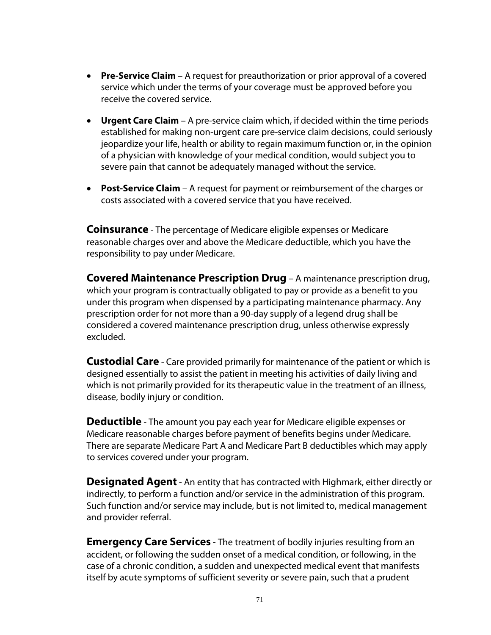- **Pre-Service Claim** A request for preauthorization or prior approval of a covered service which under the terms of your coverage must be approved before you receive the covered service.
- **Urgent Care Claim** A pre-service claim which, if decided within the time periods established for making non-urgent care pre-service claim decisions, could seriously jeopardize your life, health or ability to regain maximum function or, in the opinion of a physician with knowledge of your medical condition, would subject you to severe pain that cannot be adequately managed without the service.
- **Post-Service Claim** A request for payment or reimbursement of the charges or costs associated with a covered service that you have received.

**Coinsurance** - The percentage of Medicare eligible expenses or Medicare reasonable charges over and above the Medicare deductible, which you have the responsibility to pay under Medicare.

**Covered Maintenance Prescription Drug** – A maintenance prescription drug, which your program is contractually obligated to pay or provide as a benefit to you under this program when dispensed by a participating maintenance pharmacy. Any prescription order for not more than a 90-day supply of a legend drug shall be considered a covered maintenance prescription drug, unless otherwise expressly excluded.

**Custodial Care** - Care provided primarily for maintenance of the patient or which is designed essentially to assist the patient in meeting his activities of daily living and which is not primarily provided for its therapeutic value in the treatment of an illness, disease, bodily injury or condition.

**Deductible** - The amount you pay each year for Medicare eligible expenses or Medicare reasonable charges before payment of benefits begins under Medicare. There are separate Medicare Part A and Medicare Part B deductibles which may apply to services covered under your program.

**Designated Agent** - An entity that has contracted with Highmark, either directly or indirectly, to perform a function and/or service in the administration of this program. Such function and/or service may include, but is not limited to, medical management and provider referral.

**Emergency Care Services** - The treatment of bodily injuries resulting from an accident, or following the sudden onset of a medical condition, or following, in the case of a chronic condition, a sudden and unexpected medical event that manifests itself by acute symptoms of sufficient severity or severe pain, such that a prudent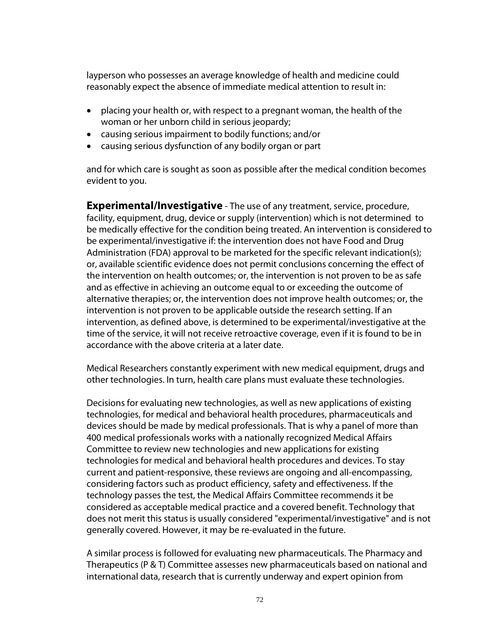layperson who possesses an average knowledge of health and medicine could reasonably expect the absence of immediate medical attention to result in:

- placing your health or, with respect to a pregnant woman, the health of the woman or her unborn child in serious jeopardy;
- causing serious impairment to bodily functions; and/or
- causing serious dysfunction of any bodily organ or part

and for which care is sought as soon as possible after the medical condition becomes evident to you.

**Experimental/Investigative** - The use of any treatment, service, procedure, facility, equipment, drug, device or supply (intervention) which is not determined to be medically effective for the condition being treated. An intervention is considered to be experimental/investigative if: the intervention does not have Food and Drug Administration (FDA) approval to be marketed for the specific relevant indication(s); or, available scientific evidence does not permit conclusions concerning the effect of the intervention on health outcomes; or, the intervention is not proven to be as safe and as effective in achieving an outcome equal to or exceeding the outcome of alternative therapies; or, the intervention does not improve health outcomes; or, the intervention is not proven to be applicable outside the research setting. If an intervention, as defined above, is determined to be experimental/investigative at the time of the service, it will not receive retroactive coverage, even if it is found to be in accordance with the above criteria at a later date.

Medical Researchers constantly experiment with new medical equipment, drugs and other technologies. In turn, health care plans must evaluate these technologies.

Decisions for evaluating new technologies, as well as new applications of existing technologies, for medical and behavioral health procedures, pharmaceuticals and devices should be made by medical professionals. That is why a panel of more than 400 medical professionals works with a nationally recognized Medical Affairs Committee to review new technologies and new applications for existing technologies for medical and behavioral health procedures and devices. To stay current and patient-responsive, these reviews are ongoing and all-encompassing, considering factors such as product efficiency, safety and effectiveness. If the technology passes the test, the Medical Affairs Committee recommends it be considered as acceptable medical practice and a covered benefit. Technology that does not merit this status is usually considered "experimental/investigative" and is not generally covered. However, it may be re-evaluated in the future.

A similar process is followed for evaluating new pharmaceuticals. The Pharmacy and Therapeutics (P & T) Committee assesses new pharmaceuticals based on national and international data, research that is currently underway and expert opinion from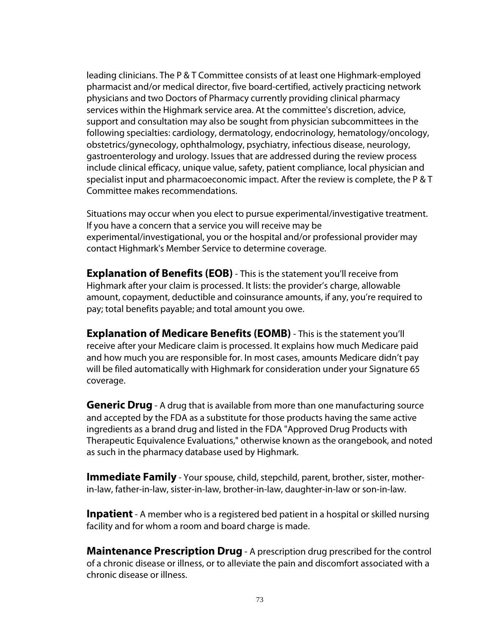leading clinicians. The P & T Committee consists of at least one Highmark-employed pharmacist and/or medical director, five board-certified, actively practicing network physicians and two Doctors of Pharmacy currently providing clinical pharmacy services within the Highmark service area. At the committee's discretion, advice, support and consultation may also be sought from physician subcommittees in the following specialties: cardiology, dermatology, endocrinology, hematology/oncology, obstetrics/gynecology, ophthalmology, psychiatry, infectious disease, neurology, gastroenterology and urology. Issues that are addressed during the review process include clinical efficacy, unique value, safety, patient compliance, local physician and specialist input and pharmacoeconomic impact. After the review is complete, the P & T Committee makes recommendations.

Situations may occur when you elect to pursue experimental/investigative treatment. If you have a concern that a service you will receive may be experimental/investigational, you or the hospital and/or professional provider may contact Highmark's Member Service to determine coverage.

**Explanation of Benefits (EOB)** - This is the statement you'll receive from Highmark after your claim is processed. It lists: the provider's charge, allowable amount, copayment, deductible and coinsurance amounts, if any, you're required to pay; total benefits payable; and total amount you owe.

**Explanation of Medicare Benefits (EOMB)** - This is the statement you'll receive after your Medicare claim is processed. It explains how much Medicare paid and how much you are responsible for. In most cases, amounts Medicare didn't pay will be filed automatically with Highmark for consideration under your Signature 65 coverage.

**Generic Drug** - A drug that is available from more than one manufacturing source and accepted by the FDA as a substitute for those products having the same active ingredients as a brand drug and listed in the FDA "Approved Drug Products with Therapeutic Equivalence Evaluations," otherwise known as the orangebook, and noted as such in the pharmacy database used by Highmark.

**Immediate Family** - Your spouse, child, stepchild, parent, brother, sister, motherin-law, father-in-law, sister-in-law, brother-in-law, daughter-in-law or son-in-law.

**Inpatient** - A member who is a registered bed patient in a hospital or skilled nursing facility and for whom a room and board charge is made.

**Maintenance Prescription Drug** - A prescription drug prescribed for the control of a chronic disease or illness, or to alleviate the pain and discomfort associated with a chronic disease or illness.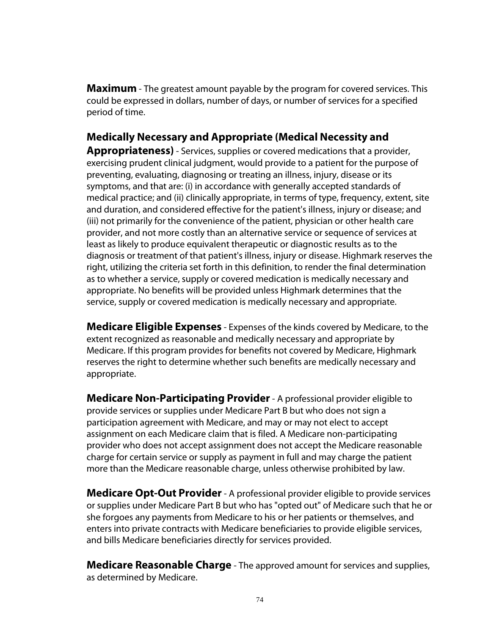**Maximum** - The greatest amount payable by the program for covered services. This could be expressed in dollars, number of days, or number of services for a specified period of time.

# **Medically Necessary and Appropriate (Medical Necessity and**

**Appropriateness)** - Services, supplies or covered medications that a provider, exercising prudent clinical judgment, would provide to a patient for the purpose of preventing, evaluating, diagnosing or treating an illness, injury, disease or its symptoms, and that are: (i) in accordance with generally accepted standards of medical practice; and (ii) clinically appropriate, in terms of type, frequency, extent, site and duration, and considered effective for the patient's illness, injury or disease; and (iii) not primarily for the convenience of the patient, physician or other health care provider, and not more costly than an alternative service or sequence of services at least as likely to produce equivalent therapeutic or diagnostic results as to the diagnosis or treatment of that patient's illness, injury or disease. Highmark reserves the right, utilizing the criteria set forth in this definition, to render the final determination as to whether a service, supply or covered medication is medically necessary and appropriate. No benefits will be provided unless Highmark determines that the service, supply or covered medication is medically necessary and appropriate.

**Medicare Eligible Expenses** - Expenses of the kinds covered by Medicare, to the extent recognized as reasonable and medically necessary and appropriate by Medicare. If this program provides for benefits not covered by Medicare, Highmark reserves the right to determine whether such benefits are medically necessary and appropriate.

**Medicare Non-Participating Provider**- A professional provider eligible to provide services or supplies under Medicare Part B but who does not sign a participation agreement with Medicare, and may or may not elect to accept assignment on each Medicare claim that is filed. A Medicare non-participating provider who does not accept assignment does not accept the Medicare reasonable charge for certain service or supply as payment in full and may charge the patient more than the Medicare reasonable charge, unless otherwise prohibited by law.

**Medicare Opt-Out Provider**- A professional provider eligible to provide services or supplies under Medicare Part B but who has "opted out" of Medicare such that he or she forgoes any payments from Medicare to his or her patients or themselves, and enters into private contracts with Medicare beneficiaries to provide eligible services, and bills Medicare beneficiaries directly for services provided.

**Medicare Reasonable Charge** - The approved amount for services and supplies, as determined by Medicare.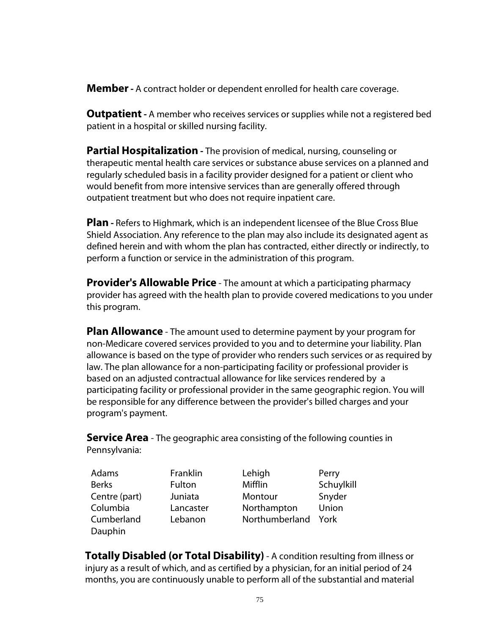**Member-** A contract holder or dependent enrolled for health care coverage.

**Outpatient-** A member who receives services or supplies while not a registered bed patient in a hospital or skilled nursing facility.

**Partial Hospitalization -** The provision of medical, nursing, counseling or therapeutic mental health care services or substance abuse services on a planned and regularly scheduled basis in a facility provider designed for a patient or client who would benefit from more intensive services than are generally offered through outpatient treatment but who does not require inpatient care.

**Plan -** Refers to Highmark, which is an independent licensee of the Blue Cross Blue Shield Association. Any reference to the plan may also include its designated agent as defined herein and with whom the plan has contracted, either directly or indirectly, to perform a function or service in the administration of this program.

**Provider's Allowable Price** - The amount at which a participating pharmacy provider has agreed with the health plan to provide covered medications to you under this program.

**Plan Allowance** - The amount used to determine payment by your program for non-Medicare covered services provided to you and to determine your liability. Plan allowance is based on the type of provider who renders such services or as required by law. The plan allowance for a non-participating facility or professional provider is based on an adjusted contractual allowance for like services rendered by a participating facility or professional provider in the same geographic region. You will be responsible for any difference between the provider's billed charges and your program's payment.

**Service Area** - The geographic area consisting of the following counties in Pennsylvania:

| Adams         | Franklin  | Lehigh         | Perry      |
|---------------|-----------|----------------|------------|
| <b>Berks</b>  | Fulton    | Mifflin        | Schuylkill |
| Centre (part) | Juniata   | Montour        | Snyder     |
| Columbia      | Lancaster | Northampton    | Union      |
| Cumberland    | Lebanon   | Northumberland | York       |
| Dauphin       |           |                |            |

**Totally Disabled (or Total Disability)** - A condition resulting from illness or injury as a result of which, and as certified by a physician, for an initial period of 24 months, you are continuously unable to perform all of the substantial and material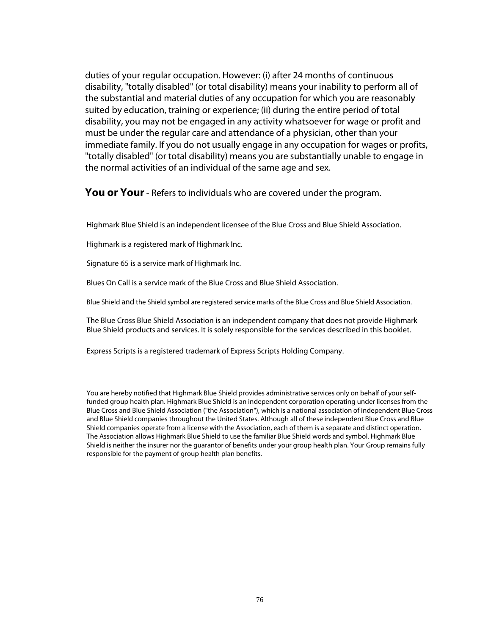duties of your regular occupation. However: (i) after 24 months of continuous disability, "totally disabled" (or total disability) means your inability to perform all of the substantial and material duties of any occupation for which you are reasonably suited by education, training or experience; (ii) during the entire period of total disability, you may not be engaged in any activity whatsoever for wage or profit and must be under the regular care and attendance of a physician, other than your immediate family. If you do not usually engage in any occupation for wages or profits, "totally disabled" (or total disability) means you are substantially unable to engage in the normal activities of an individual of the same age and sex.

**You or Your**- Refers to individuals who are covered under the program.

Highmark Blue Shield is an independent licensee of the Blue Cross and Blue Shield Association.

Highmark is a registered mark of Highmark Inc.

Signature 65 is a service mark of Highmark Inc.

Blues On Call is a service mark of the Blue Cross and Blue Shield Association.

Blue Shield and the Shield symbol are registered service marks of the Blue Cross and Blue Shield Association.

The Blue Cross Blue Shield Association is an independent company that does not provide Highmark Blue Shield products and services. It is solely responsible for the services described in this booklet.

Express Scripts is a registered trademark of Express Scripts Holding Company.

You are hereby notified that Highmark Blue Shield provides administrative services only on behalf of your selffunded group health plan. Highmark Blue Shield is an independent corporation operating under licenses from the Blue Cross and Blue Shield Association ("the Association"), which is a national association of independent Blue Cross and Blue Shield companies throughout the United States. Although all of these independent Blue Cross and Blue Shield companies operate from a license with the Association, each of them is a separate and distinct operation. The Association allows Highmark Blue Shield to use the familiar Blue Shield words and symbol. Highmark Blue Shield is neither the insurer nor the guarantor of benefits under your group health plan. Your Group remains fully responsible for the payment of group health plan benefits.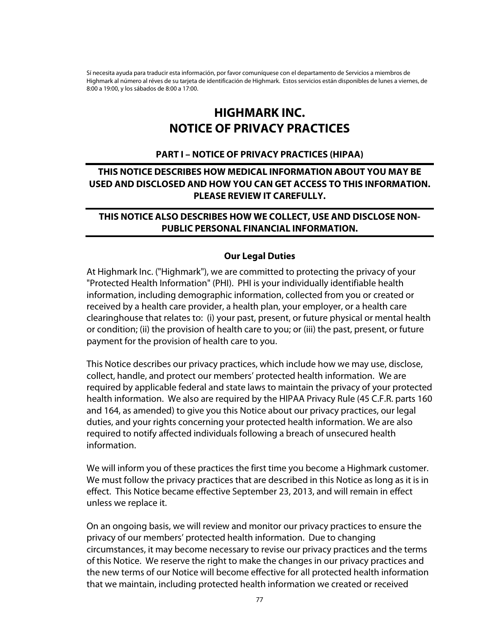Sí necesita ayuda para traducir esta información, por favor comuníquese con el departamento de Servicios a miembros de Highmark al número al réves de su tarjeta de identificación de Highmark. Estos servicios están disponibles de lunes a viernes, de 8:00 a 19:00, y los sábados de 8:00 a 17:00.

# **HIGHMARK INC. NOTICE OF PRIVACY PRACTICES**

#### **PART I – NOTICE OF PRIVACY PRACTICES (HIPAA)**

# **THIS NOTICE DESCRIBES HOW MEDICAL INFORMATION ABOUT YOU MAY BE USED AND DISCLOSED AND HOW YOU CAN GET ACCESS TO THIS INFORMATION. PLEASE REVIEW IT CAREFULLY.**

# **THIS NOTICE ALSO DESCRIBES HOW WE COLLECT, USE AND DISCLOSE NON-PUBLIC PERSONAL FINANCIAL INFORMATION.**

#### **Our Legal Duties**

At Highmark Inc. ("Highmark"), we are committed to protecting the privacy of your "Protected Health Information" (PHI). PHI is your individually identifiable health information, including demographic information, collected from you or created or received by a health care provider, a health plan, your employer, or a health care clearinghouse that relates to: (i) your past, present, or future physical or mental health or condition; (ii) the provision of health care to you; or (iii) the past, present, or future payment for the provision of health care to you.

This Notice describes our privacy practices, which include how we may use, disclose, collect, handle, and protect our members' protected health information. We are required by applicable federal and state laws to maintain the privacy of your protected health information. We also are required by the HIPAA Privacy Rule (45 C.F.R. parts 160 and 164, as amended) to give you this Notice about our privacy practices, our legal duties, and your rights concerning your protected health information. We are also required to notify affected individuals following a breach of unsecured health information.

We will inform you of these practices the first time you become a Highmark customer. We must follow the privacy practices that are described in this Notice as long as it is in effect. This Notice became effective September 23, 2013, and will remain in effect unless we replace it.

On an ongoing basis, we will review and monitor our privacy practices to ensure the privacy of our members' protected health information. Due to changing circumstances, it may become necessary to revise our privacy practices and the terms of this Notice. We reserve the right to make the changes in our privacy practices and the new terms of our Notice will become effective for all protected health information that we maintain, including protected health information we created or received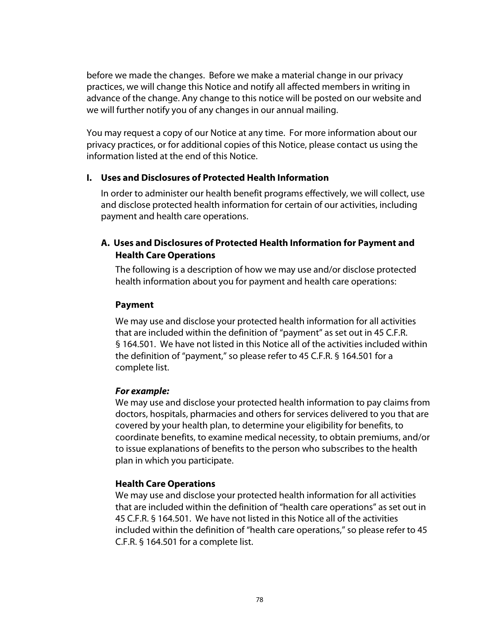before we made the changes. Before we make a material change in our privacy practices, we will change this Notice and notify all affected members in writing in advance of the change. Any change to this notice will be posted on our website and we will further notify you of any changes in our annual mailing.

You may request a copy of our Notice at any time. For more information about our privacy practices, or for additional copies of this Notice, please contact us using the information listed at the end of this Notice.

#### **I. Uses and Disclosures of Protected Health Information**

In order to administer our health benefit programs effectively, we will collect, use and disclose protected health information for certain of our activities, including payment and health care operations.

# **A. Uses and Disclosures of Protected Health Information for Payment and Health Care Operations**

The following is a description of how we may use and/or disclose protected health information about you for payment and health care operations:

#### **Payment**

We may use and disclose your protected health information for all activities that are included within the definition of "payment" as set out in 45 C.F.R. § 164.501. We have not listed in this Notice all of the activities included within the definition of "payment," so please refer to 45 C.F.R. § 164.501 for a complete list.

# *For example:*

We may use and disclose your protected health information to pay claims from doctors, hospitals, pharmacies and others for services delivered to you that are covered by your health plan, to determine your eligibility for benefits, to coordinate benefits, to examine medical necessity, to obtain premiums, and/or to issue explanations of benefits to the person who subscribes to the health plan in which you participate.

# **Health Care Operations**

We may use and disclose your protected health information for all activities that are included within the definition of "health care operations" as set out in 45 C.F.R. § 164.501. We have not listed in this Notice all of the activities included within the definition of "health care operations," so please refer to 45 C.F.R. § 164.501 for a complete list.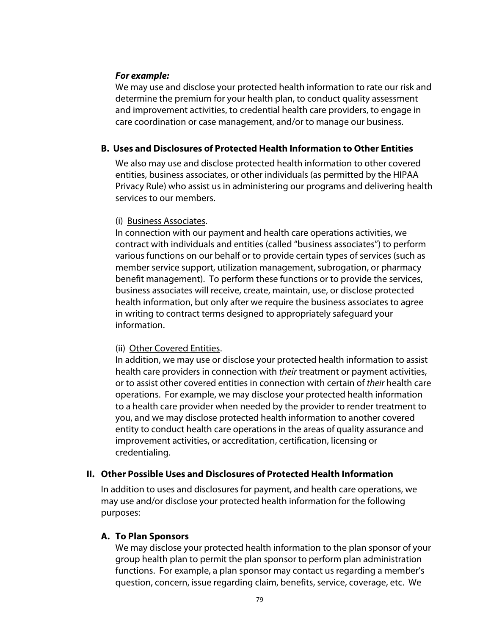#### *For example:*

We may use and disclose your protected health information to rate our risk and determine the premium for your health plan, to conduct quality assessment and improvement activities, to credential health care providers, to engage in care coordination or case management, and/or to manage our business.

# **B. Uses and Disclosures of Protected Health Information to Other Entities**

We also may use and disclose protected health information to other covered entities, business associates, or other individuals (as permitted by the HIPAA Privacy Rule) who assist us in administering our programs and delivering health services to our members.

#### (i) Business Associates.

In connection with our payment and health care operations activities, we contract with individuals and entities (called "business associates") to perform various functions on our behalf or to provide certain types of services (such as member service support, utilization management, subrogation, or pharmacy benefit management). To perform these functions or to provide the services, business associates will receive, create, maintain, use, or disclose protected health information, but only after we require the business associates to agree in writing to contract terms designed to appropriately safeguard your information.

# (ii) Other Covered Entities.

In addition, we may use or disclose your protected health information to assist health care providers in connection with *their* treatment or payment activities, or to assist other covered entities in connection with certain of *their* health care operations. For example, we may disclose your protected health information to a health care provider when needed by the provider to render treatment to you, and we may disclose protected health information to another covered entity to conduct health care operations in the areas of quality assurance and improvement activities, or accreditation, certification, licensing or credentialing.

# **II. Other Possible Uses and Disclosures of Protected Health Information**

In addition to uses and disclosures for payment, and health care operations, we may use and/or disclose your protected health information for the following purposes:

# **A. To Plan Sponsors**

We may disclose your protected health information to the plan sponsor of your group health plan to permit the plan sponsor to perform plan administration functions. For example, a plan sponsor may contact us regarding a member's question, concern, issue regarding claim, benefits, service, coverage, etc. We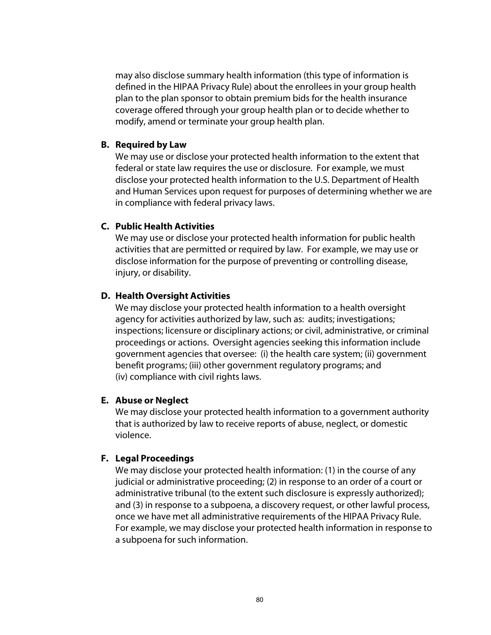may also disclose summary health information (this type of information is defined in the HIPAA Privacy Rule) about the enrollees in your group health plan to the plan sponsor to obtain premium bids for the health insurance coverage offered through your group health plan or to decide whether to modify, amend or terminate your group health plan.

#### **B. Required by Law**

We may use or disclose your protected health information to the extent that federal or state law requires the use or disclosure. For example, we must disclose your protected health information to the U.S. Department of Health and Human Services upon request for purposes of determining whether we are in compliance with federal privacy laws.

#### **C. Public Health Activities**

We may use or disclose your protected health information for public health activities that are permitted or required by law. For example, we may use or disclose information for the purpose of preventing or controlling disease, injury, or disability.

#### **D. Health Oversight Activities**

We may disclose your protected health information to a health oversight agency for activities authorized by law, such as: audits; investigations; inspections; licensure or disciplinary actions; or civil, administrative, or criminal proceedings or actions. Oversight agencies seeking this information include government agencies that oversee: (i) the health care system; (ii) government benefit programs; (iii) other government regulatory programs; and (iv) compliance with civil rights laws.

#### **E. Abuse or Neglect**

We may disclose your protected health information to a government authority that is authorized by law to receive reports of abuse, neglect, or domestic violence.

# **F. Legal Proceedings**

We may disclose your protected health information: (1) in the course of any judicial or administrative proceeding; (2) in response to an order of a court or administrative tribunal (to the extent such disclosure is expressly authorized); and (3) in response to a subpoena, a discovery request, or other lawful process, once we have met all administrative requirements of the HIPAA Privacy Rule. For example, we may disclose your protected health information in response to a subpoena for such information.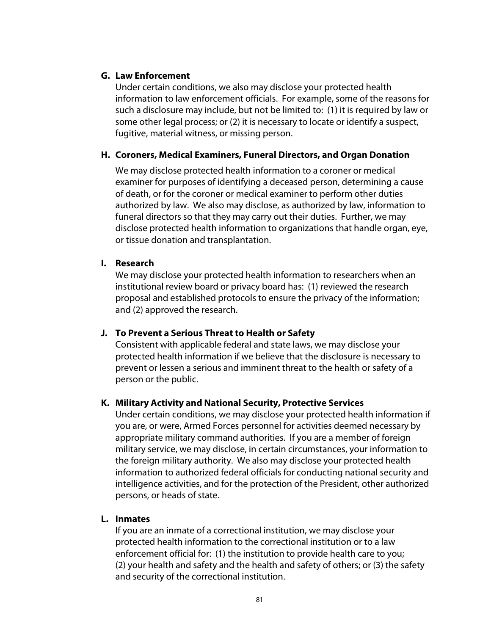#### **G. Law Enforcement**

Under certain conditions, we also may disclose your protected health information to law enforcement officials. For example, some of the reasons for such a disclosure may include, but not be limited to: (1) it is required by law or some other legal process; or (2) it is necessary to locate or identify a suspect, fugitive, material witness, or missing person.

# **H. Coroners, Medical Examiners, Funeral Directors, and Organ Donation**

We may disclose protected health information to a coroner or medical examiner for purposes of identifying a deceased person, determining a cause of death, or for the coroner or medical examiner to perform other duties authorized by law. We also may disclose, as authorized by law, information to funeral directors so that they may carry out their duties. Further, we may disclose protected health information to organizations that handle organ, eye, or tissue donation and transplantation.

# **I. Research**

We may disclose your protected health information to researchers when an institutional review board or privacy board has: (1) reviewed the research proposal and established protocols to ensure the privacy of the information; and (2) approved the research.

# **J. To Prevent a Serious Threat to Health or Safety**

Consistent with applicable federal and state laws, we may disclose your protected health information if we believe that the disclosure is necessary to prevent or lessen a serious and imminent threat to the health or safety of a person or the public.

# **K. Military Activity and National Security, Protective Services**

Under certain conditions, we may disclose your protected health information if you are, or were, Armed Forces personnel for activities deemed necessary by appropriate military command authorities. If you are a member of foreign military service, we may disclose, in certain circumstances, your information to the foreign military authority. We also may disclose your protected health information to authorized federal officials for conducting national security and intelligence activities, and for the protection of the President, other authorized persons, or heads of state.

#### **L. Inmates**

If you are an inmate of a correctional institution, we may disclose your protected health information to the correctional institution or to a law enforcement official for: (1) the institution to provide health care to you; (2) your health and safety and the health and safety of others; or (3) the safety and security of the correctional institution.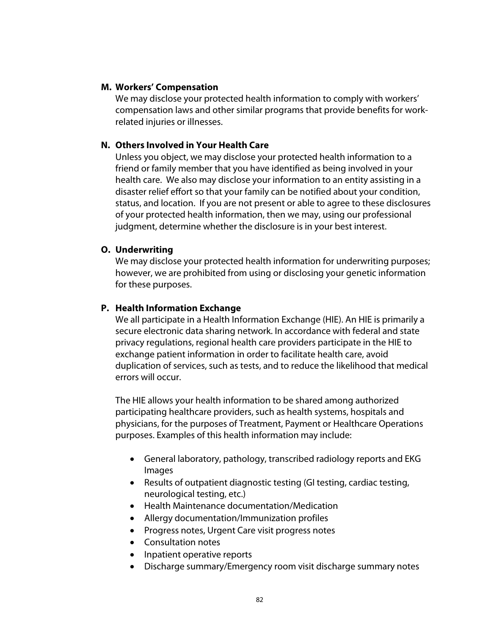#### **M. Workers' Compensation**

We may disclose your protected health information to comply with workers' compensation laws and other similar programs that provide benefits for workrelated injuries or illnesses.

# **N. Others Involved in Your Health Care**

Unless you object, we may disclose your protected health information to a friend or family member that you have identified as being involved in your health care. We also may disclose your information to an entity assisting in a disaster relief effort so that your family can be notified about your condition, status, and location. If you are not present or able to agree to these disclosures of your protected health information, then we may, using our professional judgment, determine whether the disclosure is in your best interest.

# **O. Underwriting**

We may disclose your protected health information for underwriting purposes; however, we are prohibited from using or disclosing your genetic information for these purposes.

# **P. Health Information Exchange**

We all participate in a Health Information Exchange (HIE). An HIE is primarily a secure electronic data sharing network. In accordance with federal and state privacy regulations, regional health care providers participate in the HIE to exchange patient information in order to facilitate health care, avoid duplication of services, such as tests, and to reduce the likelihood that medical errors will occur.

The HIE allows your health information to be shared among authorized participating healthcare providers, such as health systems, hospitals and physicians, for the purposes of Treatment, Payment or Healthcare Operations purposes. Examples of this health information may include:

- General laboratory, pathology, transcribed radiology reports and EKG Images
- Results of outpatient diagnostic testing (GI testing, cardiac testing, neurological testing, etc.)
- Health Maintenance documentation/Medication
- Allergy documentation/Immunization profiles
- Progress notes, Urgent Care visit progress notes
- Consultation notes
- Inpatient operative reports
- Discharge summary/Emergency room visit discharge summary notes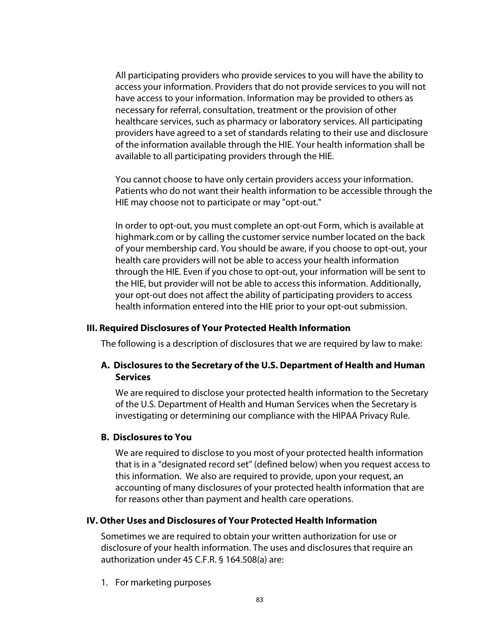All participating providers who provide services to you will have the ability to access your information. Providers that do not provide services to you will not have access to your information. Information may be provided to others as necessary for referral, consultation, treatment or the provision of other healthcare services, such as pharmacy or laboratory services. All participating providers have agreed to a set of standards relating to their use and disclosure of the information available through the HIE. Your health information shall be available to all participating providers through the HIE.

You cannot choose to have only certain providers access your information. Patients who do not want their health information to be accessible through the HIE may choose not to participate or may "opt-out."

In order to opt-out, you must complete an opt-out Form, which is available at highmark.com or by calling the customer service number located on the back of your membership card. You should be aware, if you choose to opt-out, your health care providers will not be able to access your health information through the HIE. Even if you chose to opt-out, your information will be sent to the HIE, but provider will not be able to access this information. Additionally, your opt-out does not affect the ability of participating providers to access health information entered into the HIE prior to your opt-out submission.

#### **III. Required Disclosures of Your Protected Health Information**

The following is a description of disclosures that we are required by law to make:

# **A. Disclosures to the Secretary of the U.S. Department of Health and Human Services**

We are required to disclose your protected health information to the Secretary of the U.S. Department of Health and Human Services when the Secretary is investigating or determining our compliance with the HIPAA Privacy Rule.

#### **B. Disclosures to You**

We are required to disclose to you most of your protected health information that is in a "designated record set" (defined below) when you request access to this information. We also are required to provide, upon your request, an accounting of many disclosures of your protected health information that are for reasons other than payment and health care operations.

#### **IV. Other Uses and Disclosures of Your Protected Health Information**

Sometimes we are required to obtain your written authorization for use or disclosure of your health information. The uses and disclosures that require an authorization under 45 C.F.R. § 164.508(a) are:

1. For marketing purposes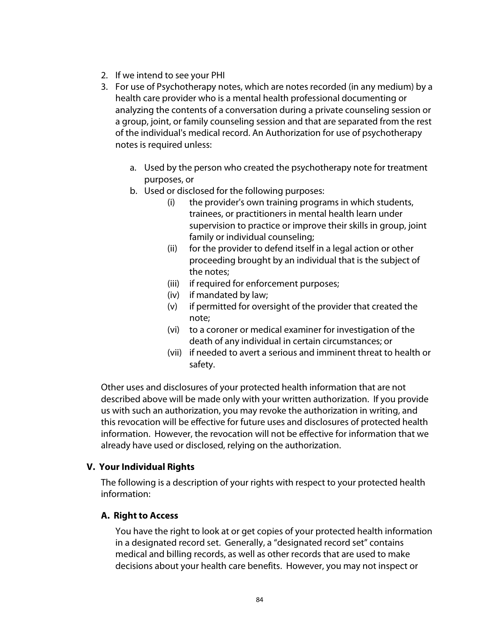- 2. If we intend to see your PHI
- 3. For use of Psychotherapy notes, which are notes recorded (in any medium) by a health care provider who is a mental health professional documenting or analyzing the contents of a conversation during a private counseling session or a group, joint, or family counseling session and that are separated from the rest of the individual's medical record. An Authorization for use of psychotherapy notes is required unless:
	- a. Used by the person who created the psychotherapy note for treatment purposes, or
	- b. Used or disclosed for the following purposes:
		- (i) the provider's own training programs in which students, trainees, or practitioners in mental health learn under supervision to practice or improve their skills in group, joint family or individual counseling;
		- (ii) for the provider to defend itself in a legal action or other proceeding brought by an individual that is the subject of the notes;
		- (iii) if required for enforcement purposes;
		- (iv) if mandated by law;
		- (v) if permitted for oversight of the provider that created the note;
		- (vi) to a coroner or medical examiner for investigation of the death of any individual in certain circumstances; or
		- (vii) if needed to avert a serious and imminent threat to health or safety.

Other uses and disclosures of your protected health information that are not described above will be made only with your written authorization. If you provide us with such an authorization, you may revoke the authorization in writing, and this revocation will be effective for future uses and disclosures of protected health information. However, the revocation will not be effective for information that we already have used or disclosed, relying on the authorization.

# **V. Your Individual Rights**

The following is a description of your rights with respect to your protected health information:

# **A. Right to Access**

You have the right to look at or get copies of your protected health information in a designated record set. Generally, a "designated record set" contains medical and billing records, as well as other records that are used to make decisions about your health care benefits. However, you may not inspect or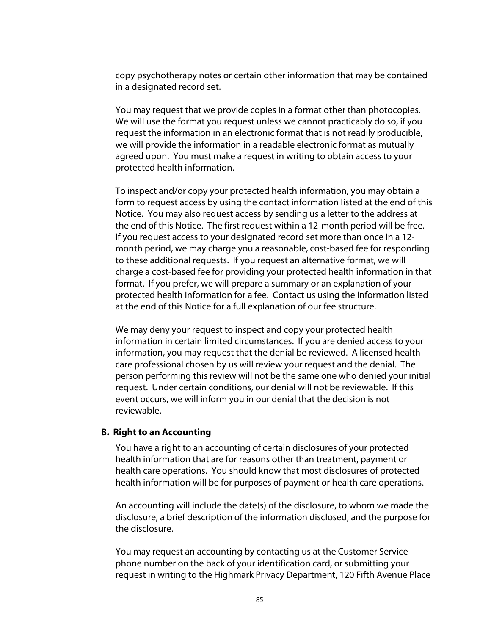copy psychotherapy notes or certain other information that may be contained in a designated record set.

You may request that we provide copies in a format other than photocopies. We will use the format you request unless we cannot practicably do so, if you request the information in an electronic format that is not readily producible, we will provide the information in a readable electronic format as mutually agreed upon. You must make a request in writing to obtain access to your protected health information.

To inspect and/or copy your protected health information, you may obtain a form to request access by using the contact information listed at the end of this Notice. You may also request access by sending us a letter to the address at the end of this Notice. The first request within a 12-month period will be free. If you request access to your designated record set more than once in a 12 month period, we may charge you a reasonable, cost-based fee for responding to these additional requests. If you request an alternative format, we will charge a cost-based fee for providing your protected health information in that format. If you prefer, we will prepare a summary or an explanation of your protected health information for a fee. Contact us using the information listed at the end of this Notice for a full explanation of our fee structure.

We may deny your request to inspect and copy your protected health information in certain limited circumstances. If you are denied access to your information, you may request that the denial be reviewed. A licensed health care professional chosen by us will review your request and the denial. The person performing this review will not be the same one who denied your initial request. Under certain conditions, our denial will not be reviewable. If this event occurs, we will inform you in our denial that the decision is not reviewable.

#### **B. Right to an Accounting**

You have a right to an accounting of certain disclosures of your protected health information that are for reasons other than treatment, payment or health care operations. You should know that most disclosures of protected health information will be for purposes of payment or health care operations.

An accounting will include the date(s) of the disclosure, to whom we made the disclosure, a brief description of the information disclosed, and the purpose for the disclosure.

You may request an accounting by contacting us at the Customer Service phone number on the back of your identification card, or submitting your request in writing to the Highmark Privacy Department, 120 Fifth Avenue Place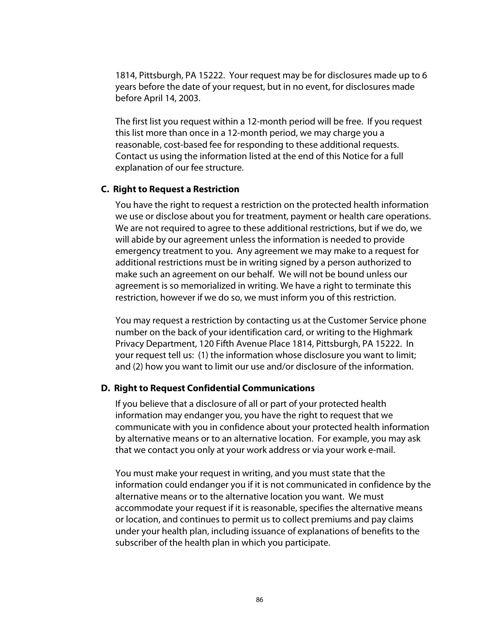1814, Pittsburgh, PA 15222. Your request may be for disclosures made up to 6 years before the date of your request, but in no event, for disclosures made before April 14, 2003.

The first list you request within a 12-month period will be free. If you request this list more than once in a 12-month period, we may charge you a reasonable, cost-based fee for responding to these additional requests. Contact us using the information listed at the end of this Notice for a full explanation of our fee structure.

#### **C. Right to Request a Restriction**

You have the right to request a restriction on the protected health information we use or disclose about you for treatment, payment or health care operations. We are not required to agree to these additional restrictions, but if we do, we will abide by our agreement unless the information is needed to provide emergency treatment to you. Any agreement we may make to a request for additional restrictions must be in writing signed by a person authorized to make such an agreement on our behalf. We will not be bound unless our agreement is so memorialized in writing. We have a right to terminate this restriction, however if we do so, we must inform you of this restriction.

You may request a restriction by contacting us at the Customer Service phone number on the back of your identification card, or writing to the Highmark Privacy Department, 120 Fifth Avenue Place 1814, Pittsburgh, PA 15222. In your request tell us: (1) the information whose disclosure you want to limit; and (2) how you want to limit our use and/or disclosure of the information.

# **D. Right to Request Confidential Communications**

If you believe that a disclosure of all or part of your protected health information may endanger you, you have the right to request that we communicate with you in confidence about your protected health information by alternative means or to an alternative location. For example, you may ask that we contact you only at your work address or via your work e-mail.

You must make your request in writing, and you must state that the information could endanger you if it is not communicated in confidence by the alternative means or to the alternative location you want. We must accommodate your request if it is reasonable, specifies the alternative means or location, and continues to permit us to collect premiums and pay claims under your health plan, including issuance of explanations of benefits to the subscriber of the health plan in which you participate.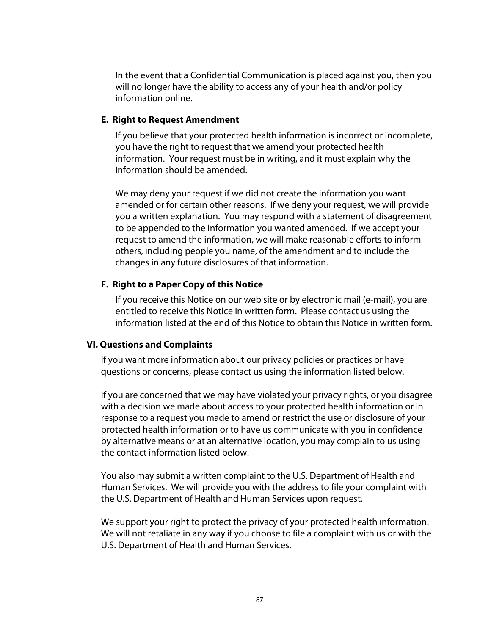In the event that a Confidential Communication is placed against you, then you will no longer have the ability to access any of your health and/or policy information online.

#### **E. Right to Request Amendment**

If you believe that your protected health information is incorrect or incomplete, you have the right to request that we amend your protected health information. Your request must be in writing, and it must explain why the information should be amended.

We may deny your request if we did not create the information you want amended or for certain other reasons. If we deny your request, we will provide you a written explanation. You may respond with a statement of disagreement to be appended to the information you wanted amended. If we accept your request to amend the information, we will make reasonable efforts to inform others, including people you name, of the amendment and to include the changes in any future disclosures of that information.

# **F. Right to a Paper Copy of this Notice**

If you receive this Notice on our web site or by electronic mail (e-mail), you are entitled to receive this Notice in written form. Please contact us using the information listed at the end of this Notice to obtain this Notice in written form.

# **VI. Questions and Complaints**

If you want more information about our privacy policies or practices or have questions or concerns, please contact us using the information listed below.

If you are concerned that we may have violated your privacy rights, or you disagree with a decision we made about access to your protected health information or in response to a request you made to amend or restrict the use or disclosure of your protected health information or to have us communicate with you in confidence by alternative means or at an alternative location, you may complain to us using the contact information listed below.

You also may submit a written complaint to the U.S. Department of Health and Human Services. We will provide you with the address to file your complaint with the U.S. Department of Health and Human Services upon request.

We support your right to protect the privacy of your protected health information. We will not retaliate in any way if you choose to file a complaint with us or with the U.S. Department of Health and Human Services.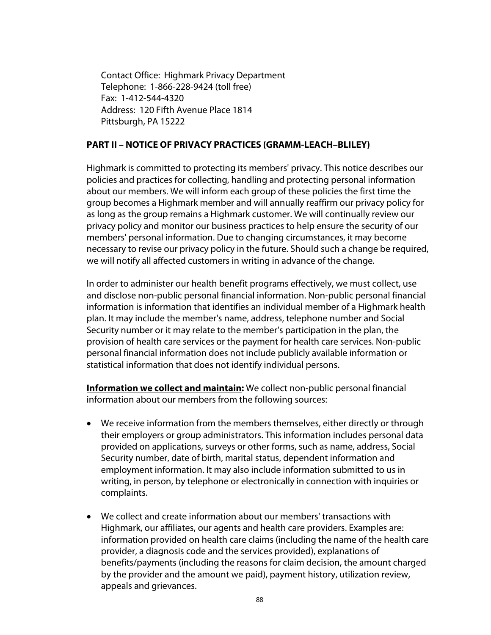Contact Office: Highmark Privacy Department Telephone: 1-866-228-9424 (toll free) Fax: 1-412-544-4320 Address: 120 Fifth Avenue Place 1814 Pittsburgh, PA 15222

#### **PART II – NOTICE OF PRIVACY PRACTICES (GRAMM-LEACH–BLILEY)**

Highmark is committed to protecting its members' privacy. This notice describes our policies and practices for collecting, handling and protecting personal information about our members. We will inform each group of these policies the first time the group becomes a Highmark member and will annually reaffirm our privacy policy for as long as the group remains a Highmark customer. We will continually review our privacy policy and monitor our business practices to help ensure the security of our members' personal information. Due to changing circumstances, it may become necessary to revise our privacy policy in the future. Should such a change be required, we will notify all affected customers in writing in advance of the change.

In order to administer our health benefit programs effectively, we must collect, use and disclose non-public personal financial information. Non-public personal financial information is information that identifies an individual member of a Highmark health plan. It may include the member's name, address, telephone number and Social Security number or it may relate to the member's participation in the plan, the provision of health care services or the payment for health care services. Non-public personal financial information does not include publicly available information or statistical information that does not identify individual persons.

**Information we collect and maintain:** We collect non-public personal financial information about our members from the following sources:

- We receive information from the members themselves, either directly or through their employers or group administrators. This information includes personal data provided on applications, surveys or other forms, such as name, address, Social Security number, date of birth, marital status, dependent information and employment information. It may also include information submitted to us in writing, in person, by telephone or electronically in connection with inquiries or complaints.
- We collect and create information about our members' transactions with Highmark, our affiliates, our agents and health care providers. Examples are: information provided on health care claims (including the name of the health care provider, a diagnosis code and the services provided), explanations of benefits/payments (including the reasons for claim decision, the amount charged by the provider and the amount we paid), payment history, utilization review, appeals and grievances.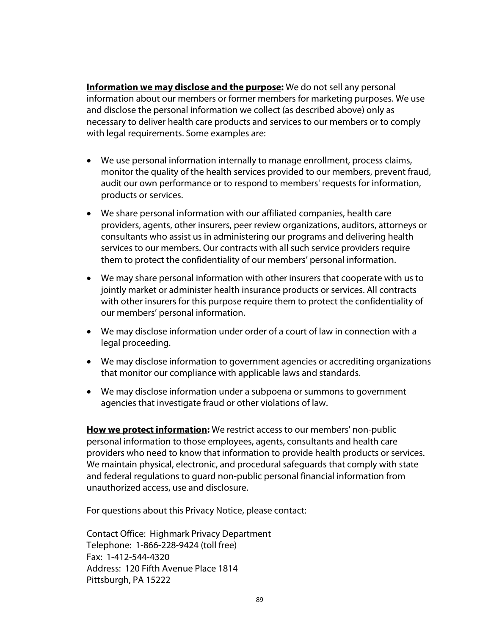**Information we may disclose and the purpose:** We do not sell any personal information about our members or former members for marketing purposes. We use and disclose the personal information we collect (as described above) only as necessary to deliver health care products and services to our members or to comply with legal requirements. Some examples are:

- We use personal information internally to manage enrollment, process claims, monitor the quality of the health services provided to our members, prevent fraud, audit our own performance or to respond to members' requests for information, products or services.
- We share personal information with our affiliated companies, health care providers, agents, other insurers, peer review organizations, auditors, attorneys or consultants who assist us in administering our programs and delivering health services to our members. Our contracts with all such service providers require them to protect the confidentiality of our members' personal information.
- We may share personal information with other insurers that cooperate with us to jointly market or administer health insurance products or services. All contracts with other insurers for this purpose require them to protect the confidentiality of our members' personal information.
- We may disclose information under order of a court of law in connection with a legal proceeding.
- We may disclose information to government agencies or accrediting organizations that monitor our compliance with applicable laws and standards.
- We may disclose information under a subpoena or summons to government agencies that investigate fraud or other violations of law.

**How we protect information:** We restrict access to our members' non-public personal information to those employees, agents, consultants and health care providers who need to know that information to provide health products or services. We maintain physical, electronic, and procedural safeguards that comply with state and federal regulations to guard non-public personal financial information from unauthorized access, use and disclosure.

For questions about this Privacy Notice, please contact:

Contact Office: Highmark Privacy Department Telephone: 1-866-228-9424 (toll free) Fax: 1-412-544-4320 Address: 120 Fifth Avenue Place 1814 Pittsburgh, PA 15222